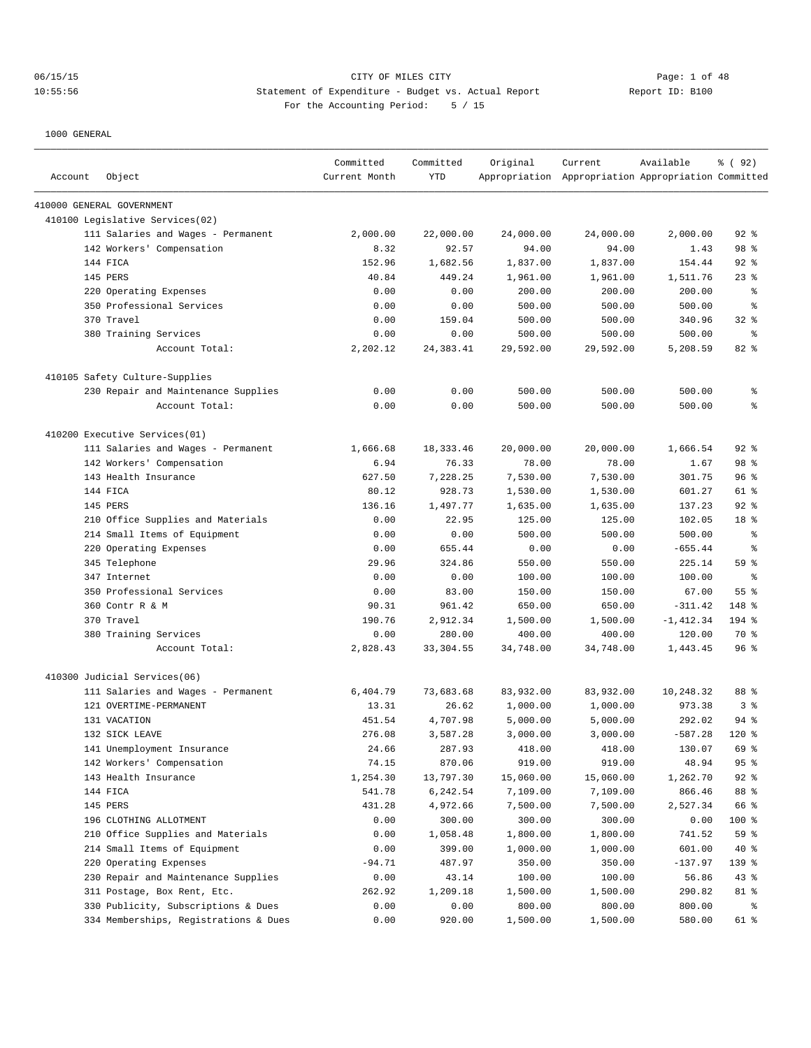# 06/15/15 CITY OF MILES CITY Page: 1 of 48 10:55:56 Statement of Expenditure - Budget vs. Actual Report Report ID: B100 For the Accounting Period: 5 / 15

| Account | Object                                | Committed<br>Current Month | Committed<br><b>YTD</b> | Original  | Current<br>Appropriation Appropriation Appropriation Committed | Available    | 8 (92)          |
|---------|---------------------------------------|----------------------------|-------------------------|-----------|----------------------------------------------------------------|--------------|-----------------|
|         | 410000 GENERAL GOVERNMENT             |                            |                         |           |                                                                |              |                 |
|         | 410100 Legislative Services(02)       |                            |                         |           |                                                                |              |                 |
|         | 111 Salaries and Wages - Permanent    | 2,000.00                   | 22,000.00               | 24,000.00 | 24,000.00                                                      | 2,000.00     | $92$ $%$        |
|         | 142 Workers' Compensation             | 8.32                       | 92.57                   | 94.00     | 94.00                                                          | 1.43         | 98 %            |
|         | 144 FICA                              | 152.96                     | 1,682.56                | 1,837.00  | 1,837.00                                                       | 154.44       | $92$ %          |
|         | 145 PERS                              | 40.84                      | 449.24                  | 1,961.00  | 1,961.00                                                       | 1,511.76     | $23$ %          |
|         | 220 Operating Expenses                | 0.00                       | 0.00                    | 200.00    | 200.00                                                         | 200.00       | နွ              |
|         | 350 Professional Services             | 0.00                       | 0.00                    | 500.00    | 500.00                                                         | 500.00       | နွ              |
|         | 370 Travel                            | 0.00                       | 159.04                  | 500.00    | 500.00                                                         | 340.96       | $32$ $%$        |
|         | 380 Training Services                 | 0.00                       | 0.00                    | 500.00    | 500.00                                                         | 500.00       | နွ              |
|         | Account Total:                        | 2,202.12                   | 24, 383.41              | 29,592.00 | 29,592.00                                                      | 5,208.59     | 82 %            |
|         | 410105 Safety Culture-Supplies        |                            |                         |           |                                                                |              |                 |
|         | 230 Repair and Maintenance Supplies   | 0.00                       | 0.00                    | 500.00    | 500.00                                                         | 500.00       | န့              |
|         | Account Total:                        | 0.00                       | 0.00                    | 500.00    | 500.00                                                         | 500.00       | နွ              |
|         | 410200 Executive Services(01)         |                            |                         |           |                                                                |              |                 |
|         | 111 Salaries and Wages - Permanent    | 1,666.68                   | 18, 333.46              | 20,000.00 | 20,000.00                                                      | 1,666.54     | $92$ %          |
|         | 142 Workers' Compensation             | 6.94                       | 76.33                   | 78.00     | 78.00                                                          | 1.67         | 98 %            |
|         | 143 Health Insurance                  | 627.50                     | 7,228.25                | 7,530.00  | 7,530.00                                                       | 301.75       | 96%             |
|         | 144 FICA                              | 80.12                      | 928.73                  | 1,530.00  | 1,530.00                                                       | 601.27       | 61 %            |
|         | 145 PERS                              | 136.16                     | 1,497.77                | 1,635.00  | 1,635.00                                                       | 137.23       | $92$ %          |
|         | 210 Office Supplies and Materials     | 0.00                       | 22.95                   | 125.00    | 125.00                                                         | 102.05       | 18 %            |
|         | 214 Small Items of Equipment          | 0.00                       | 0.00                    | 500.00    | 500.00                                                         | 500.00       | နွ              |
| 220     | Operating Expenses                    | 0.00                       | 655.44                  | 0.00      | 0.00                                                           | $-655.44$    | နွ              |
|         | 345 Telephone                         | 29.96                      | 324.86                  | 550.00    | 550.00                                                         | 225.14       | 59 %            |
|         | 347 Internet                          | 0.00                       | 0.00                    | 100.00    | 100.00                                                         | 100.00       | နွ              |
|         | 350 Professional Services             | 0.00                       | 83.00                   | 150.00    | 150.00                                                         | 67.00        | 55%             |
|         | 360 Contr R & M                       | 90.31                      | 961.42                  | 650.00    | 650.00                                                         | $-311.42$    | 148 %           |
|         | 370 Travel                            | 190.76                     | 2,912.34                | 1,500.00  | 1,500.00                                                       | $-1, 412.34$ | 194 %           |
|         | 380 Training Services                 | 0.00                       | 280.00                  | 400.00    | 400.00                                                         | 120.00       | 70 %            |
|         | Account Total:                        | 2,828.43                   | 33, 304.55              | 34,748.00 | 34,748.00                                                      | 1,443.45     | 96 <sup>°</sup> |
|         | 410300 Judicial Services(06)          |                            |                         |           |                                                                |              |                 |
|         | 111 Salaries and Wages - Permanent    | 6,404.79                   | 73,683.68               | 83,932.00 | 83,932.00                                                      | 10,248.32    | 88 %            |
|         | 121 OVERTIME-PERMANENT                | 13.31                      | 26.62                   | 1,000.00  | 1,000.00                                                       | 973.38       | 3 <sup>8</sup>  |
|         | 131 VACATION                          | 451.54                     | 4,707.98                | 5,000.00  | 5,000.00                                                       | 292.02       | 94%             |
|         | 132 SICK LEAVE                        | 276.08                     | 3,587.28                | 3,000.00  | 3,000.00                                                       | $-587.28$    | $120*$          |
|         | 141 Unemployment Insurance            | 24.66                      | 287.93                  | 418.00    | 418.00                                                         | 130.07       | 69 %            |
|         | 142 Workers' Compensation             | 74.15                      | 870.06                  | 919.00    | 919.00                                                         | 48.94        | 95%             |
|         | 143 Health Insurance                  | 1,254.30                   | 13,797.30               | 15,060.00 | 15,060.00                                                      | 1,262.70     | $92$ %          |
|         | 144 FICA                              | 541.78                     | 6,242.54                | 7,109.00  | 7,109.00                                                       | 866.46       | 88 %            |
|         | 145 PERS                              | 431.28                     | 4,972.66                | 7,500.00  | 7,500.00                                                       | 2,527.34     | 66 %            |
|         | 196 CLOTHING ALLOTMENT                | 0.00                       | 300.00                  | 300.00    | 300.00                                                         | 0.00         | 100 %           |
| 210     | Office Supplies and Materials         | 0.00                       | 1,058.48                | 1,800.00  | 1,800.00                                                       | 741.52       | 59 %            |
|         | 214 Small Items of Equipment          | 0.00                       | 399.00                  | 1,000.00  | 1,000.00                                                       | 601.00       | 40 %            |
|         | 220 Operating Expenses                | $-94.71$                   | 487.97                  | 350.00    | 350.00                                                         | $-137.97$    | 139 %           |
|         | 230 Repair and Maintenance Supplies   | 0.00                       | 43.14                   | 100.00    | 100.00                                                         | 56.86        | 43 %            |
|         | 311 Postage, Box Rent, Etc.           | 262.92                     | 1,209.18                | 1,500.00  | 1,500.00                                                       | 290.82       | 81 %            |
|         | 330 Publicity, Subscriptions & Dues   | 0.00                       | 0.00                    | 800.00    | 800.00                                                         | 800.00       | ႜွ              |
|         | 334 Memberships, Registrations & Dues | 0.00                       | 920.00                  | 1,500.00  | 1,500.00                                                       | 580.00       | 61 %            |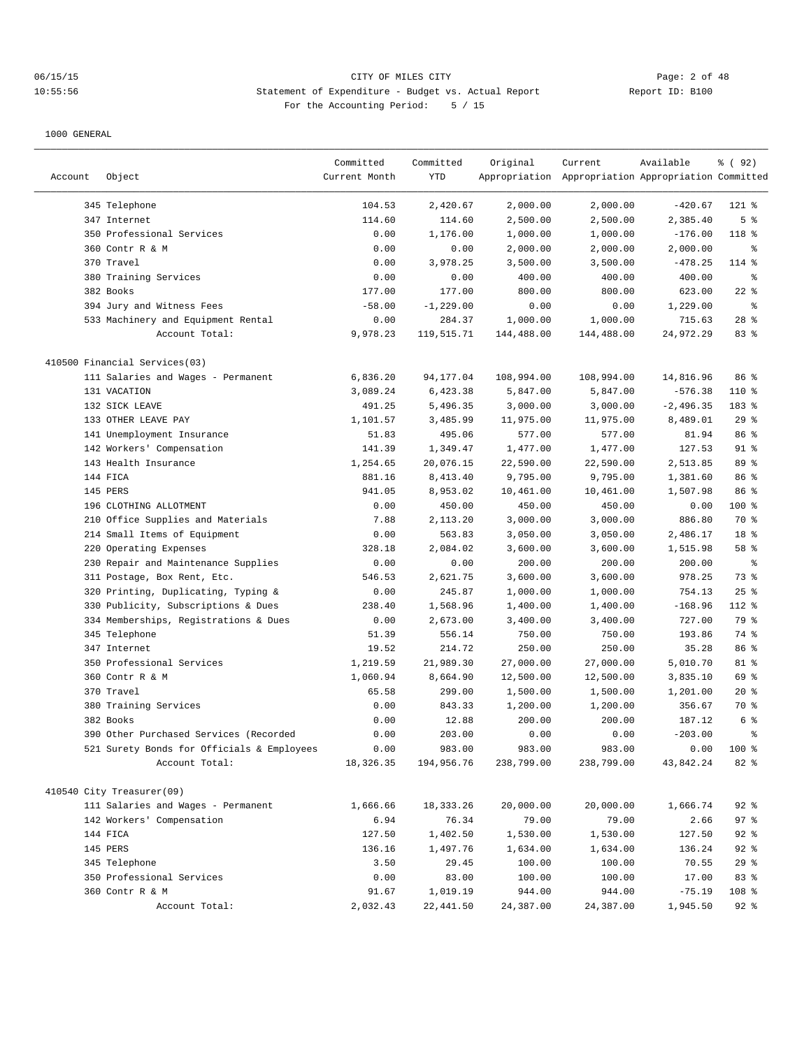# 06/15/15 CITY OF MILES CITY Page: 2 of 48 10:55:56 Statement of Expenditure - Budget vs. Actual Report Report ID: B100 For the Accounting Period: 5 / 15

|         |                                            | Committed     | Committed    | Original   | Current                                             | Available   | % (92)         |
|---------|--------------------------------------------|---------------|--------------|------------|-----------------------------------------------------|-------------|----------------|
| Account | Object                                     | Current Month | YTD          |            | Appropriation Appropriation Appropriation Committed |             |                |
|         |                                            |               |              |            |                                                     |             |                |
|         | 345 Telephone                              | 104.53        | 2,420.67     | 2,000.00   | 2,000.00                                            | $-420.67$   | $121$ %        |
|         | 347 Internet                               | 114.60        | 114.60       | 2,500.00   | 2,500.00                                            | 2,385.40    | 5 <sup>°</sup> |
|         | 350 Professional Services                  | 0.00          | 1,176.00     | 1,000.00   | 1,000.00                                            | $-176.00$   | 118 %          |
|         | 360 Contr R & M                            | 0.00          | 0.00         | 2,000.00   | 2,000.00                                            | 2,000.00    | ႜ              |
|         | 370 Travel                                 | 0.00          | 3,978.25     | 3,500.00   | 3,500.00                                            | $-478.25$   | 114 %          |
|         | 380 Training Services                      | 0.00          | 0.00         | 400.00     | 400.00                                              | 400.00      | ႜွ             |
|         | 382 Books                                  | 177.00        | 177.00       | 800.00     | 800.00                                              | 623.00      | $22$ %         |
|         | 394 Jury and Witness Fees                  | $-58.00$      | $-1, 229.00$ | 0.00       | 0.00                                                | 1,229.00    | ႜွ             |
|         | 533 Machinery and Equipment Rental         | 0.00          | 284.37       | 1,000.00   | 1,000.00                                            | 715.63      | $28$ %         |
|         | Account Total:                             | 9,978.23      | 119,515.71   | 144,488.00 | 144,488.00                                          | 24,972.29   | 83 %           |
|         | 410500 Financial Services(03)              |               |              |            |                                                     |             |                |
|         | 111 Salaries and Wages - Permanent         | 6,836.20      | 94,177.04    | 108,994.00 | 108,994.00                                          | 14,816.96   | 86 %           |
|         | 131 VACATION                               | 3,089.24      | 6,423.38     | 5,847.00   | 5,847.00                                            | $-576.38$   | 110 %          |
|         | 132 SICK LEAVE                             | 491.25        | 5,496.35     | 3,000.00   | 3,000.00                                            | $-2,496.35$ | 183 %          |
|         | 133 OTHER LEAVE PAY                        | 1,101.57      | 3,485.99     | 11,975.00  | 11,975.00                                           | 8,489.01    | 29%            |
|         | 141 Unemployment Insurance                 | 51.83         | 495.06       | 577.00     | 577.00                                              | 81.94       | 86 %           |
|         | 142 Workers' Compensation                  | 141.39        | 1,349.47     | 1,477.00   | 1,477.00                                            | 127.53      | $91$ %         |
|         | 143 Health Insurance                       | 1,254.65      | 20,076.15    | 22,590.00  | 22,590.00                                           | 2,513.85    | 89 %           |
|         | 144 FICA                                   | 881.16        | 8,413.40     | 9,795.00   | 9,795.00                                            | 1,381.60    | 86 %           |
|         | 145 PERS                                   | 941.05        | 8,953.02     | 10,461.00  | 10,461.00                                           | 1,507.98    | 86 %           |
|         | 196 CLOTHING ALLOTMENT                     | 0.00          | 450.00       | 450.00     | 450.00                                              | 0.00        | 100 %          |
|         | 210 Office Supplies and Materials          | 7.88          | 2,113.20     | 3,000.00   | 3,000.00                                            | 886.80      | 70 %           |
|         | 214 Small Items of Equipment               | 0.00          | 563.83       | 3,050.00   | 3,050.00                                            | 2,486.17    | 18 %           |
|         | 220 Operating Expenses                     | 328.18        | 2,084.02     | 3,600.00   | 3,600.00                                            | 1,515.98    | 58 %           |
|         | 230 Repair and Maintenance Supplies        | 0.00          | 0.00         | 200.00     | 200.00                                              | 200.00      | ႜွ             |
|         | 311 Postage, Box Rent, Etc.                | 546.53        | 2,621.75     | 3,600.00   | 3,600.00                                            | 978.25      | 73 %           |
|         | 320 Printing, Duplicating, Typing &        | 0.00          | 245.87       | 1,000.00   | 1,000.00                                            | 754.13      | 25%            |
|         | 330 Publicity, Subscriptions & Dues        | 238.40        | 1,568.96     | 1,400.00   | 1,400.00                                            | $-168.96$   | 112 %          |
|         | 334 Memberships, Registrations & Dues      | 0.00          | 2,673.00     | 3,400.00   | 3,400.00                                            | 727.00      | 79 %           |
|         | 345 Telephone                              | 51.39         | 556.14       | 750.00     | 750.00                                              | 193.86      | 74 %           |
|         | 347 Internet                               | 19.52         | 214.72       | 250.00     | 250.00                                              | 35.28       | 86 %           |
|         | 350 Professional Services                  | 1,219.59      | 21,989.30    | 27,000.00  | 27,000.00                                           | 5,010.70    | 81 %           |
|         | 360 Contr R & M                            | 1,060.94      | 8,664.90     | 12,500.00  | 12,500.00                                           | 3,835.10    | 69 %           |
|         | 370 Travel                                 | 65.58         | 299.00       | 1,500.00   | 1,500.00                                            | 1,201.00    | 20%            |
|         | 380 Training Services                      | 0.00          | 843.33       | 1,200.00   | 1,200.00                                            | 356.67      | 70 %           |
|         | 382 Books                                  | 0.00          | 12.88        | 200.00     | 200.00                                              | 187.12      | 6 %            |
|         | 390 Other Purchased Services (Recorded     | 0.00          | 203.00       | 0.00       | 0.00                                                | $-203.00$   | ి              |
|         | 521 Surety Bonds for Officials & Employees | 0.00          | 983.00       | 983.00     | 983.00                                              | 0.00        | 100 %          |
|         | Account Total:                             | 18, 326. 35   | 194,956.76   | 238,799.00 | 238,799.00                                          | 43,842.24   | 82 %           |
|         |                                            |               |              |            |                                                     |             |                |
|         | 410540 City Treasurer(09)                  |               |              |            |                                                     |             |                |
|         | 111 Salaries and Wages - Permanent         | 1,666.66      | 18, 333. 26  | 20,000.00  | 20,000.00                                           | 1,666.74    | $92$ $%$       |
|         | 142 Workers' Compensation                  | 6.94          | 76.34        | 79.00      | 79.00                                               | 2.66        | 97%            |
|         | 144 FICA                                   | 127.50        | 1,402.50     | 1,530.00   | 1,530.00                                            | 127.50      | $92$ %         |
|         | 145 PERS                                   | 136.16        | 1,497.76     | 1,634.00   | 1,634.00                                            | 136.24      | $92$ $%$       |
|         | 345 Telephone                              | 3.50          | 29.45        | 100.00     | 100.00                                              | 70.55       | 29%            |
|         | 350 Professional Services                  | 0.00          | 83.00        | 100.00     | 100.00                                              | 17.00       | 83 %           |
|         | 360 Contr R & M                            | 91.67         | 1,019.19     | 944.00     | 944.00                                              | $-75.19$    | 108 %          |
|         | Account Total:                             | 2,032.43      | 22,441.50    | 24,387.00  | 24,387.00                                           | 1,945.50    | $92$ %         |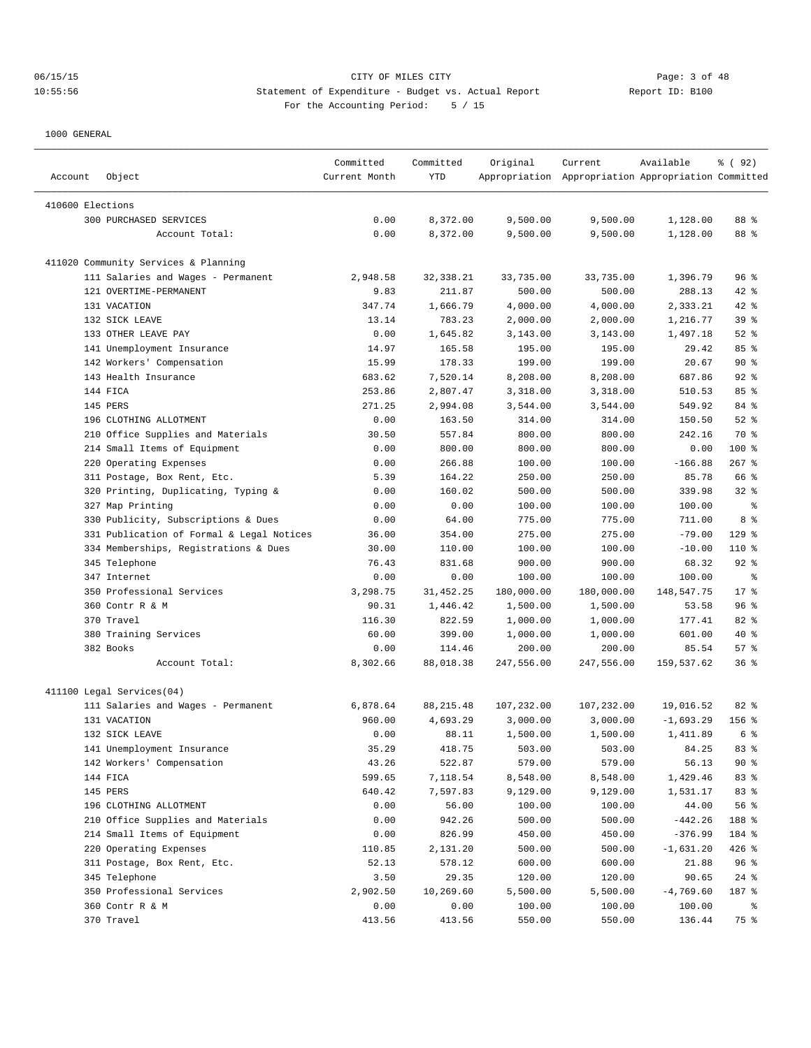| Account          | Object                                    | Committed<br>Current Month | Committed<br>YTD | Original   | Current<br>Appropriation Appropriation Appropriation Committed | Available   | १ ( 92)  |
|------------------|-------------------------------------------|----------------------------|------------------|------------|----------------------------------------------------------------|-------------|----------|
| 410600 Elections |                                           |                            |                  |            |                                                                |             |          |
|                  | 300 PURCHASED SERVICES                    | 0.00                       | 8,372.00         | 9,500.00   | 9,500.00                                                       | 1,128.00    | 88 %     |
|                  | Account Total:                            | 0.00                       | 8,372.00         | 9,500.00   | 9,500.00                                                       | 1,128.00    | 88 %     |
|                  | 411020 Community Services & Planning      |                            |                  |            |                                                                |             |          |
|                  | 111 Salaries and Wages - Permanent        | 2,948.58                   | 32, 338.21       | 33,735.00  | 33,735.00                                                      | 1,396.79    | 96%      |
|                  | 121 OVERTIME-PERMANENT                    | 9.83                       | 211.87           | 500.00     | 500.00                                                         | 288.13      | $42$ %   |
|                  | 131 VACATION                              | 347.74                     | 1,666.79         | 4,000.00   | 4,000.00                                                       | 2,333.21    | $42$ %   |
|                  | 132 SICK LEAVE                            | 13.14                      | 783.23           | 2,000.00   | 2,000.00                                                       | 1,216.77    | 39%      |
|                  | 133 OTHER LEAVE PAY                       | 0.00                       | 1,645.82         | 3,143.00   | 3,143.00                                                       | 1,497.18    | $52$ $%$ |
|                  | 141 Unemployment Insurance                | 14.97                      | 165.58           | 195.00     | 195.00                                                         | 29.42       | 85%      |
|                  | 142 Workers' Compensation                 | 15.99                      | 178.33           | 199.00     | 199.00                                                         | 20.67       | 90%      |
|                  | 143 Health Insurance                      | 683.62                     | 7,520.14         | 8,208.00   | 8,208.00                                                       | 687.86      | $92$ $%$ |
|                  | 144 FICA                                  | 253.86                     | 2,807.47         | 3,318.00   | 3,318.00                                                       | 510.53      | 85%      |
|                  | 145 PERS                                  | 271.25                     | 2,994.08         | 3,544.00   | 3,544.00                                                       | 549.92      | 84 %     |
|                  | 196 CLOTHING ALLOTMENT                    | 0.00                       | 163.50           | 314.00     | 314.00                                                         | 150.50      | $52$ $%$ |
|                  | 210 Office Supplies and Materials         | 30.50                      | 557.84           | 800.00     | 800.00                                                         | 242.16      | 70 %     |
|                  | 214 Small Items of Equipment              | 0.00                       | 800.00           | 800.00     | 800.00                                                         | 0.00        | $100$ %  |
|                  | 220 Operating Expenses                    | 0.00                       | 266.88           | 100.00     | 100.00                                                         | $-166.88$   | $267$ %  |
|                  | 311 Postage, Box Rent, Etc.               | 5.39                       | 164.22           | 250.00     | 250.00                                                         | 85.78       | 66 %     |
|                  | 320 Printing, Duplicating, Typing &       | 0.00                       | 160.02           | 500.00     | 500.00                                                         | 339.98      | $32$ $%$ |
|                  | 327 Map Printing                          | 0.00                       | 0.00             | 100.00     | 100.00                                                         | 100.00      | ႜ        |
|                  | 330 Publicity, Subscriptions & Dues       | 0.00                       | 64.00            | 775.00     | 775.00                                                         | 711.00      | 8 %      |
|                  | 331 Publication of Formal & Legal Notices | 36.00                      | 354.00           | 275.00     | 275.00                                                         | $-79.00$    | $129$ %  |
|                  | 334 Memberships, Registrations & Dues     | 30.00                      | 110.00           | 100.00     | 100.00                                                         | $-10.00$    | 110 %    |
|                  | 345 Telephone                             | 76.43                      | 831.68           | 900.00     | 900.00                                                         | 68.32       | $92$ $%$ |
|                  | 347 Internet                              | 0.00                       | 0.00             | 100.00     | 100.00                                                         | 100.00      | ి        |
|                  | 350 Professional Services                 | 3,298.75                   | 31, 452.25       | 180,000.00 | 180,000.00                                                     | 148,547.75  | $17*$    |
|                  | 360 Contr R & M                           | 90.31                      | 1,446.42         | 1,500.00   | 1,500.00                                                       | 53.58       | 96%      |
|                  | 370 Travel                                | 116.30                     | 822.59           | 1,000.00   | 1,000.00                                                       | 177.41      | 82 %     |
|                  | 380 Training Services                     | 60.00                      | 399.00           | 1,000.00   | 1,000.00                                                       | 601.00      | $40*$    |
|                  | 382 Books                                 | 0.00                       | 114.46           | 200.00     | 200.00                                                         | 85.54       | 57%      |
|                  | Account Total:                            | 8,302.66                   | 88,018.38        | 247,556.00 | 247,556.00                                                     | 159,537.62  | 36%      |
|                  | 411100 Legal Services(04)                 |                            |                  |            |                                                                |             |          |
|                  | 111 Salaries and Wages - Permanent        | 6,878.64                   | 88, 215.48       | 107,232.00 | 107,232.00                                                     | 19,016.52   | 82%      |
|                  | 131 VACATION                              | 960.00                     | 4,693.29         | 3,000.00   | 3,000.00                                                       | $-1,693.29$ | $156$ %  |
|                  | 132 SICK LEAVE                            | 0.00                       | 88.11            | 1,500.00   | 1,500.00                                                       | 1,411.89    | 6 %      |
|                  | 141 Unemployment Insurance                | 35.29                      | 418.75           | 503.00     | 503.00                                                         | 84.25       | 83 %     |
|                  | 142 Workers' Compensation                 | 43.26                      | 522.87           | 579.00     | 579.00                                                         | 56.13       | $90*$    |
|                  | 144 FICA                                  | 599.65                     | 7,118.54         | 8,548.00   | 8,548.00                                                       | 1,429.46    | 83 %     |
|                  | 145 PERS                                  | 640.42                     | 7,597.83         | 9,129.00   | 9,129.00                                                       | 1,531.17    | 83 %     |
|                  | 196 CLOTHING ALLOTMENT                    | 0.00                       | 56.00            | 100.00     | 100.00                                                         | 44.00       | 56 %     |
|                  | 210 Office Supplies and Materials         | 0.00                       | 942.26           | 500.00     | 500.00                                                         | $-442.26$   | 188 %    |
|                  | 214 Small Items of Equipment              | 0.00                       | 826.99           | 450.00     | 450.00                                                         | $-376.99$   | 184 %    |
|                  | 220 Operating Expenses                    | 110.85                     | 2,131.20         | 500.00     | 500.00                                                         | $-1,631.20$ | $426$ %  |
|                  | 311 Postage, Box Rent, Etc.               | 52.13                      | 578.12           | 600.00     | 600.00                                                         | 21.88       | 96%      |
|                  | 345 Telephone                             | 3.50                       | 29.35            | 120.00     | 120.00                                                         | 90.65       | $24$ %   |
|                  | 350 Professional Services                 | 2,902.50                   | 10,269.60        | 5,500.00   | 5,500.00                                                       | $-4,769.60$ | 187 %    |
|                  | 360 Contr R & M                           | 0.00                       | 0.00             | 100.00     | 100.00                                                         | 100.00      | ႜૢ       |
|                  | 370 Travel                                | 413.56                     | 413.56           | 550.00     | 550.00                                                         | 136.44      | 75 %     |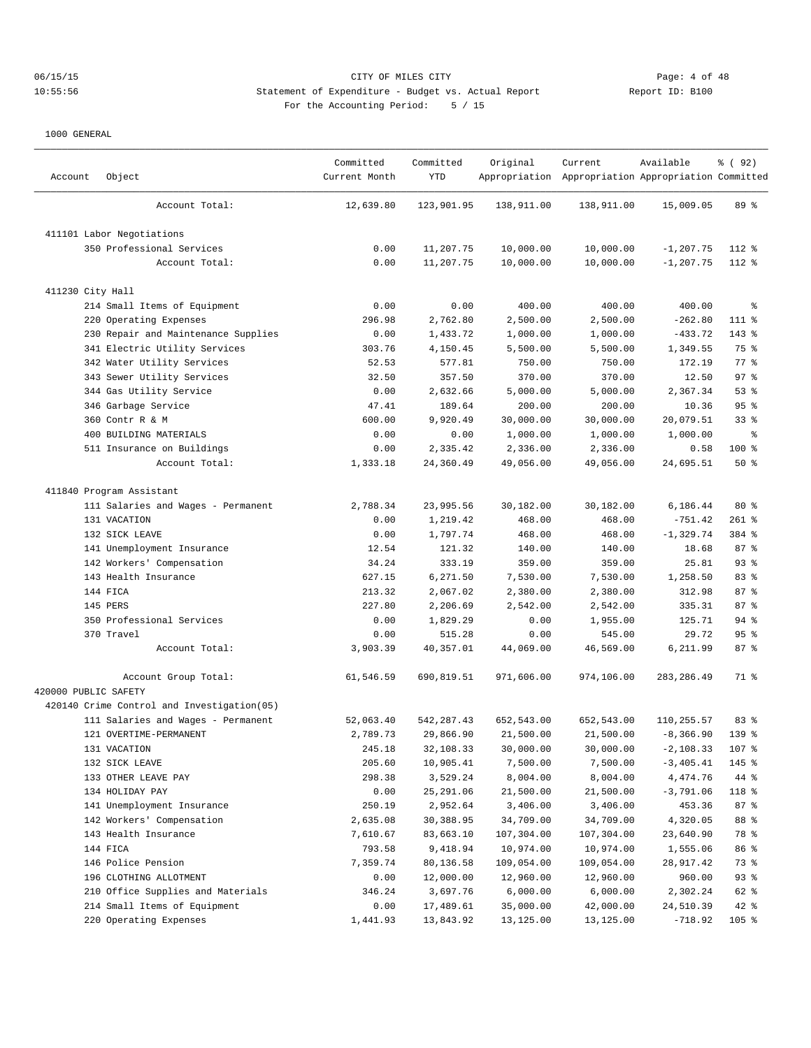# 06/15/15 CITY OF MILES CITY Page: 4 of 48 10:55:56 Statement of Expenditure - Budget vs. Actual Report Changer Report ID: B100 For the Accounting Period: 5 / 15

| Account              | Object                                     | Committed<br>Current Month | Committed<br>YTD | Original   | Current<br>Appropriation Appropriation Appropriation Committed | Available    | १ ( 92)         |
|----------------------|--------------------------------------------|----------------------------|------------------|------------|----------------------------------------------------------------|--------------|-----------------|
|                      | Account Total:                             | 12,639.80                  | 123,901.95       | 138,911.00 | 138,911.00                                                     | 15,009.05    | 89 %            |
|                      | 411101 Labor Negotiations                  |                            |                  |            |                                                                |              |                 |
|                      | 350 Professional Services                  | 0.00                       | 11,207.75        | 10,000.00  | 10,000.00                                                      | $-1, 207.75$ | 112 %           |
|                      | Account Total:                             | 0.00                       | 11,207.75        | 10,000.00  | 10,000.00                                                      | $-1, 207.75$ | 112 %           |
| 411230 City Hall     |                                            |                            |                  |            |                                                                |              |                 |
|                      | 214 Small Items of Equipment               | 0.00                       | 0.00             | 400.00     | 400.00                                                         | 400.00       | နွ              |
|                      | 220 Operating Expenses                     | 296.98                     | 2,762.80         | 2,500.00   | 2,500.00                                                       | $-262.80$    | 111 %           |
|                      | 230 Repair and Maintenance Supplies        | 0.00                       | 1,433.72         | 1,000.00   | 1,000.00                                                       | $-433.72$    | $143$ %         |
|                      | 341 Electric Utility Services              | 303.76                     | 4,150.45         | 5,500.00   | 5,500.00                                                       | 1,349.55     | 75 %            |
|                      | 342 Water Utility Services                 | 52.53                      | 577.81           | 750.00     | 750.00                                                         | 172.19       | 77.8            |
|                      | 343 Sewer Utility Services                 | 32.50                      | 357.50           | 370.00     | 370.00                                                         | 12.50        | 97%             |
|                      | 344 Gas Utility Service                    | 0.00                       | 2,632.66         | 5,000.00   | 5,000.00                                                       | 2,367.34     | 53%             |
|                      | 346 Garbage Service                        | 47.41                      | 189.64           | 200.00     | 200.00                                                         | 10.36        | 95%             |
|                      | 360 Contr R & M                            | 600.00                     | 9,920.49         | 30,000.00  | 30,000.00                                                      | 20,079.51    | 33 <sup>8</sup> |
|                      | 400 BUILDING MATERIALS                     | 0.00                       | 0.00             | 1,000.00   | 1,000.00                                                       | 1,000.00     | နွ              |
|                      | 511 Insurance on Buildings                 | 0.00                       | 2,335.42         | 2,336.00   | 2,336.00                                                       | 0.58         | 100 %           |
|                      | Account Total:                             | 1,333.18                   | 24,360.49        | 49,056.00  | 49,056.00                                                      | 24,695.51    | 50%             |
|                      | 411840 Program Assistant                   |                            |                  |            |                                                                |              |                 |
|                      | 111 Salaries and Wages - Permanent         | 2,788.34                   | 23,995.56        | 30,182.00  | 30,182.00                                                      | 6,186.44     | $80*$           |
|                      | 131 VACATION                               | 0.00                       | 1,219.42         | 468.00     | 468.00                                                         | $-751.42$    | $261$ %         |
|                      | 132 SICK LEAVE                             | 0.00                       | 1,797.74         | 468.00     | 468.00                                                         | $-1, 329.74$ | 384 %           |
|                      | 141 Unemployment Insurance                 | 12.54                      | 121.32           | 140.00     | 140.00                                                         | 18.68        | 87%             |
|                      | 142 Workers' Compensation                  | 34.24                      | 333.19           | 359.00     | 359.00                                                         | 25.81        | 93%             |
|                      | 143 Health Insurance                       | 627.15                     | 6,271.50         | 7,530.00   | 7,530.00                                                       | 1,258.50     | 83 %            |
|                      | 144 FICA                                   | 213.32                     | 2,067.02         | 2,380.00   | 2,380.00                                                       | 312.98       | 87%             |
|                      | 145 PERS                                   | 227.80                     | 2,206.69         | 2,542.00   | 2,542.00                                                       | 335.31       | 87%             |
|                      | 350 Professional Services                  | 0.00                       | 1,829.29         | 0.00       | 1,955.00                                                       | 125.71       | $94$ %          |
|                      | 370 Travel                                 | 0.00                       | 515.28           | 0.00       | 545.00                                                         | 29.72        | 95%             |
|                      | Account Total:                             | 3,903.39                   | 40,357.01        | 44,069.00  | 46,569.00                                                      | 6,211.99     | 87%             |
| 420000 PUBLIC SAFETY | Account Group Total:                       | 61,546.59                  | 690,819.51       | 971,606.00 | 974,106.00                                                     | 283, 286.49  | 71 %            |
|                      | 420140 Crime Control and Investigation(05) |                            |                  |            |                                                                |              |                 |
|                      | 111 Salaries and Wages - Permanent         | 52,063.40                  | 542, 287.43      | 652,543.00 | 652,543.00                                                     | 110,255.57   | 83%             |
|                      | 121 OVERTIME-PERMANENT                     | 2,789.73                   | 29,866.90        | 21,500.00  | 21,500.00                                                      | $-8, 366.90$ | $139$ $%$       |
|                      | 131 VACATION                               | 245.18                     | 32,108.33        | 30,000.00  | 30,000.00                                                      | $-2,108.33$  | 107 %           |
|                      | 132 SICK LEAVE                             | 205.60                     | 10,905.41        | 7,500.00   | 7,500.00                                                       | $-3,405.41$  | 145 %           |
|                      | 133 OTHER LEAVE PAY                        | 298.38                     | 3,529.24         | 8,004.00   | 8,004.00                                                       | 4,474.76     | 44 %            |
|                      | 134 HOLIDAY PAY                            | 0.00                       | 25,291.06        | 21,500.00  | 21,500.00                                                      | $-3,791.06$  | 118 %           |
|                      | 141 Unemployment Insurance                 | 250.19                     | 2,952.64         | 3,406.00   | 3,406.00                                                       | 453.36       | 87 %            |
|                      | 142 Workers' Compensation                  | 2,635.08                   | 30,388.95        | 34,709.00  | 34,709.00                                                      | 4,320.05     | 88 %            |
|                      | 143 Health Insurance                       | 7,610.67                   | 83,663.10        | 107,304.00 | 107,304.00                                                     | 23,640.90    | 78 %            |
|                      | 144 FICA                                   | 793.58                     | 9,418.94         | 10,974.00  | 10,974.00                                                      | 1,555.06     | 86 %            |
|                      | 146 Police Pension                         | 7,359.74                   | 80,136.58        | 109,054.00 | 109,054.00                                                     | 28,917.42    | 73 %            |
|                      | 196 CLOTHING ALLOTMENT                     | 0.00                       | 12,000.00        | 12,960.00  | 12,960.00                                                      | 960.00       | 93%             |
|                      | 210 Office Supplies and Materials          | 346.24                     | 3,697.76         | 6,000.00   | 6,000.00                                                       | 2,302.24     | 62 %            |
|                      | 214 Small Items of Equipment               | 0.00                       | 17,489.61        | 35,000.00  | 42,000.00                                                      | 24,510.39    | $42$ %          |
|                      | 220 Operating Expenses                     | 1,441.93                   | 13,843.92        | 13,125.00  | 13,125.00                                                      | $-718.92$    | $105$ %         |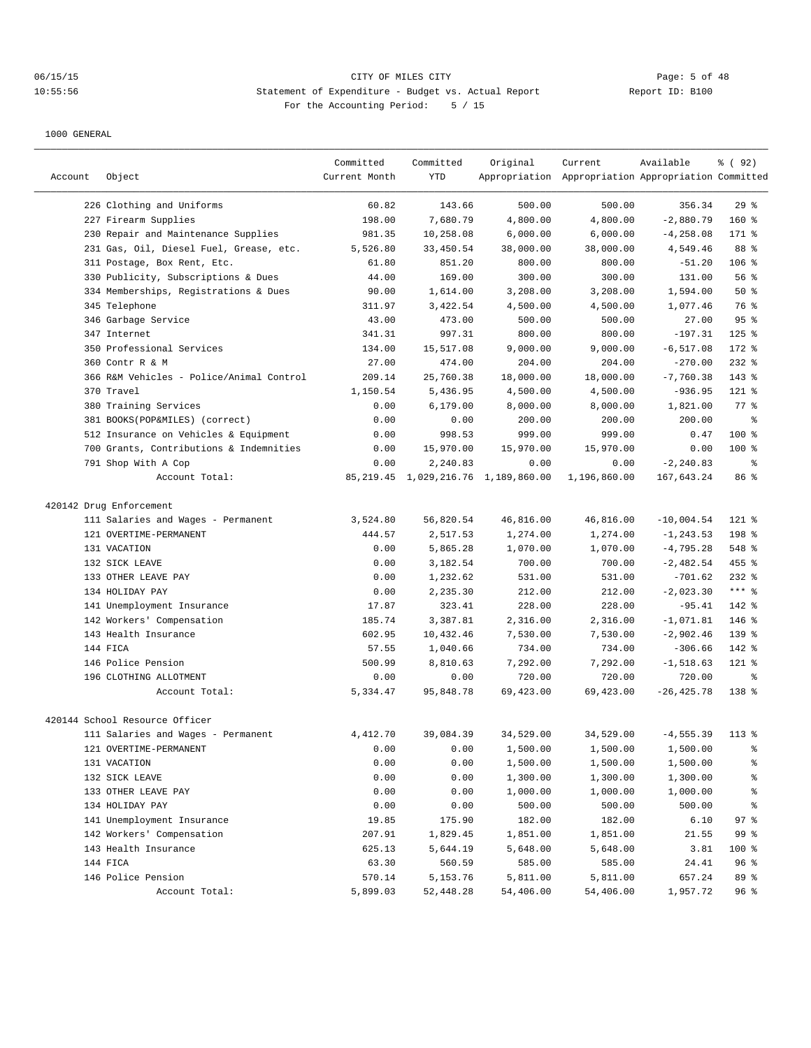| Account | Object                                                      | Committed<br>Current Month | Committed<br><b>YTD</b> | Original                                 | Current<br>Appropriation Appropriation Appropriation Committed | Available                   | १ ( 92)          |
|---------|-------------------------------------------------------------|----------------------------|-------------------------|------------------------------------------|----------------------------------------------------------------|-----------------------------|------------------|
|         |                                                             |                            |                         |                                          |                                                                |                             |                  |
|         | 226 Clothing and Uniforms                                   | 60.82<br>198.00            | 143.66                  | 500.00                                   | 500.00                                                         | 356.34                      | 29%              |
|         | 227 Firearm Supplies<br>230 Repair and Maintenance Supplies | 981.35                     | 7,680.79<br>10,258.08   | 4,800.00<br>6,000.00                     | 4,800.00<br>6,000.00                                           | $-2,880.79$<br>$-4, 258.08$ | $160*$<br>171 %  |
|         | 231 Gas, Oil, Diesel Fuel, Grease, etc.                     | 5,526.80                   | 33,450.54               | 38,000.00                                | 38,000.00                                                      | 4,549.46                    | 88 %             |
|         | 311 Postage, Box Rent, Etc.                                 | 61.80                      | 851.20                  | 800.00                                   | 800.00                                                         | $-51.20$                    | $106$ %          |
|         | 330 Publicity, Subscriptions & Dues                         | 44.00                      | 169.00                  | 300.00                                   | 300.00                                                         | 131.00                      | 56 %             |
|         | 334 Memberships, Registrations & Dues                       | 90.00                      | 1,614.00                | 3,208.00                                 | 3,208.00                                                       | 1,594.00                    | 50%              |
|         | 345 Telephone                                               | 311.97                     | 3,422.54                | 4,500.00                                 | 4,500.00                                                       | 1,077.46                    | 76 %             |
|         | 346 Garbage Service                                         | 43.00                      | 473.00                  | 500.00                                   | 500.00                                                         | 27.00                       | 95%              |
|         | 347 Internet                                                | 341.31                     | 997.31                  | 800.00                                   | 800.00                                                         | $-197.31$                   | $125$ %          |
|         | 350 Professional Services                                   | 134.00                     | 15,517.08               | 9,000.00                                 | 9,000.00                                                       | $-6, 517.08$                | $172$ $%$        |
|         | 360 Contr R & M                                             | 27.00                      | 474.00                  | 204.00                                   | 204.00                                                         | $-270.00$                   | $232$ $%$        |
|         | 366 R&M Vehicles - Police/Animal Control                    | 209.14                     | 25,760.38               | 18,000.00                                | 18,000.00                                                      | $-7,760.38$                 | 143 %            |
|         | 370 Travel                                                  | 1,150.54                   | 5,436.95                | 4,500.00                                 | 4,500.00                                                       | $-936.95$                   | 121 %            |
|         | 380 Training Services                                       | 0.00                       | 6, 179.00               | 8,000.00                                 | 8,000.00                                                       | 1,821.00                    | 77.8             |
|         | 381 BOOKS(POP&MILES) (correct)                              | 0.00                       | 0.00                    | 200.00                                   | 200.00                                                         | 200.00                      | ి                |
|         | 512 Insurance on Vehicles & Equipment                       | 0.00                       | 998.53                  | 999.00                                   | 999.00                                                         | 0.47                        | $100$ %          |
|         | 700 Grants, Contributions & Indemnities                     | 0.00                       | 15,970.00               | 15,970.00                                | 15,970.00                                                      | 0.00                        | $100$ %          |
|         | 791 Shop With A Cop                                         | 0.00                       | 2,240.83                | 0.00                                     | 0.00                                                           | $-2, 240.83$                | $\epsilon$       |
|         | Account Total:                                              |                            |                         | 85, 219.45 1, 029, 216.76 1, 189, 860.00 | 1,196,860.00                                                   | 167,643.24                  | 86 %             |
|         | 420142 Drug Enforcement                                     |                            |                         |                                          |                                                                |                             |                  |
|         | 111 Salaries and Wages - Permanent                          | 3,524.80                   | 56,820.54               | 46,816.00                                | 46,816.00                                                      | $-10,004.54$                | $121$ %          |
|         | 121 OVERTIME-PERMANENT                                      | 444.57                     | 2,517.53                | 1,274.00                                 | 1,274.00                                                       | $-1, 243.53$                | 198 %            |
|         | 131 VACATION                                                | 0.00                       | 5,865.28                | 1,070.00                                 | 1,070.00                                                       | $-4,795.28$                 | 548 %            |
|         | 132 SICK LEAVE                                              | 0.00                       | 3,182.54                | 700.00                                   | 700.00                                                         | $-2,482.54$                 | 455 %            |
|         | 133 OTHER LEAVE PAY                                         | 0.00                       | 1,232.62                | 531.00                                   | 531.00                                                         | $-701.62$                   | $232$ $%$        |
|         | 134 HOLIDAY PAY                                             | 0.00                       | 2,235.30                | 212.00                                   | 212.00                                                         | $-2,023.30$                 | *** 응            |
|         | 141 Unemployment Insurance                                  | 17.87                      | 323.41                  | 228.00                                   | 228.00                                                         | $-95.41$                    | 142 %            |
|         | 142 Workers' Compensation                                   | 185.74                     | 3,387.81                | 2,316.00                                 | 2,316.00                                                       | $-1,071.81$                 | $146$ %          |
|         | 143 Health Insurance                                        | 602.95                     | 10,432.46               | 7,530.00                                 | 7,530.00                                                       | $-2,902.46$                 | $139$ $%$        |
|         | 144 FICA                                                    | 57.55                      | 1,040.66                | 734.00                                   | 734.00                                                         | $-306.66$                   | 142 %            |
|         | 146 Police Pension                                          | 500.99                     | 8,810.63                | 7,292.00                                 | 7,292.00                                                       | $-1,518.63$                 | $121$ %          |
|         | 196 CLOTHING ALLOTMENT                                      | 0.00                       | 0.00                    | 720.00                                   | 720.00                                                         | 720.00                      | နွ               |
|         | Account Total:                                              | 5,334.47                   | 95,848.78               | 69,423.00                                | 69,423.00                                                      | $-26, 425.78$               | 138 %            |
|         | 420144 School Resource Officer                              |                            |                         |                                          |                                                                |                             |                  |
|         | 111 Salaries and Wages - Permanent                          | 4,412.70                   | 39,084.39               | 34,529.00                                | 34,529.00                                                      | $-4, 555.39$                | $113*$           |
|         | 121 OVERTIME-PERMANENT                                      | 0.00                       | 0.00                    | 1,500.00                                 | 1,500.00                                                       | 1,500.00                    | ိန               |
|         | 131 VACATION                                                | 0.00                       | 0.00                    | 1,500.00                                 | 1,500.00                                                       | 1,500.00                    | န့               |
|         | 132 SICK LEAVE                                              | 0.00                       | 0.00                    | 1,300.00                                 | 1,300.00                                                       | 1,300.00                    | $\frac{6}{3}$    |
|         | 133 OTHER LEAVE PAY                                         | 0.00                       | 0.00                    | 1,000.00                                 | 1,000.00                                                       | 1,000.00                    | $\,{}^{\circ}\!$ |
|         | 134 HOLIDAY PAY                                             | 0.00                       | 0.00                    | 500.00                                   | 500.00                                                         | 500.00                      | ိင               |
|         | 141 Unemployment Insurance                                  | 19.85                      | 175.90                  | 182.00                                   | 182.00                                                         | 6.10                        | 97%              |
|         | 142 Workers' Compensation                                   | 207.91                     | 1,829.45                | 1,851.00                                 | 1,851.00                                                       | 21.55                       | 99 %             |
|         | 143 Health Insurance                                        | 625.13                     | 5,644.19                | 5,648.00                                 | 5,648.00                                                       | 3.81                        | 100 %            |
|         | 144 FICA                                                    | 63.30                      | 560.59                  | 585.00                                   | 585.00                                                         | 24.41                       | 96%              |
|         | 146 Police Pension                                          | 570.14                     | 5,153.76                | 5,811.00                                 | 5,811.00                                                       | 657.24                      | 89 %             |
|         | Account Total:                                              | 5,899.03                   | 52,448.28               | 54,406.00                                | 54,406.00                                                      | 1,957.72                    | 96 %             |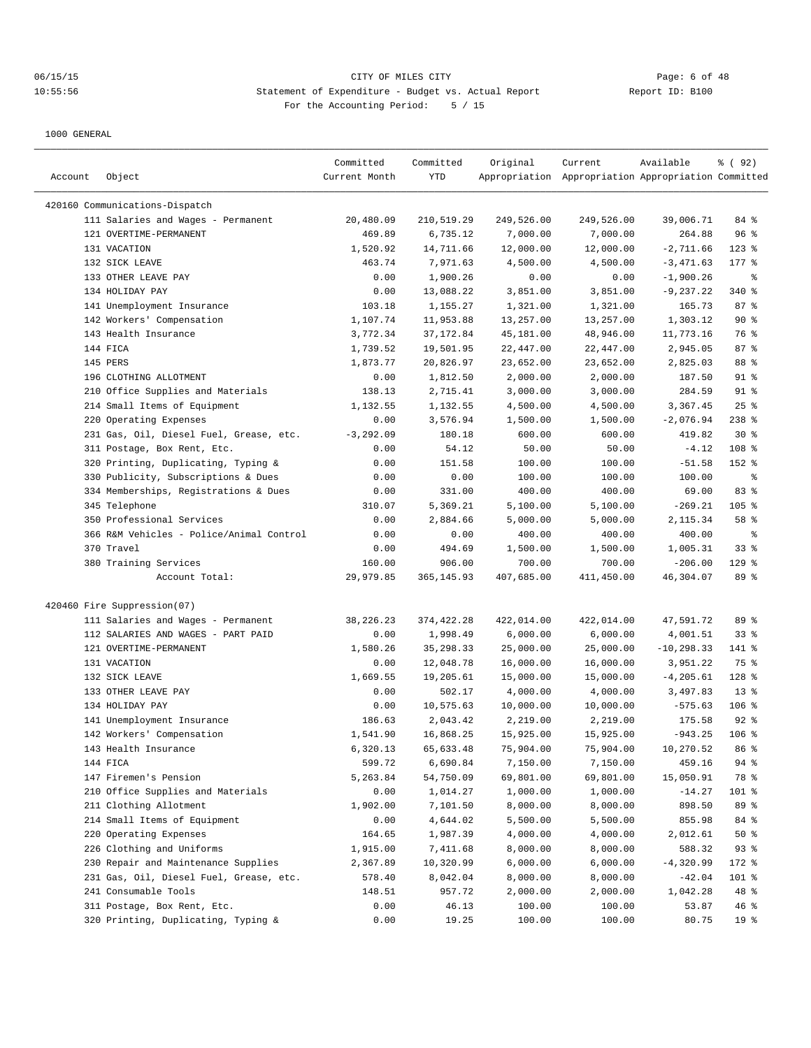|         |                                          | Committed     | Committed    | Original   | Current                                             | Available     | % (92)          |
|---------|------------------------------------------|---------------|--------------|------------|-----------------------------------------------------|---------------|-----------------|
| Account | Object                                   | Current Month | YTD          |            | Appropriation Appropriation Appropriation Committed |               |                 |
|         | 420160 Communications-Dispatch           |               |              |            |                                                     |               |                 |
|         | 111 Salaries and Wages - Permanent       | 20,480.09     | 210,519.29   | 249,526.00 | 249,526.00                                          | 39,006.71     | 84 %            |
|         | 121 OVERTIME-PERMANENT                   | 469.89        | 6,735.12     | 7,000.00   | 7,000.00                                            | 264.88        | 96%             |
|         | 131 VACATION                             | 1,520.92      | 14,711.66    | 12,000.00  | 12,000.00                                           | $-2,711.66$   | $123$ %         |
|         | 132 SICK LEAVE                           | 463.74        | 7,971.63     | 4,500.00   | 4,500.00                                            | $-3,471.63$   | $177$ %         |
|         | 133 OTHER LEAVE PAY                      | 0.00          | 1,900.26     | 0.00       | 0.00                                                | $-1,900.26$   | နွ              |
|         | 134 HOLIDAY PAY                          | 0.00          | 13,088.22    | 3,851.00   | 3,851.00                                            | $-9, 237.22$  | 340%            |
|         | 141 Unemployment Insurance               | 103.18        | 1,155.27     | 1,321.00   | 1,321.00                                            | 165.73        | 87%             |
|         | 142 Workers' Compensation                | 1,107.74      | 11,953.88    | 13,257.00  | 13,257.00                                           | 1,303.12      | 90%             |
|         | 143 Health Insurance                     | 3,772.34      | 37, 172.84   | 45,181.00  | 48,946.00                                           | 11,773.16     | 76 %            |
|         | 144 FICA                                 | 1,739.52      | 19,501.95    | 22,447.00  | 22,447.00                                           | 2,945.05      | 87%             |
|         | 145 PERS                                 | 1,873.77      | 20,826.97    | 23,652.00  | 23,652.00                                           | 2,825.03      | 88 %            |
|         | 196 CLOTHING ALLOTMENT                   | 0.00          | 1,812.50     | 2,000.00   | 2,000.00                                            | 187.50        | $91$ %          |
|         | 210 Office Supplies and Materials        | 138.13        | 2,715.41     | 3,000.00   | 3,000.00                                            | 284.59        | 91 %            |
|         | 214 Small Items of Equipment             | 1,132.55      | 1,132.55     | 4,500.00   | 4,500.00                                            | 3,367.45      | 25%             |
|         | 220 Operating Expenses                   | 0.00          | 3,576.94     | 1,500.00   | 1,500.00                                            | $-2,076.94$   | $238$ %         |
|         | 231 Gas, Oil, Diesel Fuel, Grease, etc.  | $-3, 292.09$  | 180.18       | 600.00     | 600.00                                              | 419.82        | $30*$           |
|         | 311 Postage, Box Rent, Etc.              | 0.00          | 54.12        | 50.00      | 50.00                                               | $-4.12$       | 108 %           |
|         | 320 Printing, Duplicating, Typing &      | 0.00          | 151.58       | 100.00     | 100.00                                              | $-51.58$      | 152 %           |
| 330     | Publicity, Subscriptions & Dues          | 0.00          | 0.00         | 100.00     | 100.00                                              | 100.00        | ႜ               |
|         | 334 Memberships, Registrations & Dues    | 0.00          | 331.00       | 400.00     | 400.00                                              | 69.00         | 83 %            |
|         | 345 Telephone                            | 310.07        | 5,369.21     | 5,100.00   | 5,100.00                                            | $-269.21$     | $105$ %         |
|         | 350 Professional Services                | 0.00          | 2,884.66     | 5,000.00   | 5,000.00                                            | 2,115.34      | 58 %            |
|         | 366 R&M Vehicles - Police/Animal Control | 0.00          | 0.00         | 400.00     | 400.00                                              | 400.00        | $\epsilon$      |
|         | 370 Travel                               | 0.00          | 494.69       | 1,500.00   | 1,500.00                                            | 1,005.31      | 33%             |
|         | 380 Training Services                    | 160.00        | 906.00       | 700.00     | 700.00                                              | $-206.00$     | $129$ %         |
|         | Account Total:                           | 29,979.85     | 365, 145.93  | 407,685.00 | 411,450.00                                          | 46,304.07     | 89 %            |
|         |                                          |               |              |            |                                                     |               |                 |
|         | 420460 Fire Suppression(07)              |               |              |            |                                                     |               |                 |
|         | 111 Salaries and Wages - Permanent       | 38,226.23     | 374, 422. 28 | 422,014.00 | 422,014.00                                          | 47,591.72     | 89 %            |
|         | 112 SALARIES AND WAGES - PART PAID       | 0.00          | 1,998.49     | 6,000.00   | 6,000.00                                            | 4,001.51      | 33%             |
|         | 121 OVERTIME-PERMANENT                   | 1,580.26      | 35, 298.33   | 25,000.00  | 25,000.00                                           | $-10, 298.33$ | 141 %           |
|         | 131 VACATION                             | 0.00          | 12,048.78    | 16,000.00  | 16,000.00                                           | 3,951.22      | 75 %            |
|         | 132 SICK LEAVE                           | 1,669.55      | 19,205.61    | 15,000.00  | 15,000.00                                           | $-4, 205.61$  | 128 %           |
|         | 133 OTHER LEAVE PAY                      | 0.00          | 502.17       | 4,000.00   | 4,000.00                                            | 3,497.83      | $13*$           |
|         | 134 HOLIDAY PAY                          | 0.00          | 10,575.63    | 10,000.00  | 10,000.00                                           | $-575.63$     | $106$ %         |
|         | 141 Unemployment Insurance               | 186.63        | 2,043.42     | 2,219.00   | 2,219.00                                            | 175.58        | $92$ $%$        |
|         | 142 Workers' Compensation                | 1,541.90      | 16,868.25    | 15,925.00  | 15,925.00                                           | $-943.25$     | $106$ %         |
|         | 143 Health Insurance                     | 6,320.13      | 65,633.48    | 75,904.00  | 75,904.00                                           | 10,270.52     | 86 %            |
|         | 144 FICA                                 | 599.72        | 6,690.84     | 7,150.00   | 7,150.00                                            | 459.16        | 94 %            |
|         | 147 Firemen's Pension                    | 5,263.84      | 54,750.09    | 69,801.00  | 69,801.00                                           | 15,050.91     | 78 %            |
|         | 210 Office Supplies and Materials        | 0.00          | 1,014.27     | 1,000.00   | 1,000.00                                            | $-14.27$      | 101 %           |
|         | 211 Clothing Allotment                   | 1,902.00      | 7,101.50     | 8,000.00   | 8,000.00                                            | 898.50        | 89 %            |
|         | 214 Small Items of Equipment             | 0.00          | 4,644.02     | 5,500.00   | 5,500.00                                            | 855.98        | 84 %            |
|         | 220 Operating Expenses                   | 164.65        | 1,987.39     | 4,000.00   | 4,000.00                                            | 2,012.61      | 50%             |
|         | 226 Clothing and Uniforms                | 1,915.00      | 7,411.68     | 8,000.00   | 8,000.00                                            | 588.32        | 93%             |
|         | 230 Repair and Maintenance Supplies      | 2,367.89      | 10,320.99    | 6,000.00   | 6,000.00                                            | $-4,320.99$   | 172 %           |
|         | 231 Gas, Oil, Diesel Fuel, Grease, etc.  | 578.40        | 8,042.04     | 8,000.00   | 8,000.00                                            | $-42.04$      | 101 %           |
|         | 241 Consumable Tools                     | 148.51        | 957.72       | 2,000.00   | 2,000.00                                            | 1,042.28      | 48 %            |
|         | 311 Postage, Box Rent, Etc.              | 0.00          | 46.13        | 100.00     | 100.00                                              | 53.87         | 46 %            |
|         | 320 Printing, Duplicating, Typing &      | 0.00          | 19.25        | 100.00     | 100.00                                              | 80.75         | 19 <sup>°</sup> |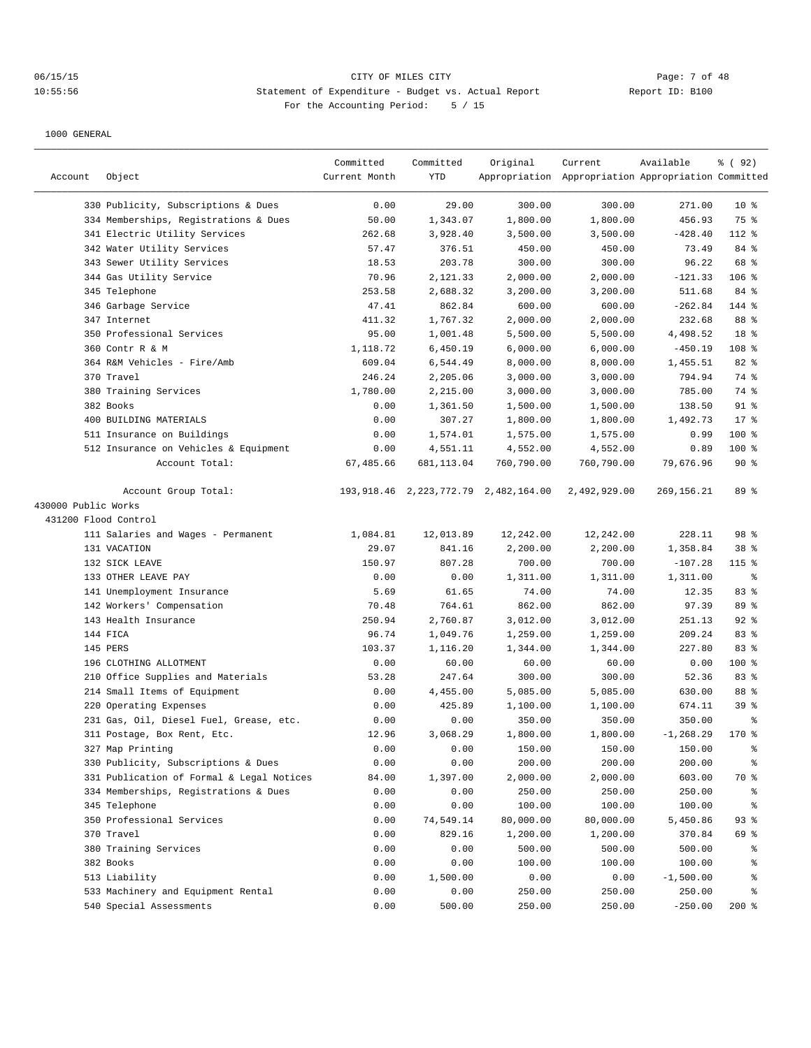# 06/15/15 CITY OF MILES CITY Page: 7 of 48 10:55:56 Statement of Expenditure - Budget vs. Actual Report Changer Report ID: B100 For the Accounting Period: 5 / 15

|                      |                                                                              | Committed     | Committed         | Original                                  | Current                                             | Available          | % (92)          |
|----------------------|------------------------------------------------------------------------------|---------------|-------------------|-------------------------------------------|-----------------------------------------------------|--------------------|-----------------|
| Account              | Object                                                                       | Current Month | YTD               |                                           | Appropriation Appropriation Appropriation Committed |                    |                 |
|                      |                                                                              |               |                   |                                           |                                                     |                    |                 |
|                      | 330 Publicity, Subscriptions & Dues<br>334 Memberships, Registrations & Dues | 0.00          | 29.00<br>1,343.07 | 300.00                                    | 300.00                                              | 271.00             | $10*$<br>75 %   |
|                      |                                                                              | 50.00         |                   | 1,800.00                                  | 1,800.00                                            | 456.93             |                 |
|                      | 341 Electric Utility Services                                                | 262.68        | 3,928.40          | 3,500.00                                  | 3,500.00                                            | $-428.40$<br>73.49 | 112 %<br>84 %   |
|                      | 342 Water Utility Services                                                   | 57.47         | 376.51            | 450.00                                    | 450.00                                              |                    | 68 %            |
|                      | 343 Sewer Utility Services                                                   | 18.53         | 203.78            | 300.00                                    | 300.00                                              | 96.22              |                 |
|                      | 344 Gas Utility Service                                                      | 70.96         | 2,121.33          | 2,000.00                                  | 2,000.00                                            | $-121.33$          | 106 %           |
|                      | 345 Telephone                                                                | 253.58        | 2,688.32          | 3,200.00                                  | 3,200.00                                            | 511.68             | 84 %            |
|                      | 346 Garbage Service                                                          | 47.41         | 862.84            | 600.00<br>2,000.00                        | 600.00                                              | $-262.84$          | 144 %           |
|                      | 347 Internet                                                                 | 411.32        | 1,767.32          |                                           | 2,000.00                                            | 232.68             | 88 %            |
|                      | 350 Professional Services                                                    | 95.00         | 1,001.48          | 5,500.00                                  | 5,500.00                                            | 4,498.52           | 18 %            |
|                      | 360 Contr R & M                                                              | 1,118.72      | 6,450.19          | 6,000.00                                  | 6,000.00                                            | $-450.19$          | 108 %           |
|                      | 364 R&M Vehicles - Fire/Amb                                                  | 609.04        | 6,544.49          | 8,000.00                                  | 8,000.00                                            | 1,455.51           | 82 %            |
|                      | 370 Travel                                                                   | 246.24        | 2,205.06          | 3,000.00                                  | 3,000.00                                            | 794.94             | 74 %            |
|                      | 380 Training Services                                                        | 1,780.00      | 2,215.00          | 3,000.00                                  | 3,000.00                                            | 785.00             | 74 %            |
|                      | 382 Books                                                                    | 0.00          | 1,361.50          | 1,500.00                                  | 1,500.00                                            | 138.50             | $91$ %          |
|                      | 400 BUILDING MATERIALS                                                       | 0.00          | 307.27            | 1,800.00                                  | 1,800.00                                            | 1,492.73           | $17*$           |
|                      | 511 Insurance on Buildings                                                   | 0.00          | 1,574.01          | 1,575.00                                  | 1,575.00                                            | 0.99               | 100 %           |
|                      | 512 Insurance on Vehicles & Equipment                                        | 0.00          | 4,551.11          | 4,552.00                                  | 4,552.00                                            | 0.89               | 100 %           |
|                      | Account Total:                                                               | 67,485.66     | 681, 113.04       | 760,790.00                                | 760,790.00                                          | 79,676.96          | 90%             |
|                      | Account Group Total:                                                         |               |                   | 193, 918.46 2, 223, 772.79 2, 482, 164.00 | 2,492,929.00                                        | 269,156.21         | 89 %            |
| 430000 Public Works  |                                                                              |               |                   |                                           |                                                     |                    |                 |
| 431200 Flood Control |                                                                              |               |                   |                                           |                                                     |                    |                 |
|                      | 111 Salaries and Wages - Permanent                                           | 1,084.81      | 12,013.89         | 12,242.00                                 | 12,242.00                                           | 228.11             | 98 %            |
|                      | 131 VACATION                                                                 | 29.07         | 841.16            | 2,200.00                                  | 2,200.00                                            | 1,358.84           | 38 %            |
|                      | 132 SICK LEAVE                                                               | 150.97        | 807.28            | 700.00                                    | 700.00                                              | $-107.28$          | 115 %           |
|                      | 133 OTHER LEAVE PAY                                                          | 0.00          | 0.00              | 1,311.00                                  | 1,311.00                                            | 1,311.00           | နွ              |
|                      | 141 Unemployment Insurance                                                   | 5.69          | 61.65             | 74.00                                     | 74.00                                               | 12.35              | 83 %            |
|                      | 142 Workers' Compensation                                                    | 70.48         | 764.61            | 862.00                                    | 862.00                                              | 97.39              | 89 %            |
|                      | 143 Health Insurance                                                         | 250.94        | 2,760.87          | 3,012.00                                  | 3,012.00                                            | 251.13             | $92$ %          |
|                      | 144 FICA                                                                     | 96.74         | 1,049.76          | 1,259.00                                  | 1,259.00                                            | 209.24             | 83 %            |
|                      | 145 PERS                                                                     | 103.37        | 1,116.20          | 1,344.00                                  | 1,344.00                                            | 227.80             | 83 %            |
|                      | 196 CLOTHING ALLOTMENT                                                       | 0.00          | 60.00             | 60.00                                     | 60.00                                               | 0.00               | 100 %           |
|                      | 210 Office Supplies and Materials                                            | 53.28         | 247.64            | 300.00                                    | 300.00                                              | 52.36              | 83 %            |
|                      | 214 Small Items of Equipment                                                 | 0.00          | 4,455.00          | 5,085.00                                  | 5,085.00                                            | 630.00             | 88 %            |
|                      | 220 Operating Expenses                                                       | 0.00          | 425.89            | 1,100.00                                  | 1,100.00                                            | 674.11             | 39 <sup>8</sup> |
|                      | 231 Gas, Oil, Diesel Fuel, Grease, etc.                                      | 0.00          | 0.00              | 350.00                                    | 350.00                                              | 350.00             | နွ              |
|                      | 311 Postage, Box Rent, Etc.                                                  | 12.96         | 3,068.29          | 1,800.00                                  | 1,800.00                                            | $-1, 268.29$       | 170%            |
|                      | 327 Map Printing                                                             | 0.00          | 0.00              | 150.00                                    | 150.00                                              | 150.00             | န့              |
|                      | 330 Publicity, Subscriptions & Dues                                          | 0.00          | 0.00              | 200.00                                    | 200.00                                              | 200.00             | န့              |
|                      | 331 Publication of Formal & Legal Notices                                    | 84.00         | 1,397.00          | 2,000.00                                  | 2,000.00                                            | 603.00             | 70 %            |
|                      | 334 Memberships, Registrations & Dues                                        | 0.00          | 0.00              | 250.00                                    | 250.00                                              | 250.00             |                 |
|                      |                                                                              |               |                   |                                           |                                                     |                    | နွ              |
|                      | 345 Telephone<br>350 Professional Services                                   | 0.00          | 0.00              | 100.00                                    | 100.00<br>80,000.00                                 | 100.00             | ್ಠಿ             |
|                      |                                                                              | 0.00          | 74,549.14         | 80,000.00                                 |                                                     | 5,450.86           | 93%             |
|                      | 370 Travel                                                                   | 0.00          | 829.16            | 1,200.00                                  | 1,200.00                                            | 370.84             | 69 %            |
|                      | 380 Training Services                                                        | 0.00          | 0.00              | 500.00                                    | 500.00                                              | 500.00             | နွ              |
|                      | 382 Books                                                                    | 0.00          | 0.00              | 100.00                                    | 100.00                                              | 100.00             | နွ              |
|                      | 513 Liability                                                                | 0.00          | 1,500.00          | 0.00                                      | 0.00                                                | $-1,500.00$        | နွ              |
|                      | 533 Machinery and Equipment Rental                                           | 0.00          | 0.00              | 250.00                                    | 250.00                                              | 250.00             | နွ              |
|                      | 540 Special Assessments                                                      | 0.00          | 500.00            | 250.00                                    | 250.00                                              | $-250.00$          | $200*$          |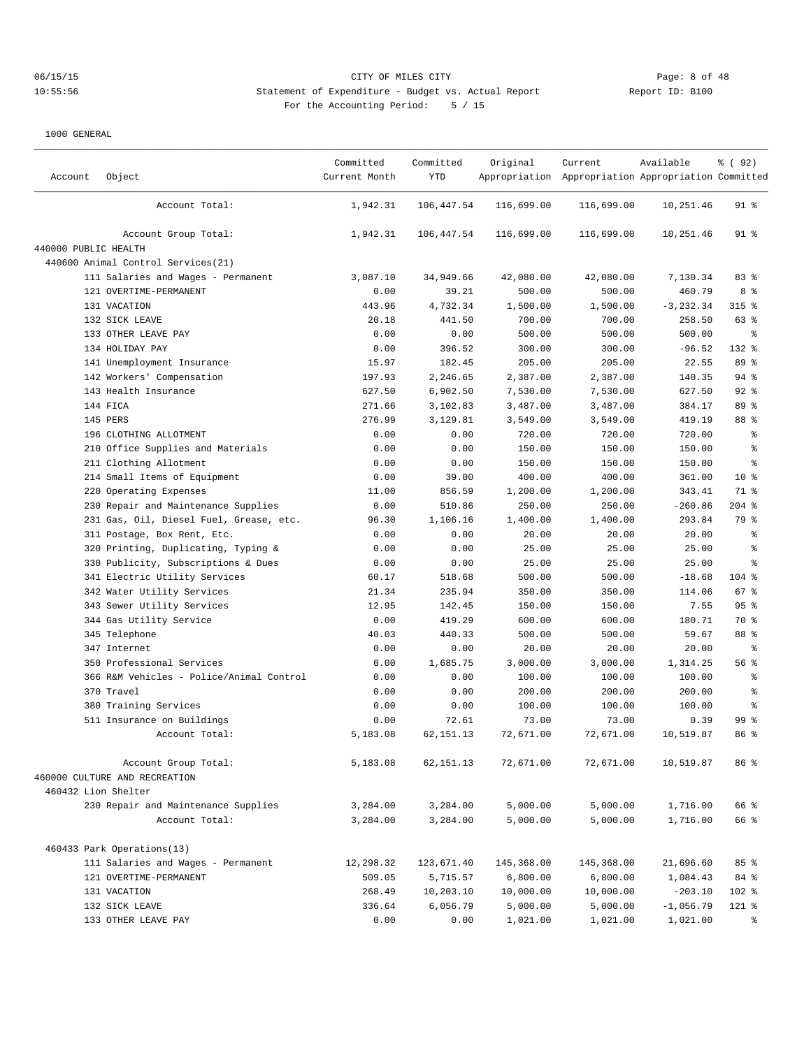# 06/15/15 CITY OF MILES CITY Page: 8 of 48 10:55:56 Statement of Expenditure - Budget vs. Actual Report Changer Report ID: B100 For the Accounting Period: 5 / 15

| Account              | Object                                   | Committed<br>Current Month | Committed<br><b>YTD</b> | Original   | Current<br>Appropriation Appropriation Appropriation Committed | Available    | % ( 92 )        |
|----------------------|------------------------------------------|----------------------------|-------------------------|------------|----------------------------------------------------------------|--------------|-----------------|
|                      | Account Total:                           | 1,942.31                   | 106,447.54              | 116,699.00 | 116,699.00                                                     | 10,251.46    | $91$ %          |
|                      | Account Group Total:                     | 1,942.31                   | 106,447.54              | 116,699.00 | 116,699.00                                                     | 10,251.46    | $91$ %          |
| 440000 PUBLIC HEALTH |                                          |                            |                         |            |                                                                |              |                 |
|                      | 440600 Animal Control Services (21)      |                            |                         |            |                                                                |              |                 |
|                      | 111 Salaries and Wages - Permanent       | 3,087.10                   | 34,949.66               | 42,080.00  | 42,080.00                                                      | 7,130.34     | 83 %            |
|                      | 121 OVERTIME-PERMANENT                   | 0.00                       | 39.21                   | 500.00     | 500.00                                                         | 460.79       | 8%              |
|                      | 131 VACATION                             | 443.96                     | 4,732.34                | 1,500.00   | 1,500.00                                                       | $-3, 232.34$ | $315$ %         |
|                      | 132 SICK LEAVE                           | 20.18                      | 441.50                  | 700.00     | 700.00                                                         | 258.50       | 63 %            |
|                      | 133 OTHER LEAVE PAY                      | 0.00                       | 0.00                    | 500.00     | 500.00                                                         | 500.00       | နွ              |
|                      | 134 HOLIDAY PAY                          | 0.00                       | 396.52                  | 300.00     | 300.00                                                         | $-96.52$     | 132 %           |
|                      | 141 Unemployment Insurance               | 15.97                      | 182.45                  | 205.00     | 205.00                                                         | 22.55        | 89 %            |
|                      | 142 Workers' Compensation                | 197.93                     | 2,246.65                | 2,387.00   | 2,387.00                                                       | 140.35       | $94$ %          |
|                      | 143 Health Insurance                     | 627.50                     | 6,902.50                | 7,530.00   | 7,530.00                                                       | 627.50       | $92$ $%$        |
|                      | 144 FICA                                 | 271.66                     | 3,102.83                | 3,487.00   | 3,487.00                                                       | 384.17       | 89 %            |
|                      | 145 PERS                                 | 276.99                     | 3,129.81                | 3,549.00   | 3,549.00                                                       | 419.19       | 88 %            |
|                      | 196 CLOTHING ALLOTMENT                   | 0.00                       | 0.00                    | 720.00     | 720.00                                                         | 720.00       | $\epsilon$      |
|                      | 210 Office Supplies and Materials        | 0.00                       | 0.00                    | 150.00     | 150.00                                                         | 150.00       | နွ              |
|                      | 211 Clothing Allotment                   | 0.00                       | 0.00                    | 150.00     | 150.00                                                         | 150.00       | $\epsilon$      |
|                      | 214 Small Items of Equipment             | 0.00                       | 39.00                   | 400.00     | 400.00                                                         | 361.00       | $10*$           |
|                      | 220 Operating Expenses                   | 11.00                      | 856.59                  | 1,200.00   | 1,200.00                                                       | 343.41       | 71 %            |
|                      | 230 Repair and Maintenance Supplies      | 0.00                       | 510.86                  | 250.00     | 250.00                                                         | $-260.86$    | $204$ %         |
|                      | 231 Gas, Oil, Diesel Fuel, Grease, etc.  | 96.30                      | 1,106.16                | 1,400.00   | 1,400.00                                                       | 293.84       | 79 %            |
|                      | 311 Postage, Box Rent, Etc.              | 0.00                       | 0.00                    | 20.00      | 20.00                                                          | 20.00        | ್ಠಿ             |
|                      | 320 Printing, Duplicating, Typing &      | 0.00                       | 0.00                    | 25.00      | 25.00                                                          | 25.00        | $\epsilon$      |
|                      | 330 Publicity, Subscriptions & Dues      | 0.00                       | 0.00                    | 25.00      | 25.00                                                          | 25.00        | နွ              |
|                      | 341 Electric Utility Services            | 60.17                      | 518.68                  | 500.00     | 500.00                                                         | $-18.68$     | $104$ %         |
|                      | 342 Water Utility Services               | 21.34                      | 235.94                  | 350.00     | 350.00                                                         | 114.06       | $67$ $%$        |
|                      | 343 Sewer Utility Services               | 12.95                      | 142.45                  | 150.00     | 150.00                                                         | 7.55         | 95%             |
|                      | 344 Gas Utility Service                  | 0.00                       | 419.29                  | 600.00     | 600.00                                                         | 180.71       | 70 %            |
|                      | 345 Telephone                            | 40.03                      | 440.33                  | 500.00     | 500.00                                                         | 59.67        | 88 %            |
|                      | 347 Internet                             | 0.00                       | 0.00                    | 20.00      | 20.00                                                          | 20.00        | န္              |
|                      | 350 Professional Services                | 0.00                       | 1,685.75                | 3,000.00   | 3,000.00                                                       | 1,314.25     | 56 %            |
|                      | 366 R&M Vehicles - Police/Animal Control | 0.00                       | 0.00                    | 100.00     | 100.00                                                         | 100.00       | $\epsilon$      |
|                      | 370 Travel                               | 0.00                       | 0.00                    | 200.00     | 200.00                                                         | 200.00       | $\epsilon$      |
|                      | 380 Training Services                    | 0.00                       | 0.00                    | 100.00     | 100.00                                                         | 100.00       | နွ              |
|                      | 511 Insurance on Buildings               | 0.00                       | 72.61                   | 73.00      | 73.00                                                          | 0.39         | 99 <sup>8</sup> |
|                      | Account Total:                           | 5,183.08                   | 62, 151. 13             | 72,671.00  | 72,671.00                                                      | 10,519.87    | 86%             |
|                      | Account Group Total:                     | 5,183.08                   | 62, 151. 13             | 72,671.00  | 72,671.00                                                      | 10,519.87    | 86 %            |
|                      | 460000 CULTURE AND RECREATION            |                            |                         |            |                                                                |              |                 |
|                      | 460432 Lion Shelter                      |                            |                         |            |                                                                |              |                 |
|                      | 230 Repair and Maintenance Supplies      | 3,284.00                   | 3,284.00                | 5,000.00   | 5,000.00                                                       | 1,716.00     | 66 %            |
|                      | Account Total:                           | 3,284.00                   | 3,284.00                | 5,000.00   | 5,000.00                                                       | 1,716.00     | 66 %            |
|                      | 460433 Park Operations(13)               |                            |                         |            |                                                                |              |                 |
|                      | 111 Salaries and Wages - Permanent       | 12,298.32                  | 123,671.40              | 145,368.00 | 145,368.00                                                     | 21,696.60    | 85%             |
|                      | 121 OVERTIME-PERMANENT                   | 509.05                     | 5,715.57                | 6,800.00   | 6,800.00                                                       | 1,084.43     | 84 %            |
|                      | 131 VACATION                             | 268.49                     | 10,203.10               | 10,000.00  | 10,000.00                                                      | $-203.10$    | 102 %           |
|                      | 132 SICK LEAVE                           | 336.64                     | 6,056.79                | 5,000.00   | 5,000.00                                                       | $-1,056.79$  | $121$ %         |
|                      | 133 OTHER LEAVE PAY                      | 0.00                       | 0.00                    | 1,021.00   | 1,021.00                                                       | 1,021.00     | ిం              |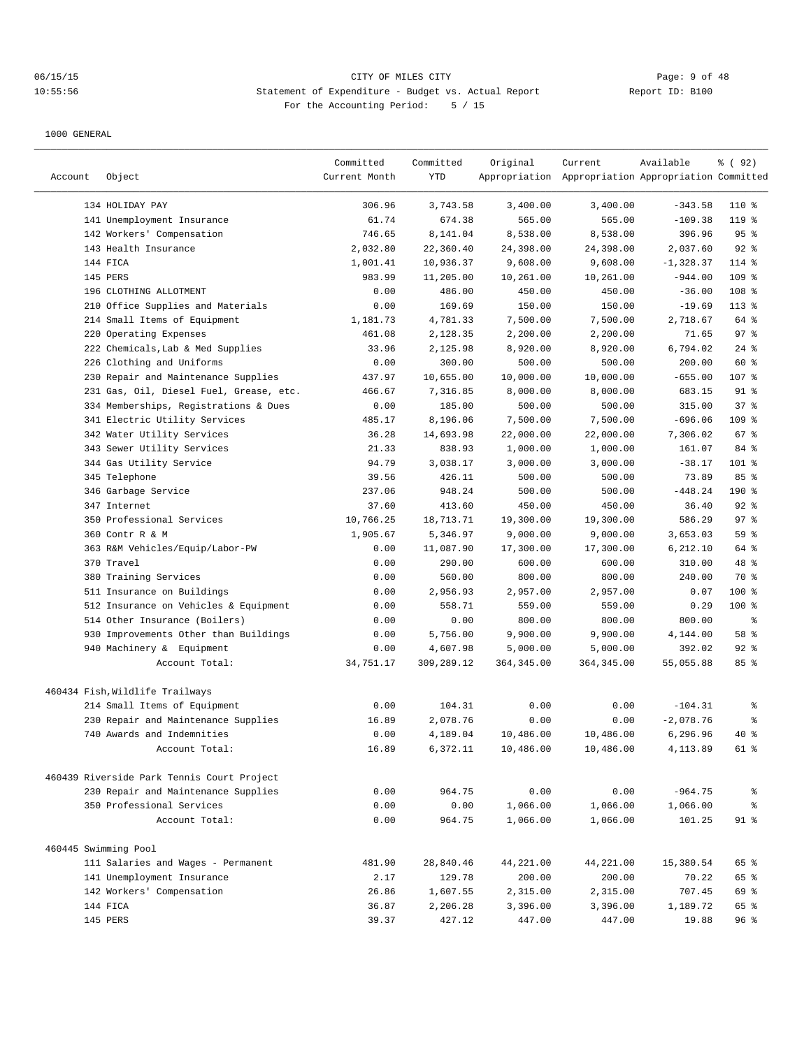# 06/15/15 CITY OF MILES CITY Page: 9 of 48 10:55:56 Statement of Expenditure - Budget vs. Actual Report Report ID: B100 For the Accounting Period: 5 / 15

|                      |                                                                   | Committed     | Committed  | Original    | Current                                             | Available   | % (92)           |
|----------------------|-------------------------------------------------------------------|---------------|------------|-------------|-----------------------------------------------------|-------------|------------------|
| Account              | Object                                                            | Current Month | YTD        |             | Appropriation Appropriation Appropriation Committed |             |                  |
|                      | 134 HOLIDAY PAY                                                   | 306.96        | 3,743.58   | 3,400.00    | 3,400.00                                            | $-343.58$   | $110*$           |
|                      | 141 Unemployment Insurance                                        | 61.74         | 674.38     | 565.00      | 565.00                                              | $-109.38$   | $119$ %          |
|                      | 142 Workers' Compensation                                         | 746.65        | 8,141.04   | 8,538.00    | 8,538.00                                            | 396.96      | 95%              |
|                      | 143 Health Insurance                                              | 2,032.80      | 22,360.40  | 24,398.00   | 24,398.00                                           | 2,037.60    | $92$ %           |
|                      | 144 FICA                                                          | 1,001.41      | 10,936.37  | 9,608.00    | 9,608.00                                            | $-1,328.37$ | $114$ %          |
|                      | 145 PERS                                                          | 983.99        | 11,205.00  | 10,261.00   | 10,261.00                                           | $-944.00$   | 109 %            |
|                      | 196 CLOTHING ALLOTMENT                                            | 0.00          | 486.00     | 450.00      | 450.00                                              | $-36.00$    | 108 <sup>8</sup> |
|                      | 210 Office Supplies and Materials                                 | 0.00          | 169.69     | 150.00      | 150.00                                              | $-19.69$    | $113$ %          |
|                      | 214 Small Items of Equipment                                      | 1,181.73      | 4,781.33   | 7,500.00    | 7,500.00                                            | 2,718.67    | 64 %             |
| 220                  | Operating Expenses                                                | 461.08        | 2,128.35   | 2,200.00    | 2,200.00                                            | 71.65       | 97%              |
|                      | 222 Chemicals, Lab & Med Supplies                                 | 33.96         | 2,125.98   | 8,920.00    | 8,920.00                                            | 6,794.02    | $24$ %           |
|                      | 226 Clothing and Uniforms                                         | 0.00          | 300.00     | 500.00      | 500.00                                              | 200.00      | 60 %             |
|                      | 230 Repair and Maintenance Supplies                               | 437.97        | 10,655.00  | 10,000.00   | 10,000.00                                           | $-655.00$   | 107 %            |
|                      | 231 Gas, Oil, Diesel Fuel, Grease, etc.                           | 466.67        | 7,316.85   | 8,000.00    | 8,000.00                                            | 683.15      | $91$ %           |
|                      | 334 Memberships, Registrations & Dues                             | 0.00          | 185.00     | 500.00      | 500.00                                              | 315.00      | 37%              |
|                      | 341 Electric Utility Services                                     | 485.17        | 8,196.06   | 7,500.00    | 7,500.00                                            | $-696.06$   | 109 %            |
|                      | 342 Water Utility Services                                        | 36.28         | 14,693.98  | 22,000.00   | 22,000.00                                           | 7,306.02    | 67 %             |
|                      | 343 Sewer Utility Services                                        | 21.33         | 838.93     | 1,000.00    | 1,000.00                                            | 161.07      | 84 %             |
|                      | 344 Gas Utility Service                                           | 94.79         | 3,038.17   | 3,000.00    | 3,000.00                                            | $-38.17$    | 101 %            |
|                      | 345 Telephone                                                     | 39.56         | 426.11     | 500.00      | 500.00                                              | 73.89       | 85%              |
|                      | 346 Garbage Service                                               | 237.06        | 948.24     | 500.00      | 500.00                                              | $-448.24$   | 190 %            |
|                      | 347 Internet                                                      | 37.60         | 413.60     | 450.00      | 450.00                                              | 36.40       | $92$ $%$         |
|                      | 350 Professional Services                                         | 10,766.25     | 18,713.71  | 19,300.00   | 19,300.00                                           | 586.29      | 97%              |
|                      | 360 Contr R & M                                                   | 1,905.67      | 5,346.97   | 9,000.00    | 9,000.00                                            | 3,653.03    | 59 %             |
|                      | 363 R&M Vehicles/Equip/Labor-PW                                   | 0.00          | 11,087.90  | 17,300.00   | 17,300.00                                           | 6,212.10    | 64 %             |
|                      | 370 Travel                                                        | 0.00          | 290.00     | 600.00      | 600.00                                              | 310.00      | 48 %             |
|                      | 380 Training Services                                             | 0.00          | 560.00     | 800.00      | 800.00                                              | 240.00      | 70 %             |
|                      | 511 Insurance on Buildings                                        | 0.00          | 2,956.93   | 2,957.00    | 2,957.00                                            | 0.07        | 100 %            |
|                      | 512 Insurance on Vehicles & Equipment                             | 0.00          | 558.71     | 559.00      | 559.00                                              | 0.29        | 100 %            |
|                      | 514 Other Insurance (Boilers)                                     | 0.00          | 0.00       | 800.00      | 800.00                                              | 800.00      | န္               |
|                      | 930 Improvements Other than Buildings                             | 0.00          | 5,756.00   | 9,900.00    | 9,900.00                                            | 4,144.00    | 58 %             |
|                      | 940 Machinery & Equipment                                         | 0.00          | 4,607.98   | 5,000.00    | 5,000.00                                            | 392.02      | $92$ $%$         |
|                      | Account Total:                                                    | 34,751.17     | 309,289.12 | 364, 345.00 | 364, 345.00                                         | 55,055.88   | 85%              |
|                      |                                                                   |               |            |             |                                                     |             |                  |
|                      | 460434 Fish, Wildlife Trailways                                   |               |            |             |                                                     |             |                  |
|                      | 214 Small Items of Equipment                                      | 0.00          | 104.31     | 0.00        | 0.00<br>0.00                                        | $-104.31$   | ႜ<br>န္          |
|                      | 230 Repair and Maintenance Supplies<br>740 Awards and Indemnities | 16.89<br>0.00 | 2,078.76   | 0.00        |                                                     | $-2,078.76$ | $40*$            |
|                      |                                                                   |               | 4,189.04   | 10,486.00   | 10,486.00                                           | 6,296.96    |                  |
|                      | Account Total:                                                    | 16.89         | 6,372.11   | 10,486.00   | 10,486.00                                           | 4,113.89    | 61 %             |
|                      | 460439 Riverside Park Tennis Court Project                        |               |            |             |                                                     |             |                  |
|                      | 230 Repair and Maintenance Supplies                               | 0.00          | 964.75     | 0.00        | 0.00                                                | $-964.75$   | န္               |
|                      | 350 Professional Services                                         | 0.00          | 0.00       | 1,066.00    | 1,066.00                                            | 1,066.00    | ి                |
|                      | Account Total:                                                    | 0.00          | 964.75     | 1,066.00    | 1,066.00                                            | 101.25      | $91$ %           |
| 460445 Swimming Pool |                                                                   |               |            |             |                                                     |             |                  |
|                      | 111 Salaries and Wages - Permanent                                | 481.90        | 28,840.46  | 44,221.00   | 44,221.00                                           | 15,380.54   | 65 %             |
|                      | 141 Unemployment Insurance                                        | 2.17          | 129.78     | 200.00      | 200.00                                              | 70.22       | 65 %             |
|                      | 142 Workers' Compensation                                         | 26.86         | 1,607.55   | 2,315.00    | 2,315.00                                            | 707.45      | 69 %             |
|                      | 144 FICA                                                          | 36.87         | 2,206.28   | 3,396.00    | 3,396.00                                            | 1,189.72    | 65 %             |
|                      | 145 PERS                                                          | 39.37         | 427.12     | 447.00      | 447.00                                              | 19.88       | 96%              |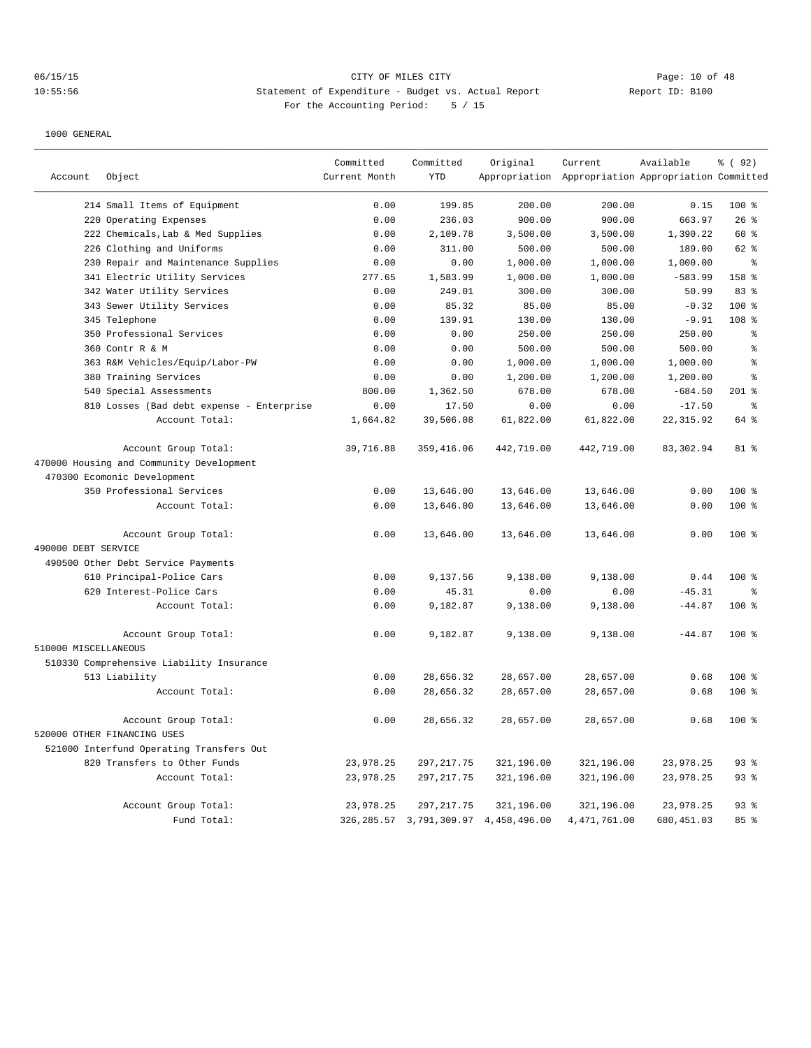# 06/15/15 CITY OF MILES CITY Page: 10 of 48 10:55:56 Statement of Expenditure - Budget vs. Actual Report Changer Report ID: B100 For the Accounting Period: 5 / 15

|                      |                                           | Committed     | Committed   | Original                                  | Current                                             | Available  | % (92)    |
|----------------------|-------------------------------------------|---------------|-------------|-------------------------------------------|-----------------------------------------------------|------------|-----------|
| Account              | Object                                    | Current Month | <b>YTD</b>  |                                           | Appropriation Appropriation Appropriation Committed |            |           |
|                      | 214 Small Items of Equipment              | 0.00          | 199.85      | 200.00                                    | 200.00                                              | 0.15       | 100 %     |
|                      | 220 Operating Expenses                    | 0.00          | 236.03      | 900.00                                    | 900.00                                              | 663.97     | 26%       |
|                      | 222 Chemicals, Lab & Med Supplies         | 0.00          | 2,109.78    | 3,500.00                                  | 3,500.00                                            | 1,390.22   | 60 %      |
|                      | 226 Clothing and Uniforms                 | 0.00          | 311.00      | 500.00                                    | 500.00                                              | 189.00     | 62 %      |
|                      | 230 Repair and Maintenance Supplies       | 0.00          | 0.00        | 1,000.00                                  | 1,000.00                                            | 1,000.00   | ⊱         |
|                      | 341 Electric Utility Services             | 277.65        | 1,583.99    | 1,000.00                                  | 1,000.00                                            | $-583.99$  | 158 %     |
|                      | 342 Water Utility Services                | 0.00          | 249.01      | 300.00                                    | 300.00                                              | 50.99      | 83%       |
|                      | 343 Sewer Utility Services                | 0.00          | 85.32       | 85.00                                     | 85.00                                               | $-0.32$    | $100*$    |
|                      | 345 Telephone                             | 0.00          | 139.91      | 130.00                                    | 130.00                                              | $-9.91$    | 108 %     |
|                      | 350 Professional Services                 | 0.00          | 0.00        | 250.00                                    | 250.00                                              | 250.00     | ి         |
|                      | 360 Contr R & M                           | 0.00          | 0.00        | 500.00                                    | 500.00                                              | 500.00     | $\,$ 8    |
|                      | 363 R&M Vehicles/Equip/Labor-PW           | 0.00          | 0.00        | 1,000.00                                  | 1,000.00                                            | 1,000.00   | $\,$ 8    |
|                      | 380 Training Services                     | 0.00          | 0.00        | 1,200.00                                  | 1,200.00                                            | 1,200.00   | $\approx$ |
|                      | 540 Special Assessments                   | 800.00        | 1,362.50    | 678.00                                    | 678.00                                              | $-684.50$  | $201$ %   |
|                      | 810 Losses (Bad debt expense - Enterprise | 0.00          | 17.50       | 0.00                                      | 0.00                                                | $-17.50$   | န္        |
|                      | Account Total:                            | 1,664.82      | 39,506.08   | 61,822.00                                 | 61,822.00                                           | 22, 315.92 | 64 %      |
|                      | Account Group Total:                      | 39,716.88     | 359, 416.06 | 442,719.00                                | 442,719.00                                          | 83, 302.94 | 81 %      |
|                      | 470000 Housing and Community Development  |               |             |                                           |                                                     |            |           |
|                      | 470300 Ecomonic Development               |               |             |                                           |                                                     |            |           |
|                      | 350 Professional Services                 | 0.00          | 13,646.00   | 13,646.00                                 | 13,646.00                                           | 0.00       | $100*$    |
|                      | Account Total:                            | 0.00          | 13,646.00   | 13,646.00                                 | 13,646.00                                           | 0.00       | 100 %     |
|                      | Account Group Total:                      | 0.00          | 13,646.00   | 13,646.00                                 | 13,646.00                                           | 0.00       | $100*$    |
| 490000 DEBT SERVICE  |                                           |               |             |                                           |                                                     |            |           |
|                      | 490500 Other Debt Service Payments        |               |             |                                           |                                                     |            |           |
|                      | 610 Principal-Police Cars                 | 0.00          | 9,137.56    | 9,138.00                                  | 9,138.00                                            | 0.44       | 100 %     |
|                      | 620 Interest-Police Cars                  | 0.00          | 45.31       | 0.00                                      | 0.00                                                | $-45.31$   | ႜ         |
|                      | Account Total:                            | 0.00          | 9,182.87    | 9,138.00                                  | 9,138.00                                            | $-44.87$   | $100*$    |
|                      | Account Group Total:                      | 0.00          | 9,182.87    | 9,138.00                                  | 9,138.00                                            | $-44.87$   | $100*$    |
| 510000 MISCELLANEOUS |                                           |               |             |                                           |                                                     |            |           |
|                      | 510330 Comprehensive Liability Insurance  |               |             |                                           |                                                     |            |           |
|                      | 513 Liability                             | 0.00          | 28,656.32   | 28,657.00                                 | 28,657.00                                           | 0.68       | 100 %     |
|                      | Account Total:                            | 0.00          | 28,656.32   | 28,657.00                                 | 28,657.00                                           | 0.68       | 100 %     |
|                      | Account Group Total:                      | 0.00          | 28,656.32   | 28,657.00                                 | 28,657.00                                           | 0.68       | $100*$    |
|                      | 520000 OTHER FINANCING USES               |               |             |                                           |                                                     |            |           |
|                      | 521000 Interfund Operating Transfers Out  |               |             |                                           |                                                     |            |           |
|                      | 820 Transfers to Other Funds              | 23,978.25     | 297, 217.75 | 321,196.00                                | 321,196.00                                          | 23,978.25  | 93%       |
|                      | Account Total:                            | 23,978.25     | 297, 217.75 | 321,196.00                                | 321,196.00                                          | 23,978.25  | $93$ $%$  |
|                      | Account Group Total:                      | 23,978.25     | 297, 217.75 | 321,196.00                                | 321,196.00                                          | 23,978.25  | 93%       |
|                      | Fund Total:                               |               |             | 326, 285.57 3, 791, 309.97 4, 458, 496.00 | 4, 471, 761.00                                      | 680,451.03 | 85 %      |
|                      |                                           |               |             |                                           |                                                     |            |           |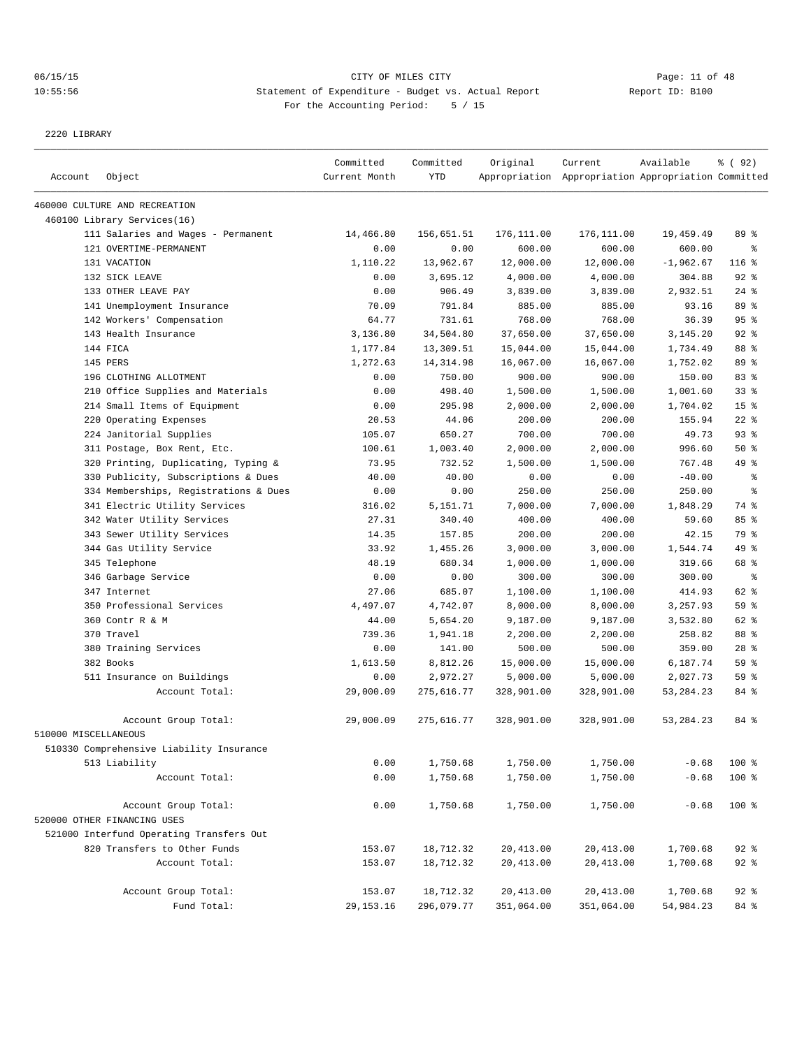# 06/15/15 CITY OF MILES CITY Page: 11 of 48 10:55:56 Statement of Expenditure - Budget vs. Actual Report Changer Report ID: B100 For the Accounting Period: 5 / 15

2220 LIBRARY

|                      |                                          | Committed     | Committed  | Original   | Current                                             | Available   | % ( 92)         |
|----------------------|------------------------------------------|---------------|------------|------------|-----------------------------------------------------|-------------|-----------------|
| Account              | Object                                   | Current Month | <b>YTD</b> |            | Appropriation Appropriation Appropriation Committed |             |                 |
|                      | 460000 CULTURE AND RECREATION            |               |            |            |                                                     |             |                 |
|                      | 460100 Library Services(16)              |               |            |            |                                                     |             |                 |
|                      | 111 Salaries and Wages - Permanent       | 14,466.80     | 156,651.51 | 176,111.00 | 176,111.00                                          | 19,459.49   | 89 %            |
|                      | 121 OVERTIME-PERMANENT                   | 0.00          | 0.00       | 600.00     | 600.00                                              | 600.00      | $\epsilon$      |
|                      | 131 VACATION                             | 1,110.22      | 13,962.67  | 12,000.00  | 12,000.00                                           | $-1,962.67$ | 116 %           |
|                      | 132 SICK LEAVE                           | 0.00          | 3,695.12   | 4,000.00   | 4,000.00                                            | 304.88      | 92%             |
|                      | 133 OTHER LEAVE PAY                      | 0.00          | 906.49     | 3,839.00   | 3,839.00                                            | 2,932.51    | $24$ %          |
|                      | 141 Unemployment Insurance               | 70.09         | 791.84     | 885.00     | 885.00                                              | 93.16       | 89 %            |
|                      | 142 Workers' Compensation                | 64.77         | 731.61     | 768.00     | 768.00                                              | 36.39       | 95%             |
|                      | 143 Health Insurance                     | 3,136.80      | 34,504.80  | 37,650.00  | 37,650.00                                           | 3,145.20    | 92%             |
|                      | 144 FICA                                 | 1,177.84      | 13,309.51  | 15,044.00  | 15,044.00                                           | 1,734.49    | 88 %            |
|                      | 145 PERS                                 | 1,272.63      | 14, 314.98 | 16,067.00  | 16,067.00                                           | 1,752.02    | 89 %            |
|                      | 196 CLOTHING ALLOTMENT                   | 0.00          | 750.00     | 900.00     | 900.00                                              | 150.00      | 83%             |
|                      | 210 Office Supplies and Materials        | 0.00          | 498.40     | 1,500.00   | 1,500.00                                            | 1,001.60    | 33%             |
|                      | 214 Small Items of Equipment             | 0.00          | 295.98     | 2,000.00   | 2,000.00                                            | 1,704.02    | 15 <sup>°</sup> |
|                      | 220 Operating Expenses                   | 20.53         | 44.06      | 200.00     | 200.00                                              | 155.94      | $22$ %          |
|                      | 224 Janitorial Supplies                  | 105.07        | 650.27     | 700.00     | 700.00                                              | 49.73       | 93%             |
|                      | 311 Postage, Box Rent, Etc.              | 100.61        | 1,003.40   | 2,000.00   | 2,000.00                                            | 996.60      | 50%             |
|                      | 320 Printing, Duplicating, Typing &      | 73.95         | 732.52     | 1,500.00   | 1,500.00                                            | 767.48      | 49 %            |
|                      | 330 Publicity, Subscriptions & Dues      | 40.00         | 40.00      | 0.00       | 0.00                                                | $-40.00$    | $\epsilon$      |
|                      | 334 Memberships, Registrations & Dues    | 0.00          | 0.00       | 250.00     | 250.00                                              | 250.00      | နွ              |
|                      | 341 Electric Utility Services            | 316.02        | 5,151.71   | 7,000.00   | 7,000.00                                            | 1,848.29    | 74 %            |
|                      | 342 Water Utility Services               | 27.31         | 340.40     | 400.00     | 400.00                                              | 59.60       | 85%             |
|                      | 343 Sewer Utility Services               | 14.35         | 157.85     | 200.00     | 200.00                                              | 42.15       | 79 %            |
|                      | 344 Gas Utility Service                  | 33.92         | 1,455.26   | 3,000.00   | 3,000.00                                            | 1,544.74    | 49 %            |
|                      | 345 Telephone                            | 48.19         | 680.34     | 1,000.00   | 1,000.00                                            | 319.66      | 68 %            |
|                      | 346 Garbage Service                      | 0.00          | 0.00       | 300.00     | 300.00                                              | 300.00      | နွ              |
|                      | 347 Internet                             | 27.06         | 685.07     | 1,100.00   | 1,100.00                                            | 414.93      | 62 %            |
|                      | 350 Professional Services                | 4,497.07      | 4,742.07   | 8,000.00   | 8,000.00                                            | 3,257.93    | 59 %            |
|                      | 360 Contr R & M                          | 44.00         | 5,654.20   | 9,187.00   | 9,187.00                                            | 3,532.80    | 62 %            |
|                      | 370 Travel                               | 739.36        | 1,941.18   | 2,200.00   | 2,200.00                                            | 258.82      | 88 %            |
|                      | 380 Training Services                    | 0.00          | 141.00     | 500.00     | 500.00                                              | 359.00      | $28$ %          |
|                      | 382 Books                                | 1,613.50      | 8,812.26   | 15,000.00  | 15,000.00                                           | 6,187.74    | 59%             |
|                      | 511 Insurance on Buildings               | 0.00          | 2,972.27   | 5,000.00   | 5,000.00                                            | 2,027.73    | 59 %            |
|                      | Account Total:                           | 29,000.09     | 275,616.77 | 328,901.00 | 328,901.00                                          | 53, 284. 23 | 84 %            |
|                      |                                          |               |            |            |                                                     |             |                 |
|                      | Account Group Total:                     | 29,000.09     | 275,616.77 | 328,901.00 | 328,901.00                                          | 53, 284. 23 | 84 %            |
| 510000 MISCELLANEOUS |                                          |               |            |            |                                                     |             |                 |
|                      | 510330 Comprehensive Liability Insurance |               |            |            |                                                     |             |                 |
|                      | 513 Liability                            | 0.00          | 1,750.68   | 1,750.00   | 1,750.00                                            | $-0.68$     | 100 %           |
|                      | Account Total:                           | 0.00          | 1,750.68   | 1,750.00   | 1,750.00                                            | $-0.68$     | 100 %           |
|                      | Account Group Total:                     | 0.00          | 1,750.68   | 1,750.00   | 1,750.00                                            | $-0.68$     | 100 %           |
|                      | 520000 OTHER FINANCING USES              |               |            |            |                                                     |             |                 |
|                      | 521000 Interfund Operating Transfers Out |               |            |            |                                                     |             |                 |
|                      | 820 Transfers to Other Funds             | 153.07        | 18,712.32  | 20,413.00  | 20,413.00                                           | 1,700.68    | $92$ $%$        |
|                      | Account Total:                           | 153.07        | 18,712.32  | 20, 413.00 | 20,413.00                                           | 1,700.68    | $92$ $%$        |
|                      | Account Group Total:                     | 153.07        | 18,712.32  | 20,413.00  | 20,413.00                                           | 1,700.68    | $92$ $%$        |
|                      | Fund Total:                              | 29, 153. 16   | 296,079.77 | 351,064.00 | 351,064.00                                          | 54,984.23   | 84 %            |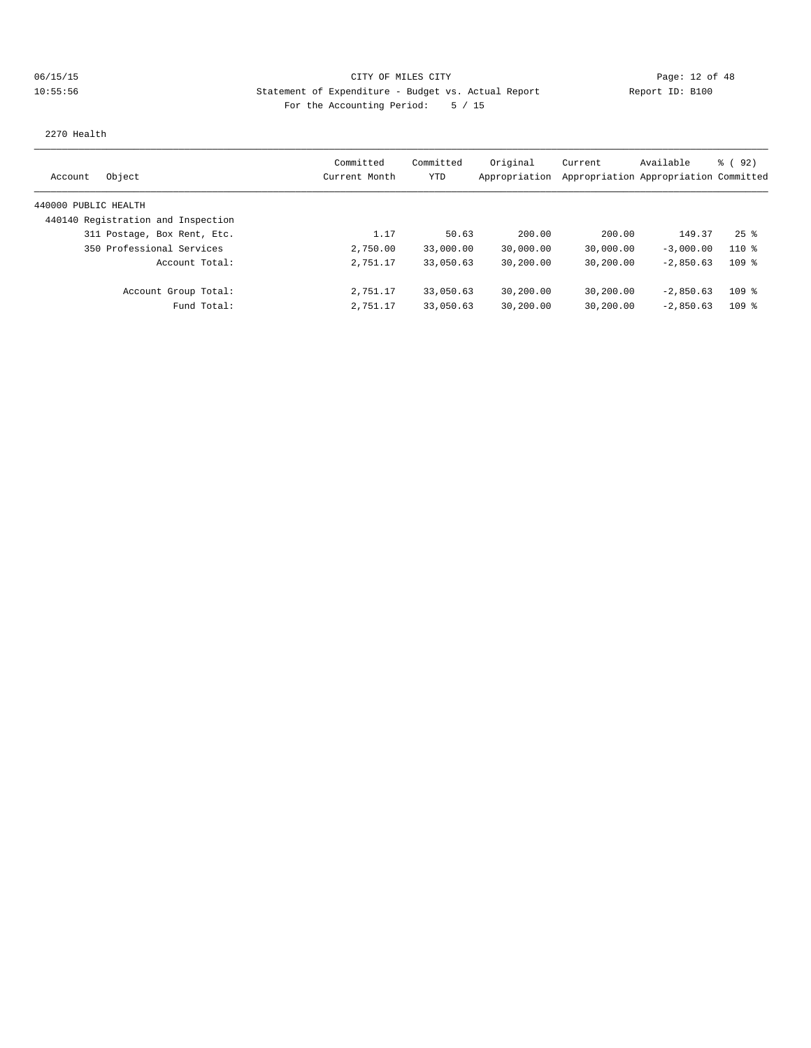# 06/15/15 CITY OF MILES CITY Page: 12 of 48 10:55:56 Statement of Expenditure - Budget vs. Actual Report Changery Report ID: B100 For the Accounting Period: 5 / 15

2270 Health

| Object<br>Account                  | Committed<br>Current Month | Committed<br>YTD | Original<br>Appropriation | Current<br>Appropriation Appropriation Committed | Available   | % ( 92 )           |
|------------------------------------|----------------------------|------------------|---------------------------|--------------------------------------------------|-------------|--------------------|
|                                    |                            |                  |                           |                                                  |             |                    |
| 440000 PUBLIC HEALTH               |                            |                  |                           |                                                  |             |                    |
| 440140 Registration and Inspection |                            |                  |                           |                                                  |             |                    |
| 311 Postage, Box Rent, Etc.        | 1.17                       | 50.63            | 200.00                    | 200.00                                           | 149.37      | $25$ $\frac{6}{3}$ |
| 350 Professional Services          | 2,750.00                   | 33,000.00        | 30,000.00                 | 30,000.00                                        | $-3.000.00$ | $110*$             |
| Account Total:                     | 2,751.17                   | 33,050.63        | 30,200.00                 | 30,200.00                                        | $-2.850.63$ | 109 <sub>8</sub>   |
| Account Group Total:               | 2,751.17                   | 33,050.63        | 30,200.00                 | 30,200.00                                        | $-2.850.63$ | 109 <sub>8</sub>   |
| Fund Total:                        | 2,751.17                   | 33,050.63        | 30,200.00                 | 30,200.00                                        | $-2.850.63$ | 109 <sub>8</sub>   |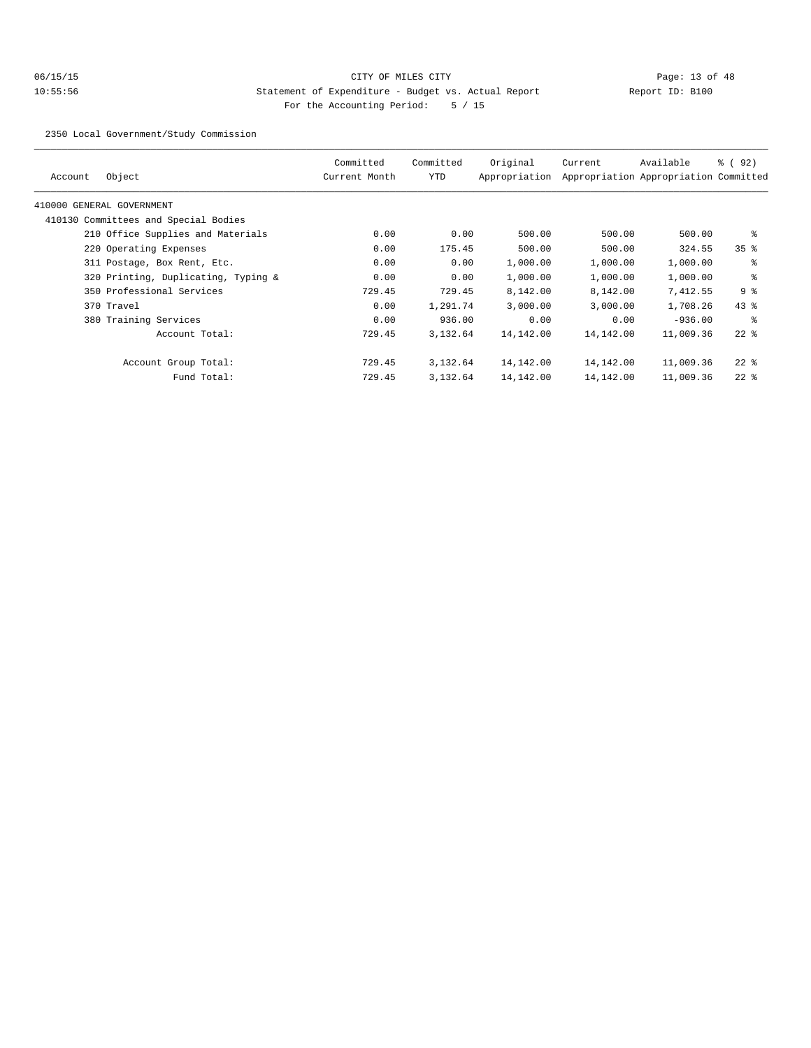# 06/15/15 CITY OF MILES CITY Page: 13 of 48 10:55:56 Statement of Expenditure - Budget vs. Actual Report Changer Report ID: B100 For the Accounting Period: 5 / 15

2350 Local Government/Study Commission

| Object<br>Account                    | Committed<br>Current Month | Committed<br>YTD | Original<br>Appropriation | Current   | Available<br>Appropriation Appropriation Committed | % (92)          |
|--------------------------------------|----------------------------|------------------|---------------------------|-----------|----------------------------------------------------|-----------------|
| 410000 GENERAL GOVERNMENT            |                            |                  |                           |           |                                                    |                 |
| 410130 Committees and Special Bodies |                            |                  |                           |           |                                                    |                 |
| 210 Office Supplies and Materials    | 0.00                       | 0.00             | 500.00                    | 500.00    | 500.00                                             | နွ              |
| 220 Operating Expenses               | 0.00                       | 175.45           | 500.00                    | 500.00    | 324.55                                             | 35 <sup>8</sup> |
| 311 Postage, Box Rent, Etc.          | 0.00                       | 0.00             | 1,000.00                  | 1,000.00  | 1,000.00                                           | နွ              |
| 320 Printing, Duplicating, Typing &  | 0.00                       | 0.00             | 1,000.00                  | 1,000.00  | 1,000.00                                           | နွ              |
| 350 Professional Services            | 729.45                     | 729.45           | 8,142.00                  | 8,142.00  | 7,412.55                                           | 9%              |
| 370 Travel                           | 0.00                       | 1,291.74         | 3,000.00                  | 3,000.00  | 1,708.26                                           | $43$ %          |
| 380 Training Services                | 0.00                       | 936.00           | 0.00                      | 0.00      | $-936.00$                                          | ႜ               |
| Account Total:                       | 729.45                     | 3,132.64         | 14,142.00                 | 14,142.00 | 11,009.36                                          | $22$ $%$        |
| Account Group Total:                 | 729.45                     | 3,132.64         | 14,142.00                 | 14,142.00 | 11,009.36                                          | $22$ %          |
| Fund Total:                          | 729.45                     | 3,132.64         | 14,142.00                 | 14,142.00 | 11,009.36                                          | $22$ %          |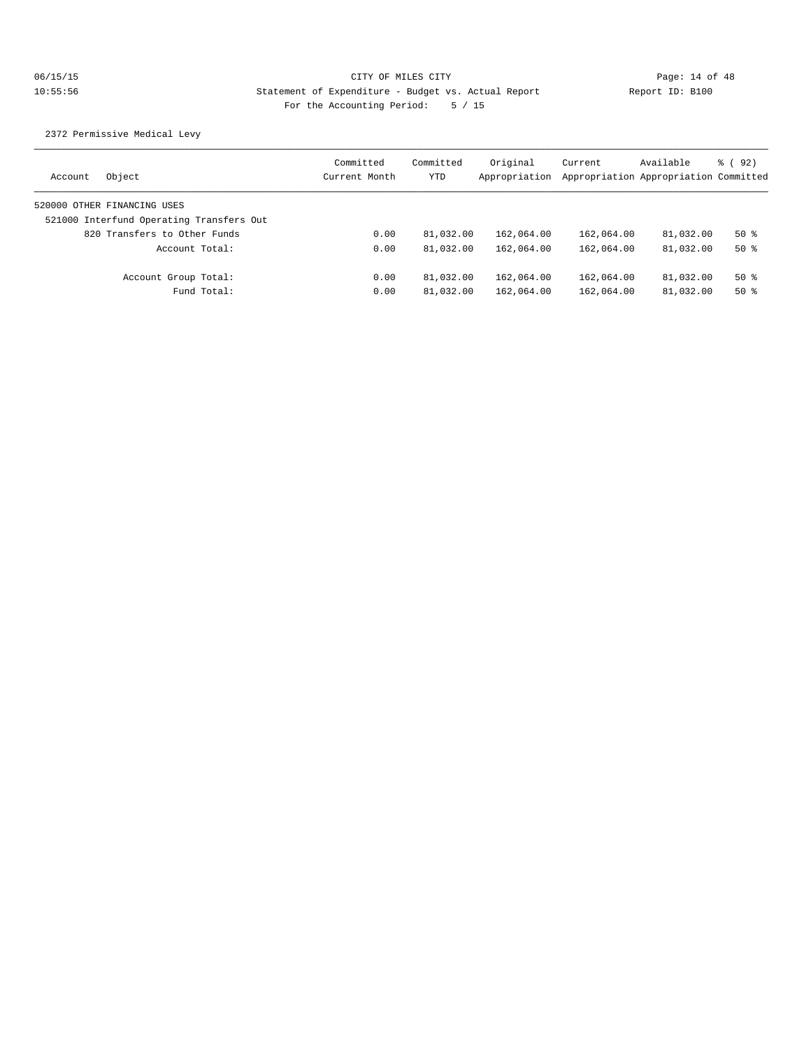2372 Permissive Medical Levy

| Object<br>Account                        | Committed<br>Current Month | Committed<br>YTD | Original<br>Appropriation | Current    | Available<br>Appropriation Appropriation Committed | 8 (92) |
|------------------------------------------|----------------------------|------------------|---------------------------|------------|----------------------------------------------------|--------|
| 520000 OTHER FINANCING USES              |                            |                  |                           |            |                                                    |        |
| 521000 Interfund Operating Transfers Out |                            |                  |                           |            |                                                    |        |
| 820 Transfers to Other Funds             | 0.00                       | 81,032.00        | 162,064.00                | 162,064.00 | 81,032.00                                          | $50*$  |
| Account Total:                           | 0.00                       | 81,032.00        | 162,064.00                | 162,064.00 | 81,032.00                                          | $50*$  |
| Account Group Total:                     | 0.00                       | 81,032.00        | 162,064.00                | 162,064.00 | 81,032.00                                          | $50*$  |
| Fund Total:                              | 0.00                       | 81,032.00        | 162,064.00                | 162,064.00 | 81,032.00                                          | $50*$  |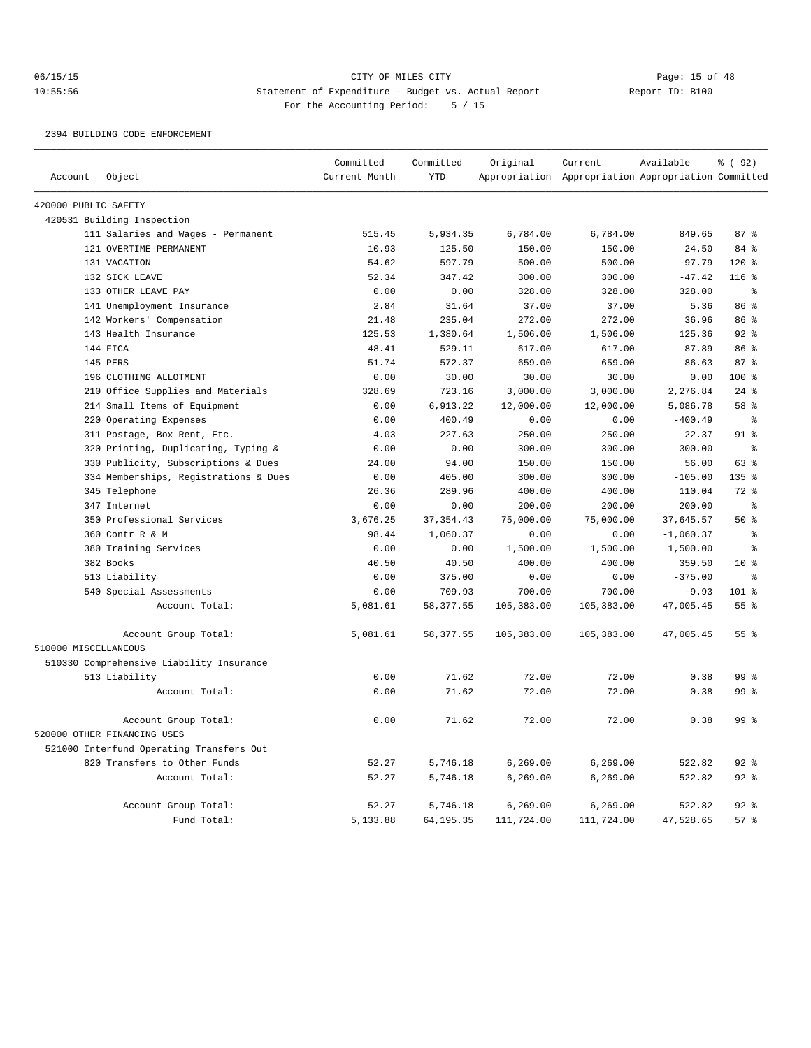# 06/15/15 Page: 15 of 48 10:55:56 Statement of Expenditure - Budget vs. Actual Report Changer Report ID: B100 For the Accounting Period: 5 / 15

#### 2394 BUILDING CODE ENFORCEMENT

|                      |                                          | Committed     | Committed   | Original   | Current                                             | Available   | % (92)          |
|----------------------|------------------------------------------|---------------|-------------|------------|-----------------------------------------------------|-------------|-----------------|
| Account              | Object                                   | Current Month | <b>YTD</b>  |            | Appropriation Appropriation Appropriation Committed |             |                 |
| 420000 PUBLIC SAFETY |                                          |               |             |            |                                                     |             |                 |
|                      | 420531 Building Inspection               |               |             |            |                                                     |             |                 |
|                      | 111 Salaries and Wages - Permanent       | 515.45        | 5,934.35    | 6,784.00   | 6,784.00                                            | 849.65      | 87%             |
|                      | 121 OVERTIME-PERMANENT                   | 10.93         | 125.50      | 150.00     | 150.00                                              | 24.50       | 84 %            |
|                      | 131 VACATION                             | 54.62         | 597.79      | 500.00     | 500.00                                              | $-97.79$    | 120%            |
|                      | 132 SICK LEAVE                           | 52.34         | 347.42      | 300.00     | 300.00                                              | $-47.42$    | $116$ %         |
|                      | 133 OTHER LEAVE PAY                      | 0.00          | 0.00        | 328.00     | 328.00                                              | 328.00      | နွ              |
|                      | 141 Unemployment Insurance               | 2.84          | 31.64       | 37.00      | 37.00                                               | 5.36        | 86 %            |
|                      | 142 Workers' Compensation                | 21.48         | 235.04      | 272.00     | 272.00                                              | 36.96       | 86 %            |
|                      | 143 Health Insurance                     | 125.53        | 1,380.64    | 1,506.00   | 1,506.00                                            | 125.36      | 92%             |
|                      | 144 FICA                                 | 48.41         | 529.11      | 617.00     | 617.00                                              | 87.89       | 86 %            |
|                      | 145 PERS                                 | 51.74         | 572.37      | 659.00     | 659.00                                              | 86.63       | 87%             |
|                      | 196 CLOTHING ALLOTMENT                   | 0.00          | 30.00       | 30.00      | 30.00                                               | 0.00        | $100*$          |
|                      | 210 Office Supplies and Materials        | 328.69        | 723.16      | 3,000.00   | 3,000.00                                            | 2,276.84    | $24$ %          |
|                      | 214 Small Items of Equipment             | 0.00          | 6,913.22    | 12,000.00  | 12,000.00                                           | 5,086.78    | 58 <sup>8</sup> |
|                      | 220 Operating Expenses                   | 0.00          | 400.49      | 0.00       | 0.00                                                | $-400.49$   | $\epsilon$      |
|                      | 311 Postage, Box Rent, Etc.              | 4.03          | 227.63      | 250.00     | 250.00                                              | 22.37       | $91$ %          |
|                      | 320 Printing, Duplicating, Typing &      | 0.00          | 0.00        | 300.00     | 300.00                                              | 300.00      | ዿ               |
|                      | 330 Publicity, Subscriptions & Dues      | 24.00         | 94.00       | 150.00     | 150.00                                              | 56.00       | 63 %            |
|                      | 334 Memberships, Registrations & Dues    | 0.00          | 405.00      | 300.00     | 300.00                                              | $-105.00$   | 135 %           |
|                      | 345 Telephone                            | 26.36         | 289.96      | 400.00     | 400.00                                              | 110.04      | $72$ $%$        |
|                      | 347 Internet                             | 0.00          | 0.00        | 200.00     | 200.00                                              | 200.00      | ៖               |
|                      | 350 Professional Services                | 3,676.25      | 37, 354.43  | 75,000.00  | 75,000.00                                           | 37,645.57   | 50%             |
|                      | 360 Contr R & M                          | 98.44         | 1,060.37    | 0.00       | 0.00                                                | $-1,060.37$ | နွ              |
|                      | 380 Training Services                    | 0.00          | 0.00        | 1,500.00   | 1,500.00                                            | 1,500.00    | နွ              |
|                      | 382 Books                                | 40.50         | 40.50       | 400.00     | 400.00                                              | 359.50      | 10 <sup>8</sup> |
|                      | 513 Liability                            | 0.00          | 375.00      | 0.00       | 0.00                                                | $-375.00$   | န္              |
|                      | 540 Special Assessments                  | 0.00          | 709.93      | 700.00     | 700.00                                              | $-9.93$     | 101 %           |
|                      | Account Total:                           | 5,081.61      | 58, 377.55  | 105,383.00 | 105,383.00                                          | 47,005.45   | 55%             |
| 510000 MISCELLANEOUS | Account Group Total:                     | 5,081.61      | 58, 377.55  | 105,383.00 | 105,383.00                                          | 47,005.45   | 55%             |
|                      | 510330 Comprehensive Liability Insurance |               |             |            |                                                     |             |                 |
|                      | 513 Liability                            | 0.00          | 71.62       | 72.00      | 72.00                                               | 0.38        | 99 <sup>8</sup> |
|                      | Account Total:                           | 0.00          | 71.62       | 72.00      | 72.00                                               | 0.38        | 99 <sup>°</sup> |
|                      | Account Group Total:                     | 0.00          | 71.62       | 72.00      | 72.00                                               | 0.38        | 99 <sup>°</sup> |
|                      | 520000 OTHER FINANCING USES              |               |             |            |                                                     |             |                 |
|                      | 521000 Interfund Operating Transfers Out |               |             |            |                                                     |             |                 |
|                      | 820 Transfers to Other Funds             | 52.27         | 5,746.18    | 6,269.00   | 6,269.00                                            | 522.82      | 92 <sup>8</sup> |
|                      | Account Total:                           | 52.27         | 5,746.18    | 6, 269.00  | 6, 269.00                                           | 522.82      | $92$ $%$        |
|                      | Account Group Total:                     | 52.27         | 5,746.18    | 6,269.00   | 6,269.00                                            | 522.82      | $92$ $%$        |
|                      | Fund Total:                              | 5,133.88      | 64, 195. 35 | 111,724.00 | 111,724.00                                          | 47,528.65   | 57 <sup>8</sup> |
|                      |                                          |               |             |            |                                                     |             |                 |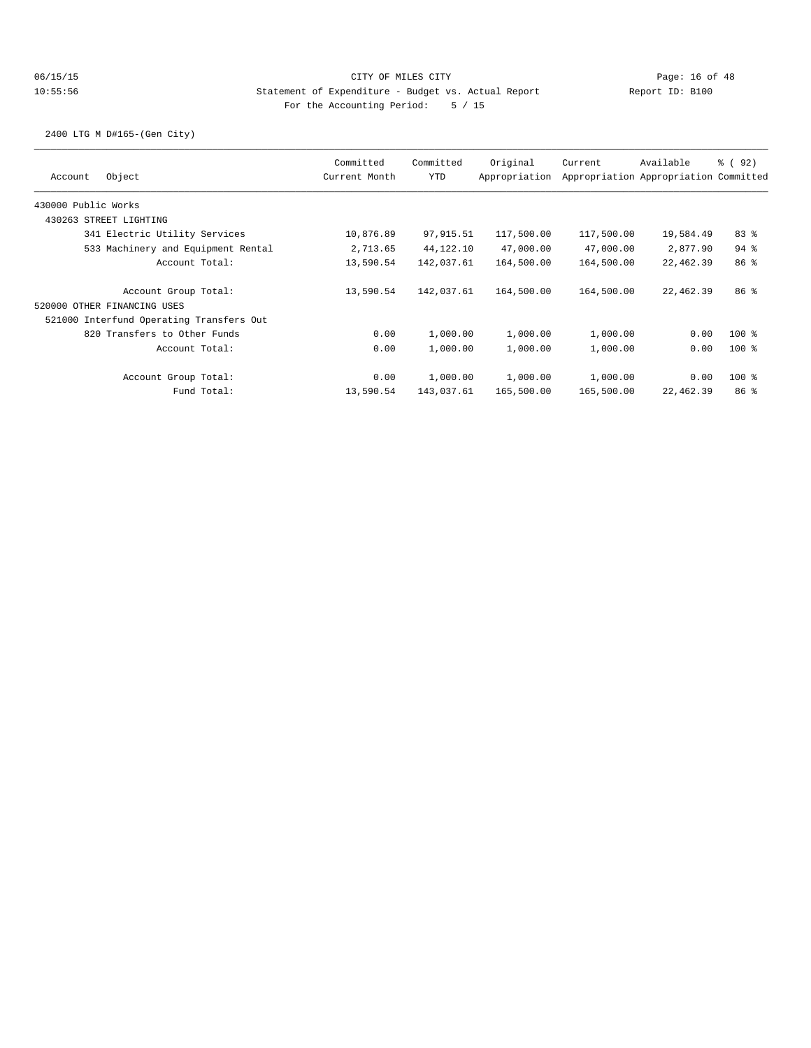2400 LTG M D#165-(Gen City)

| Object<br>Account                        | Committed<br>Current Month | Committed<br><b>YTD</b> | Original<br>Appropriation | Current    | Available<br>Appropriation Appropriation Committed | 8 (92)          |
|------------------------------------------|----------------------------|-------------------------|---------------------------|------------|----------------------------------------------------|-----------------|
| 430000 Public Works                      |                            |                         |                           |            |                                                    |                 |
| 430263 STREET LIGHTING                   |                            |                         |                           |            |                                                    |                 |
| 341 Electric Utility Services            | 10,876.89                  | 97,915.51               | 117,500.00                | 117,500.00 | 19,584.49                                          | 83%             |
| 533 Machinery and Equipment Rental       | 2,713.65                   | 44,122.10               | 47,000.00                 | 47,000.00  | 2,877.90                                           | $94$ %          |
| Account Total:                           | 13,590.54                  | 142,037.61              | 164,500.00                | 164,500.00 | 22,462.39                                          | 86 <sup>8</sup> |
| Account Group Total:                     | 13,590.54                  | 142,037.61              | 164,500.00                | 164,500.00 | 22,462.39                                          | 86 %            |
| 520000 OTHER FINANCING USES              |                            |                         |                           |            |                                                    |                 |
| 521000 Interfund Operating Transfers Out |                            |                         |                           |            |                                                    |                 |
| 820 Transfers to Other Funds             | 0.00                       | 1,000.00                | 1,000.00                  | 1,000.00   | 0.00                                               | $100$ %         |
| Account Total:                           | 0.00                       | 1,000.00                | 1,000.00                  | 1,000.00   | 0.00                                               | $100$ %         |
| Account Group Total:                     | 0.00                       | 1,000.00                | 1,000.00                  | 1,000.00   | 0.00                                               | $100$ %         |
| Fund Total:                              | 13,590.54                  | 143,037.61              | 165,500.00                | 165,500.00 | 22,462.39                                          | 86 <sup>8</sup> |
|                                          |                            |                         |                           |            |                                                    |                 |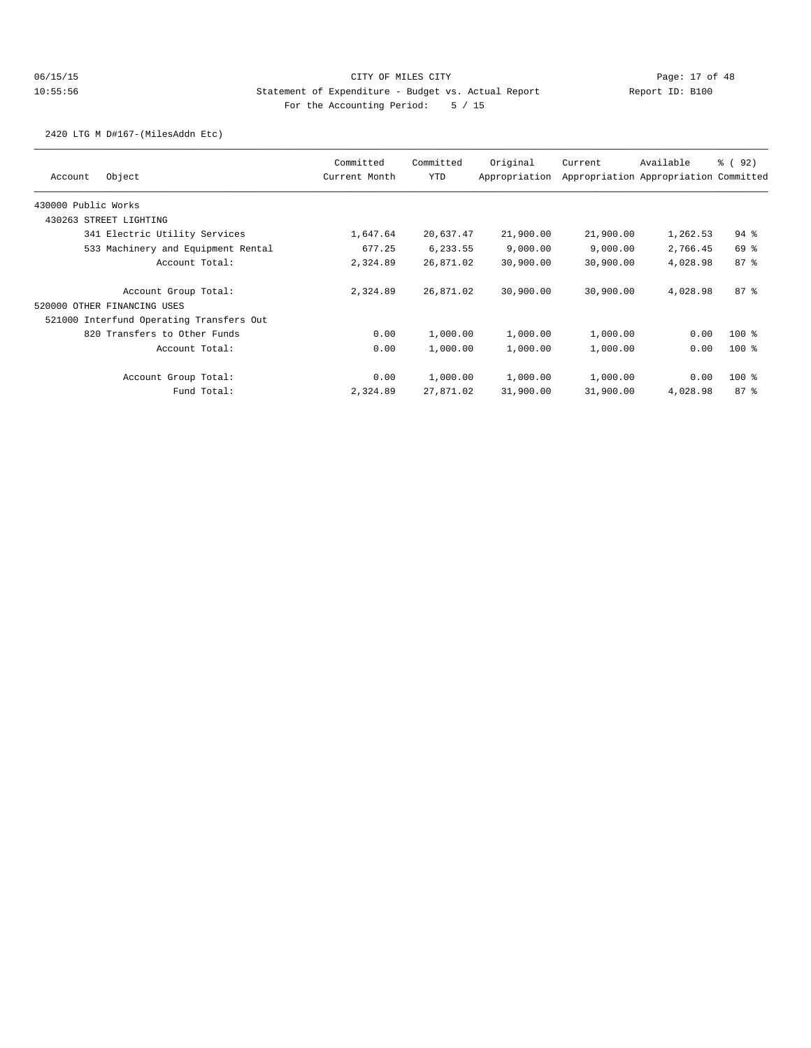2420 LTG M D#167-(MilesAddn Etc)

| Object<br>Account                        | Committed<br>Current Month | Committed<br><b>YTD</b> | Original<br>Appropriation | Current   | Available<br>Appropriation Appropriation Committed | 8 (92)             |
|------------------------------------------|----------------------------|-------------------------|---------------------------|-----------|----------------------------------------------------|--------------------|
| 430000 Public Works                      |                            |                         |                           |           |                                                    |                    |
| 430263 STREET LIGHTING                   |                            |                         |                           |           |                                                    |                    |
| 341 Electric Utility Services            | 1,647.64                   | 20,637.47               | 21,900.00                 | 21,900.00 | 1,262.53                                           | $94$ $\frac{6}{3}$ |
| 533 Machinery and Equipment Rental       | 677.25                     | 6,233.55                | 9,000.00                  | 9,000.00  | 2,766.45                                           | 69 %               |
| Account Total:                           | 2,324.89                   | 26,871.02               | 30,900.00                 | 30,900.00 | 4,028.98                                           | 87%                |
| Account Group Total:                     | 2,324.89                   | 26,871.02               | 30,900.00                 | 30,900.00 | 4,028.98                                           | 87%                |
| 520000 OTHER FINANCING USES              |                            |                         |                           |           |                                                    |                    |
| 521000 Interfund Operating Transfers Out |                            |                         |                           |           |                                                    |                    |
| 820 Transfers to Other Funds             | 0.00                       | 1,000.00                | 1,000.00                  | 1,000.00  | 0.00                                               | $100$ %            |
| Account Total:                           | 0.00                       | 1,000.00                | 1,000.00                  | 1,000.00  | 0.00                                               | $100$ %            |
| Account Group Total:                     | 0.00                       | 1,000.00                | 1,000.00                  | 1,000.00  | 0.00                                               | $100$ %            |
| Fund Total:                              | 2,324.89                   | 27,871.02               | 31,900.00                 | 31,900.00 | 4,028.98                                           | 87 <sub>8</sub>    |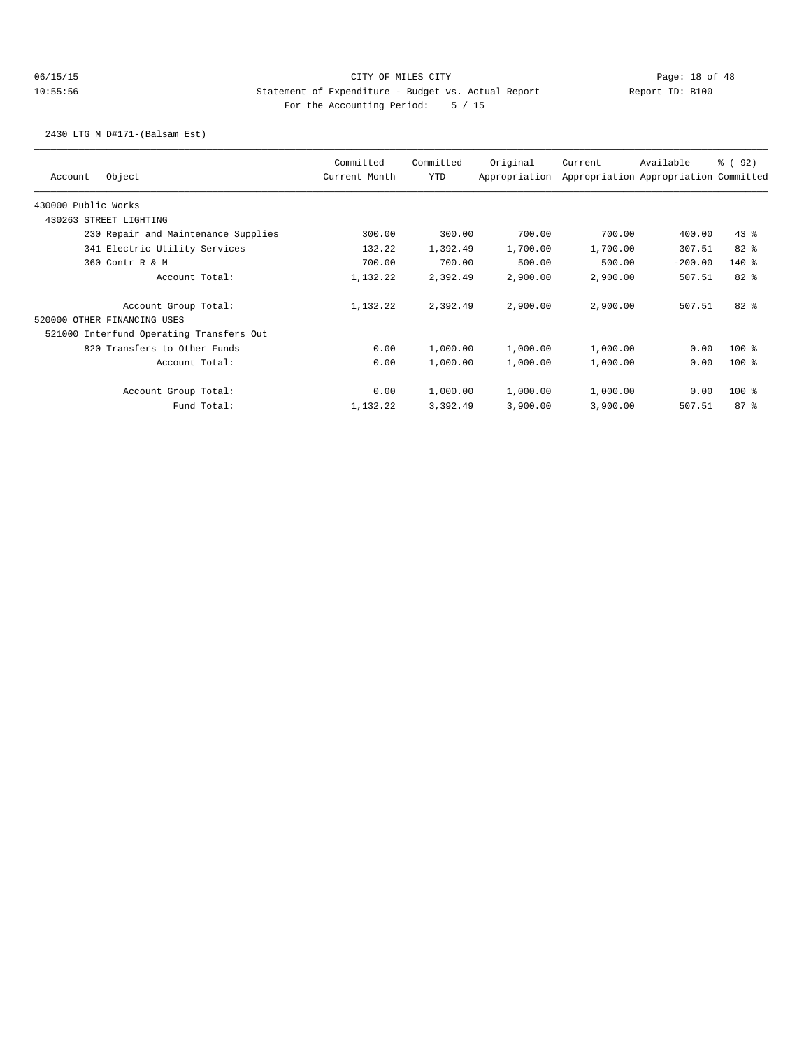# 06/15/15 CITY OF MILES CITY Page: 18 of 48 10:55:56 Statement of Expenditure - Budget vs. Actual Report Changery Report ID: B100 For the Accounting Period: 5 / 15

2430 LTG M D#171-(Balsam Est)

| Object<br>Account                        |                                     | Committed<br>Current Month | Committed<br>YTD | Original<br>Appropriation | Current  | Available<br>Appropriation Appropriation Committed | % (92)   |
|------------------------------------------|-------------------------------------|----------------------------|------------------|---------------------------|----------|----------------------------------------------------|----------|
| 430000 Public Works                      |                                     |                            |                  |                           |          |                                                    |          |
| 430263 STREET LIGHTING                   |                                     |                            |                  |                           |          |                                                    |          |
|                                          | 230 Repair and Maintenance Supplies | 300.00                     | 300.00           | 700.00                    | 700.00   | 400.00                                             | $43$ $%$ |
|                                          | 341 Electric Utility Services       | 132.22                     | 1,392.49         | 1,700.00                  | 1,700.00 | 307.51                                             | $82*$    |
| 360 Contr R & M                          |                                     | 700.00                     | 700.00           | 500.00                    | 500.00   | $-200.00$                                          | $140*$   |
|                                          | Account Total:                      | 1,132.22                   | 2,392.49         | 2,900.00                  | 2,900.00 | 507.51                                             | 82 %     |
|                                          | Account Group Total:                | 1,132.22                   | 2,392.49         | 2,900.00                  | 2,900.00 | 507.51                                             | $82*$    |
| 520000 OTHER FINANCING USES              |                                     |                            |                  |                           |          |                                                    |          |
| 521000 Interfund Operating Transfers Out |                                     |                            |                  |                           |          |                                                    |          |
|                                          | 820 Transfers to Other Funds        | 0.00                       | 1,000.00         | 1,000.00                  | 1,000.00 | 0.00                                               | $100$ %  |
|                                          | Account Total:                      | 0.00                       | 1,000.00         | 1,000.00                  | 1,000.00 | 0.00                                               | $100*$   |
|                                          | Account Group Total:                | 0.00                       | 1,000.00         | 1,000.00                  | 1,000.00 | 0.00                                               | $100$ %  |
|                                          | Fund Total:                         | 1,132.22                   | 3,392.49         | 3,900.00                  | 3,900.00 | 507.51                                             | 87%      |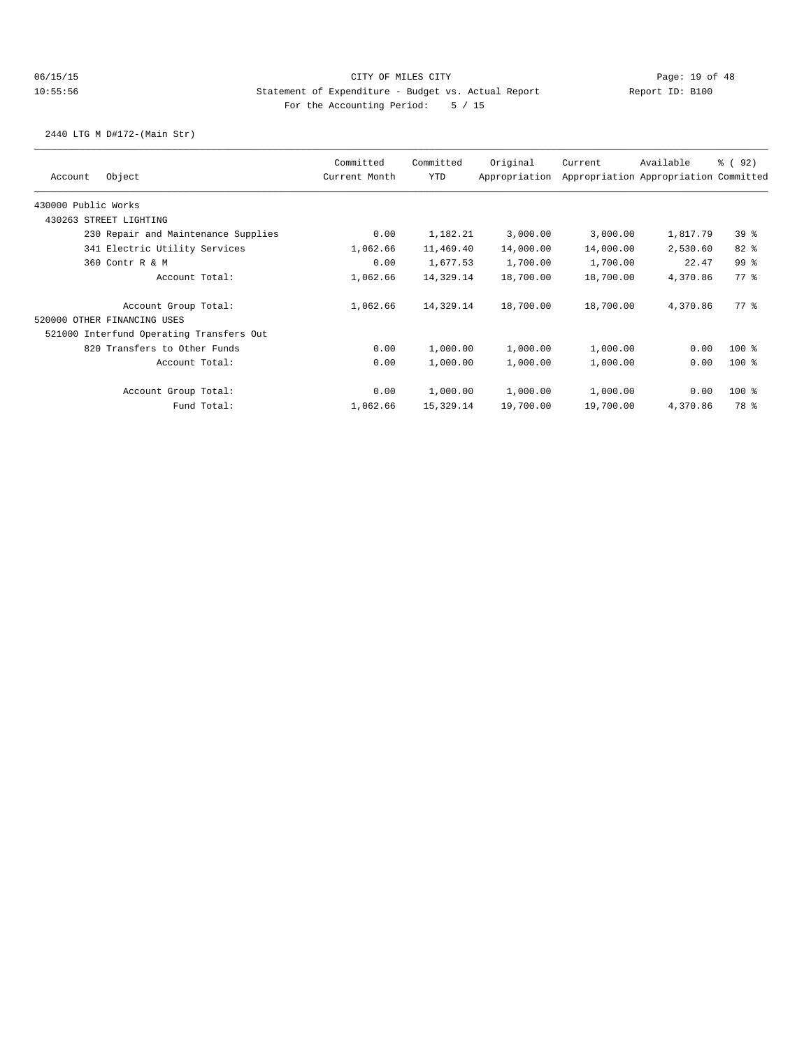2440 LTG M D#172-(Main Str)

|                     |                                          | Committed     | Committed | Original      | Current   | Available                             | % (92)          |
|---------------------|------------------------------------------|---------------|-----------|---------------|-----------|---------------------------------------|-----------------|
| Account             | Object                                   | Current Month | YTD       | Appropriation |           | Appropriation Appropriation Committed |                 |
| 430000 Public Works |                                          |               |           |               |           |                                       |                 |
| 430263              | STREET LIGHTING                          |               |           |               |           |                                       |                 |
|                     | 230 Repair and Maintenance Supplies      | 0.00          | 1,182.21  | 3,000.00      | 3,000.00  | 1,817.79                              | 39 <sup>8</sup> |
|                     | 341 Electric Utility Services            | 1,062.66      | 11,469.40 | 14,000.00     | 14,000.00 | 2,530.60                              | $82*$           |
|                     | 360 Contr R & M                          | 0.00          | 1,677.53  | 1,700.00      | 1,700.00  | 22.47                                 | 99 %            |
|                     | Account Total:                           | 1,062.66      | 14,329.14 | 18,700.00     | 18,700.00 | 4,370.86                              | 77.8            |
|                     | Account Group Total:                     | 1,062.66      | 14,329.14 | 18,700.00     | 18,700.00 | 4,370.86                              | 77 %            |
|                     | 520000 OTHER FINANCING USES              |               |           |               |           |                                       |                 |
|                     | 521000 Interfund Operating Transfers Out |               |           |               |           |                                       |                 |
|                     | 820 Transfers to Other Funds             | 0.00          | 1,000.00  | 1,000.00      | 1,000.00  | 0.00                                  | $100$ %         |
|                     | Account Total:                           | 0.00          | 1,000.00  | 1,000.00      | 1,000.00  | 0.00                                  | $100$ %         |
|                     | Account Group Total:                     | 0.00          | 1,000.00  | 1,000.00      | 1,000.00  | 0.00                                  | $100$ %         |
|                     | Fund Total:                              | 1,062.66      | 15,329.14 | 19,700.00     | 19,700.00 | 4,370.86                              | 78 %            |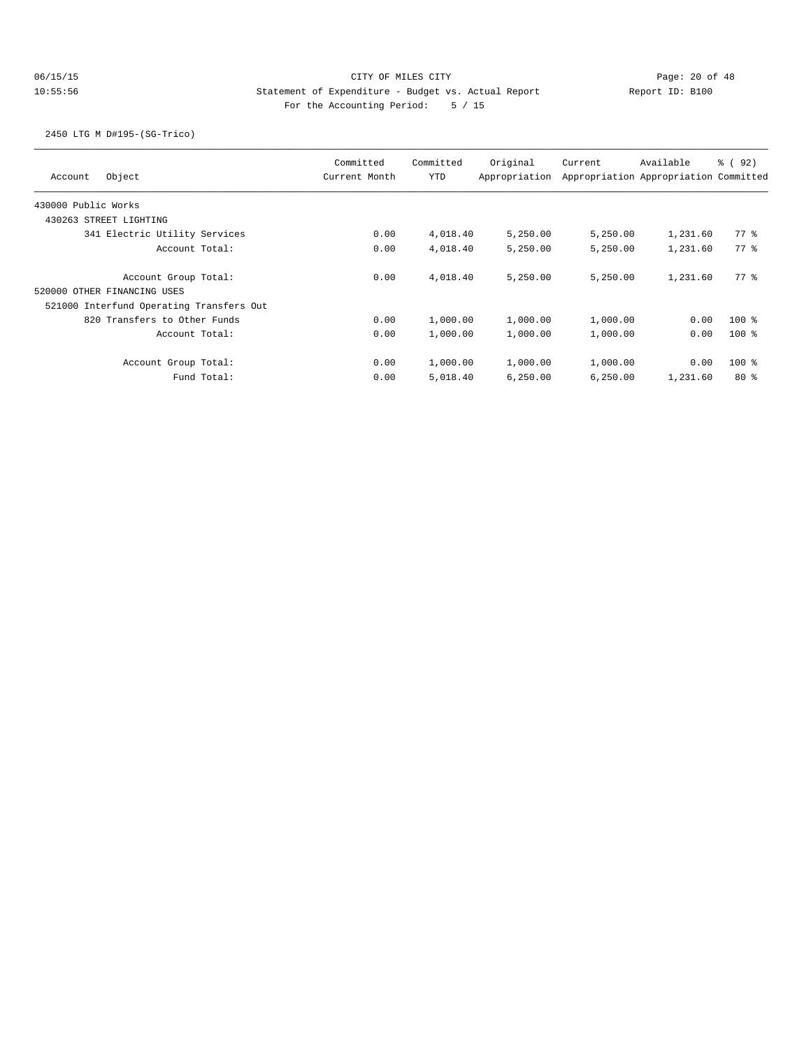# 06/15/15 CITY OF MILES CITY Page: 20 of 48 10:55:56 Statement of Expenditure - Budget vs. Actual Report Changer Report ID: B100 For the Accounting Period: 5 / 15

2450 LTG M D#195-(SG-Trico)

| Object<br>Account                        | Committed<br>Current Month | Committed<br><b>YTD</b> | Original<br>Appropriation | Current  | Available<br>Appropriation Appropriation Committed | % (92)  |
|------------------------------------------|----------------------------|-------------------------|---------------------------|----------|----------------------------------------------------|---------|
| 430000 Public Works                      |                            |                         |                           |          |                                                    |         |
| 430263 STREET LIGHTING                   |                            |                         |                           |          |                                                    |         |
| 341 Electric Utility Services            | 0.00                       | 4,018.40                | 5,250.00                  | 5,250.00 | 1,231.60                                           | 77.8    |
| Account Total:                           | 0.00                       | 4,018.40                | 5,250.00                  | 5,250.00 | 1,231.60                                           | 77.8    |
| Account Group Total:                     | 0.00                       | 4,018.40                | 5,250.00                  | 5.250.00 | 1,231.60                                           | 77.8    |
| 520000 OTHER FINANCING USES              |                            |                         |                           |          |                                                    |         |
| 521000 Interfund Operating Transfers Out |                            |                         |                           |          |                                                    |         |
| 820 Transfers to Other Funds             | 0.00                       | 1,000.00                | 1,000.00                  | 1,000.00 | 0.00                                               | $100*$  |
| Account Total:                           | 0.00                       | 1,000.00                | 1,000.00                  | 1,000.00 | 0.00                                               | $100$ % |
| Account Group Total:                     | 0.00                       | 1,000.00                | 1,000.00                  | 1,000.00 | 0.00                                               | $100$ % |
| Fund Total:                              | 0.00                       | 5,018.40                | 6,250.00                  | 6,250.00 | 1,231.60                                           | $80*$   |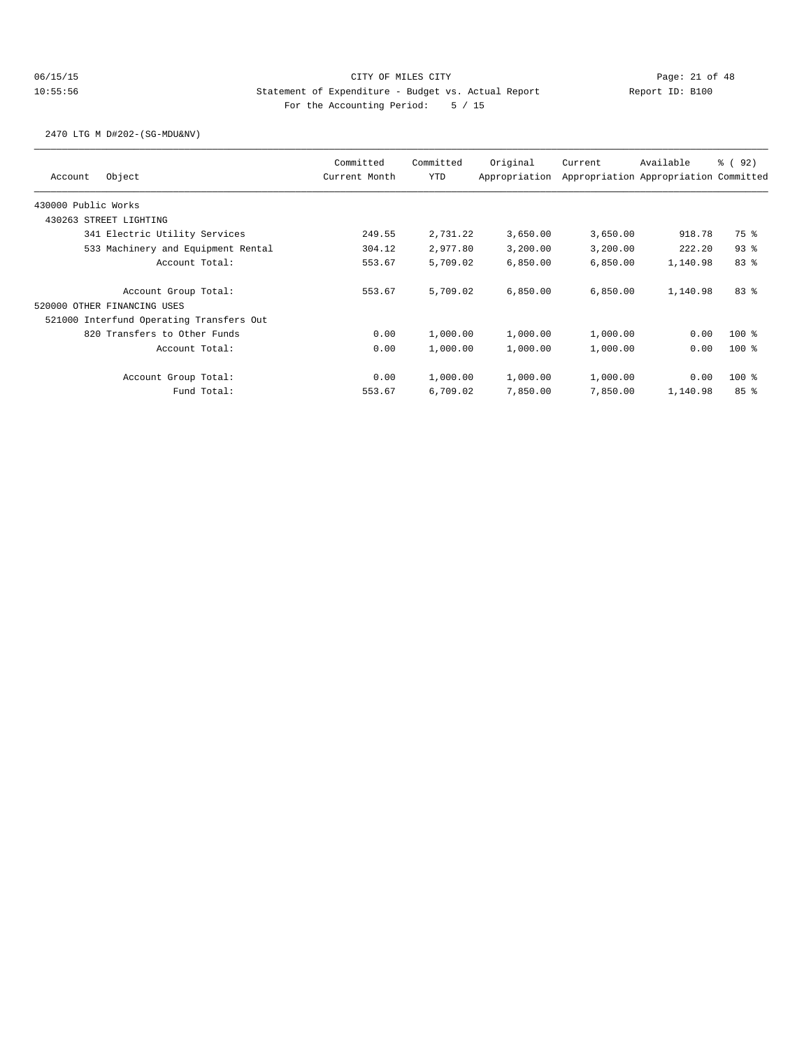2470 LTG M D#202-(SG-MDU&NV)

| Object<br>Account                        | Committed<br>Current Month | Committed<br><b>YTD</b> | Original<br>Appropriation | Current  | Available<br>Appropriation Appropriation Committed | 8 (92)   |
|------------------------------------------|----------------------------|-------------------------|---------------------------|----------|----------------------------------------------------|----------|
| 430000 Public Works                      |                            |                         |                           |          |                                                    |          |
| 430263 STREET LIGHTING                   |                            |                         |                           |          |                                                    |          |
| 341 Electric Utility Services            | 249.55                     | 2,731.22                | 3,650.00                  | 3,650.00 | 918.78                                             | 75 %     |
| 533 Machinery and Equipment Rental       | 304.12                     | 2,977.80                | 3,200.00                  | 3,200.00 | 222.20                                             | $93$ $%$ |
| Account Total:                           | 553.67                     | 5,709.02                | 6,850.00                  | 6,850.00 | 1,140.98                                           | 83%      |
| Account Group Total:                     | 553.67                     | 5,709.02                | 6,850.00                  | 6,850.00 | 1,140.98                                           | 83%      |
| 520000 OTHER FINANCING USES              |                            |                         |                           |          |                                                    |          |
| 521000 Interfund Operating Transfers Out |                            |                         |                           |          |                                                    |          |
| 820 Transfers to Other Funds             | 0.00                       | 1,000.00                | 1,000.00                  | 1,000.00 | 0.00                                               | $100$ %  |
| Account Total:                           | 0.00                       | 1,000.00                | 1,000.00                  | 1,000.00 | 0.00                                               | $100$ %  |
| Account Group Total:                     | 0.00                       | 1,000.00                | 1,000.00                  | 1,000.00 | 0.00                                               | $100$ %  |
| Fund Total:                              | 553.67                     | 6,709.02                | 7,850.00                  | 7,850.00 | 1,140.98                                           | 85%      |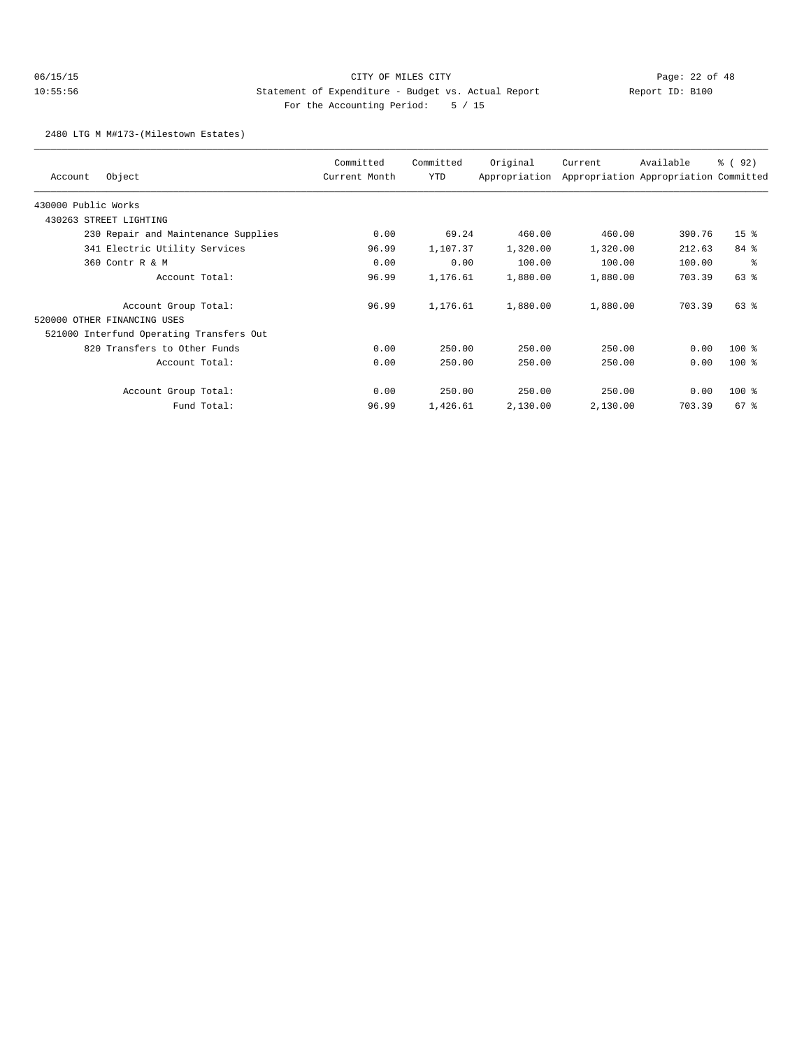# 06/15/15 CITY OF MILES CITY Page: 22 of 48 10:55:56 Statement of Expenditure - Budget vs. Actual Report Changery Report ID: B100 For the Accounting Period: 5 / 15

2480 LTG M M#173-(Milestown Estates)

| Account                     | Object                                   | Committed<br>Current Month | Committed<br>YTD | Original<br>Appropriation | Current  | Available<br>Appropriation Appropriation Committed | 8 (92)          |
|-----------------------------|------------------------------------------|----------------------------|------------------|---------------------------|----------|----------------------------------------------------|-----------------|
|                             |                                          |                            |                  |                           |          |                                                    |                 |
| 430000 Public Works         |                                          |                            |                  |                           |          |                                                    |                 |
| 430263 STREET LIGHTING      |                                          |                            |                  |                           |          |                                                    |                 |
|                             | 230 Repair and Maintenance Supplies      | 0.00                       | 69.24            | 460.00                    | 460.00   | 390.76                                             | 15 <sup>8</sup> |
|                             | 341 Electric Utility Services            | 96.99                      | 1,107.37         | 1,320.00                  | 1,320.00 | 212.63                                             | $84$ $%$        |
|                             | 360 Contr R & M                          | 0.00                       | 0.00             | 100.00                    | 100.00   | 100.00                                             | နွ              |
|                             | Account Total:                           | 96.99                      | 1,176.61         | 1,880.00                  | 1,880.00 | 703.39                                             | $63$ $%$        |
|                             | Account Group Total:                     | 96.99                      | 1,176.61         | 1,880.00                  | 1,880.00 | 703.39                                             | 63%             |
| 520000 OTHER FINANCING USES |                                          |                            |                  |                           |          |                                                    |                 |
|                             | 521000 Interfund Operating Transfers Out |                            |                  |                           |          |                                                    |                 |
|                             | 820 Transfers to Other Funds             | 0.00                       | 250.00           | 250.00                    | 250.00   | 0.00                                               | 100 %           |
|                             | Account Total:                           | 0.00                       | 250.00           | 250.00                    | 250.00   | 0.00                                               | $100$ %         |
|                             | Account Group Total:                     | 0.00                       | 250.00           | 250.00                    | 250.00   | 0.00                                               | $100$ %         |
|                             | Fund Total:                              | 96.99                      | 1,426.61         | 2,130.00                  | 2,130.00 | 703.39                                             | $67$ %          |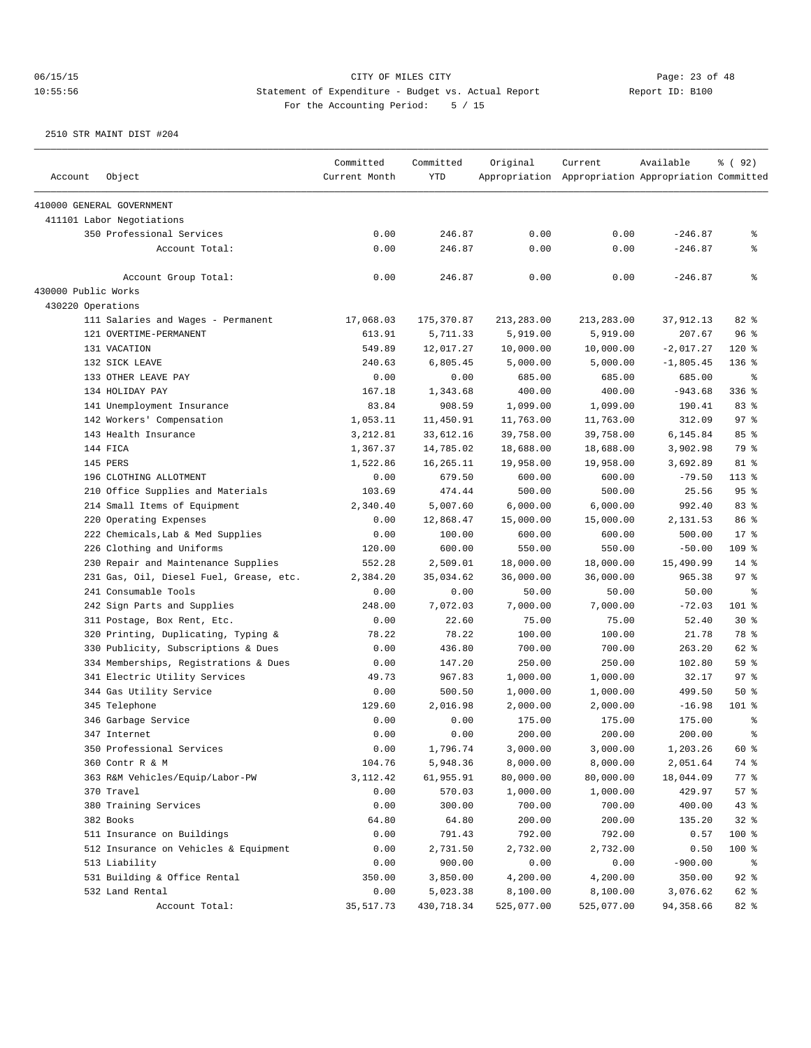|                     |                                         | Committed     | Committed  | Original   | Current                                             | Available   | % ( 92 )  |
|---------------------|-----------------------------------------|---------------|------------|------------|-----------------------------------------------------|-------------|-----------|
| Account             | Object                                  | Current Month | <b>YTD</b> |            | Appropriation Appropriation Appropriation Committed |             |           |
|                     | 410000 GENERAL GOVERNMENT               |               |            |            |                                                     |             |           |
|                     | 411101 Labor Negotiations               |               |            |            |                                                     |             |           |
|                     | 350 Professional Services               | 0.00          | 246.87     | 0.00       | 0.00                                                | $-246.87$   | နွ        |
|                     | Account Total:                          | 0.00          | 246.87     | 0.00       | 0.00                                                | $-246.87$   | နွ        |
|                     | Account Group Total:                    | 0.00          | 246.87     | 0.00       | 0.00                                                | $-246.87$   | နွ        |
| 430000 Public Works |                                         |               |            |            |                                                     |             |           |
| 430220 Operations   |                                         |               |            |            |                                                     |             |           |
|                     | 111 Salaries and Wages - Permanent      | 17,068.03     | 175,370.87 | 213,283.00 | 213,283.00                                          | 37,912.13   | $82$ %    |
|                     | 121 OVERTIME-PERMANENT                  | 613.91        | 5,711.33   | 5,919.00   | 5,919.00                                            | 207.67      | 96%       |
|                     | 131 VACATION                            | 549.89        | 12,017.27  | 10,000.00  | 10,000.00                                           | $-2,017.27$ | $120$ %   |
|                     | 132 SICK LEAVE                          | 240.63        | 6,805.45   | 5,000.00   | 5,000.00                                            | $-1,805.45$ | $136$ %   |
|                     | 133 OTHER LEAVE PAY                     | 0.00          | 0.00       | 685.00     | 685.00                                              | 685.00      | ႜ         |
|                     | 134 HOLIDAY PAY                         | 167.18        | 1,343.68   | 400.00     | 400.00                                              | $-943.68$   | $336$ %   |
|                     | 141 Unemployment Insurance              | 83.84         | 908.59     | 1,099.00   | 1,099.00                                            | 190.41      | 83 %      |
|                     | 142 Workers' Compensation               | 1,053.11      | 11,450.91  | 11,763.00  | 11,763.00                                           | 312.09      | 97%       |
|                     | 143 Health Insurance                    | 3,212.81      | 33,612.16  | 39,758.00  | 39,758.00                                           | 6,145.84    | 85%       |
|                     | 144 FICA                                | 1,367.37      | 14,785.02  | 18,688.00  | 18,688.00                                           | 3,902.98    | 79 %      |
|                     | 145 PERS                                | 1,522.86      | 16,265.11  | 19,958.00  | 19,958.00                                           | 3,692.89    | 81 %      |
|                     | 196 CLOTHING ALLOTMENT                  | 0.00          | 679.50     | 600.00     | 600.00                                              | $-79.50$    | $113$ $%$ |
|                     | 210 Office Supplies and Materials       | 103.69        | 474.44     | 500.00     | 500.00                                              | 25.56       | 95%       |
|                     | 214 Small Items of Equipment            | 2,340.40      | 5,007.60   | 6,000.00   | 6,000.00                                            | 992.40      | 83 %      |
|                     | 220 Operating Expenses                  | 0.00          | 12,868.47  | 15,000.00  | 15,000.00                                           | 2,131.53    | 86 %      |
|                     | 222 Chemicals, Lab & Med Supplies       | 0.00          | 100.00     | 600.00     | 600.00                                              | 500.00      | 17.8      |
|                     | 226 Clothing and Uniforms               | 120.00        | 600.00     | 550.00     | 550.00                                              | $-50.00$    | 109 %     |
|                     | 230 Repair and Maintenance Supplies     | 552.28        | 2,509.01   | 18,000.00  | 18,000.00                                           | 15,490.99   | 14 %      |
|                     | 231 Gas, Oil, Diesel Fuel, Grease, etc. | 2,384.20      | 35,034.62  | 36,000.00  | 36,000.00                                           | 965.38      | 97%       |
|                     | 241 Consumable Tools                    | 0.00          | 0.00       | 50.00      | 50.00                                               | 50.00       | ႜ         |
|                     | 242 Sign Parts and Supplies             | 248.00        | 7,072.03   | 7,000.00   | 7,000.00                                            | $-72.03$    | 101 %     |
|                     | 311 Postage, Box Rent, Etc.             | 0.00          | 22.60      | 75.00      | 75.00                                               | 52.40       | $30*$     |
|                     | 320 Printing, Duplicating, Typing &     | 78.22         | 78.22      | 100.00     | 100.00                                              | 21.78       | 78 %      |
|                     | 330 Publicity, Subscriptions & Dues     | 0.00          | 436.80     | 700.00     | 700.00                                              | 263.20      | 62 %      |
|                     | 334 Memberships, Registrations & Dues   | 0.00          | 147.20     | 250.00     | 250.00                                              | 102.80      | 59%       |
|                     | 341 Electric Utility Services           | 49.73         | 967.83     | 1,000.00   | 1,000.00                                            | 32.17       | 97%       |
|                     | 344 Gas Utility Service                 | 0.00          | 500.50     | 1,000.00   | 1,000.00                                            | 499.50      | 50%       |
|                     | 345 Telephone                           | 129.60        | 2,016.98   | 2,000.00   | 2,000.00                                            | $-16.98$    | $101$ %   |
|                     | 346 Garbage Service                     | 0.00          | 0.00       | 175.00     | 175.00                                              | 175.00      | နွ        |
|                     | 347 Internet                            | 0.00          | 0.00       | 200.00     | 200.00                                              | 200.00      | ⊱         |
|                     | 350 Professional Services               | 0.00          | 1,796.74   | 3,000.00   | 3,000.00                                            | 1,203.26    | 60 %      |
|                     | 360 Contr R & M                         | 104.76        | 5,948.36   | 8,000.00   | 8,000.00                                            | 2,051.64    | 74 %      |
|                     | 363 R&M Vehicles/Equip/Labor-PW         | 3,112.42      | 61,955.91  | 80,000.00  | 80,000.00                                           | 18,044.09   | $77$ %    |
|                     | 370 Travel                              | 0.00          | 570.03     | 1,000.00   | 1,000.00                                            | 429.97      | 57%       |
|                     | 380 Training Services                   | 0.00          | 300.00     | 700.00     | 700.00                                              | 400.00      | $43*$     |
|                     | 382 Books                               | 64.80         | 64.80      | 200.00     | 200.00                                              | 135.20      | $32*$     |
|                     | 511 Insurance on Buildings              | 0.00          | 791.43     | 792.00     | 792.00                                              | 0.57        | 100 %     |
|                     | 512 Insurance on Vehicles & Equipment   | 0.00          | 2,731.50   | 2,732.00   | 2,732.00                                            | 0.50        | 100 %     |
|                     | 513 Liability                           | 0.00          | 900.00     | 0.00       | 0.00                                                | $-900.00$   | နွ        |
|                     | 531 Building & Office Rental            | 350.00        | 3,850.00   | 4,200.00   | 4,200.00                                            | 350.00      | $92$ %    |
|                     | 532 Land Rental                         | 0.00          | 5,023.38   | 8,100.00   | 8,100.00                                            | 3,076.62    | 62 %      |
|                     | Account Total:                          | 35, 517.73    | 430,718.34 | 525,077.00 | 525,077.00                                          | 94,358.66   | 82 %      |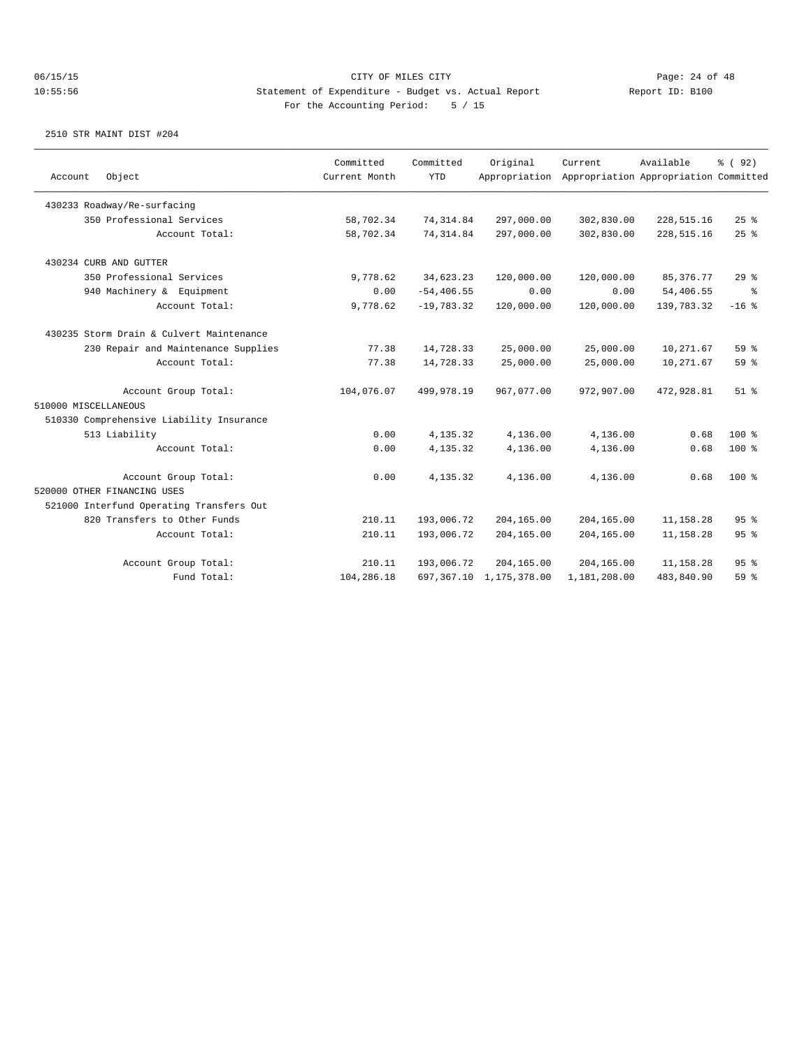| Account<br>Object                        | Committed<br>Current Month | Committed<br><b>YTD</b> | Original<br>Appropriation  | Current      | Available<br>Appropriation Appropriation Committed | % (92)          |
|------------------------------------------|----------------------------|-------------------------|----------------------------|--------------|----------------------------------------------------|-----------------|
| 430233 Roadway/Re-surfacing              |                            |                         |                            |              |                                                    |                 |
| 350 Professional Services                | 58,702.34                  | 74, 314.84              | 297,000.00                 | 302,830.00   | 228, 515.16                                        | $25$ $%$        |
| Account Total:                           | 58,702.34                  | 74, 314.84              | 297,000.00                 | 302,830.00   | 228,515.16                                         | 25%             |
| 430234 CURB AND GUTTER                   |                            |                         |                            |              |                                                    |                 |
| 350 Professional Services                | 9,778.62                   | 34,623.23               | 120,000.00                 | 120,000.00   | 85, 376. 77                                        | 29%             |
| 940 Machinery & Equipment                | 0.00                       | $-54, 406.55$           | 0.00                       | 0.00         | 54,406.55                                          | ွေ              |
| Account Total:                           | 9,778.62                   | $-19,783.32$            | 120,000.00                 | 120,000.00   | 139,783.32                                         | $-16$ %         |
| 430235 Storm Drain & Culvert Maintenance |                            |                         |                            |              |                                                    |                 |
| 230 Repair and Maintenance Supplies      | 77.38                      | 14,728.33               | 25,000.00                  | 25,000.00    | 10,271.67                                          | 59 %            |
| Account Total:                           | 77.38                      | 14,728.33               | 25,000.00                  | 25,000.00    | 10,271.67                                          | 59 <sub>8</sub> |
| Account Group Total:                     | 104,076.07                 | 499,978.19              | 967,077.00                 | 972,907.00   | 472,928.81                                         | $51$ $%$        |
| 510000 MISCELLANEOUS                     |                            |                         |                            |              |                                                    |                 |
| 510330 Comprehensive Liability Insurance |                            |                         |                            |              |                                                    |                 |
| 513 Liability                            | 0.00                       | 4,135.32                | 4,136.00                   | 4,136.00     | 0.68                                               | $100$ %         |
| Account Total:                           | 0.00                       | 4,135.32                | 4,136.00                   | 4,136.00     | 0.68                                               | $100*$          |
| Account Group Total:                     | 0.00                       | 4,135.32                | 4,136.00                   | 4,136.00     | 0.68                                               | $100*$          |
| 520000 OTHER FINANCING USES              |                            |                         |                            |              |                                                    |                 |
| 521000 Interfund Operating Transfers Out |                            |                         |                            |              |                                                    |                 |
| 820 Transfers to Other Funds             | 210.11                     | 193,006.72              | 204,165.00                 | 204,165.00   | 11,158.28                                          | 95%             |
| Account Total:                           | 210.11                     | 193,006.72              | 204,165.00                 | 204,165.00   | 11,158.28                                          | 95 <sup>8</sup> |
| Account Group Total:                     | 210.11                     | 193,006.72              | 204,165.00                 | 204,165.00   | 11,158.28                                          | 95 <sup>8</sup> |
| Fund Total:                              | 104,286.18                 |                         | 697, 367.10 1, 175, 378.00 | 1,181,208.00 | 483,840.90                                         | 59 <sub>8</sub> |
|                                          |                            |                         |                            |              |                                                    |                 |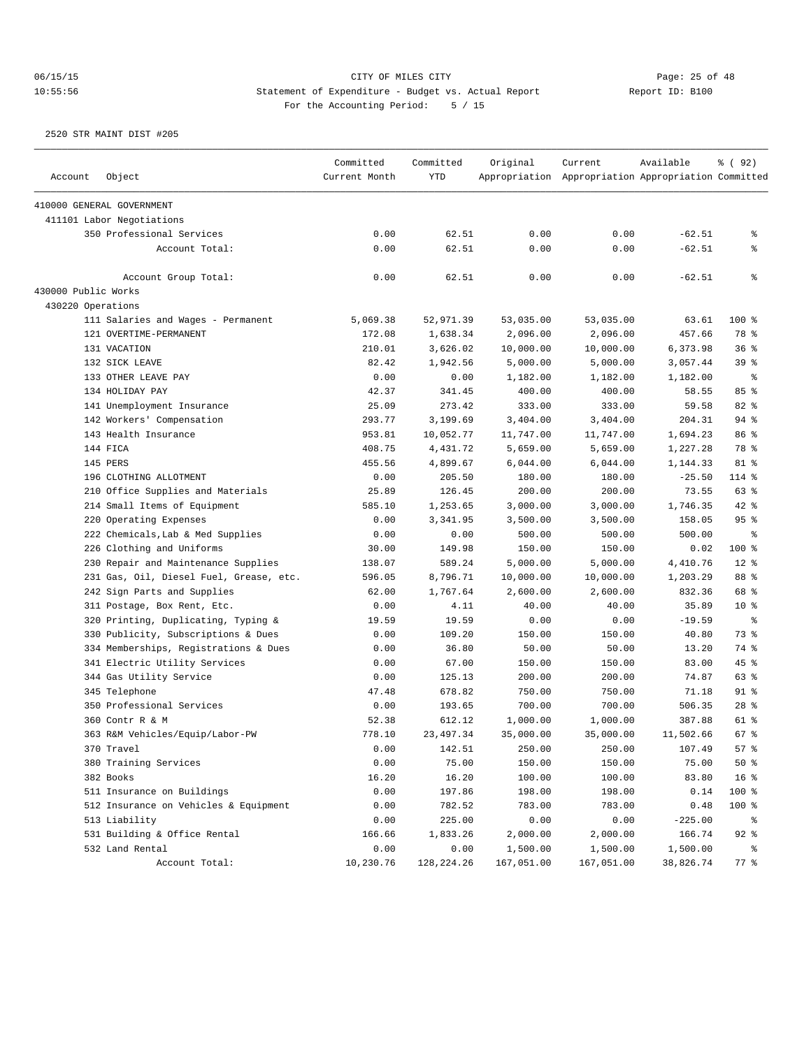| 410000 GENERAL GOVERNMENT<br>411101 Labor Negotiations<br>0.00<br>350 Professional Services<br>0.00<br>62.51<br>0.00<br>$-62.51$<br>နွ<br>0.00<br>62.51<br>0.00<br>0.00<br>$-62.51$<br>Account Total:<br>နွ<br>ి<br>0.00<br>62.51<br>0.00<br>0.00<br>$-62.51$<br>Account Group Total:<br>430000 Public Works<br>430220 Operations<br>100 %<br>111 Salaries and Wages - Permanent<br>5,069.38<br>52,971.39<br>53,035.00<br>53,035.00<br>63.61<br>78 %<br>121 OVERTIME-PERMANENT<br>172.08<br>1,638.34<br>2,096.00<br>2,096.00<br>457.66<br>210.01<br>3,626.02<br>10,000.00<br>10,000.00<br>6,373.98<br>36 <sup>8</sup><br>131 VACATION<br>132 SICK LEAVE<br>82.42<br>1,942.56<br>5,000.00<br>5,000.00<br>3,057.44<br>39 %<br>133 OTHER LEAVE PAY<br>0.00<br>0.00<br>1,182.00<br>1,182.00<br>1,182.00<br>ႜ<br>85%<br>134 HOLIDAY PAY<br>42.37<br>341.45<br>400.00<br>400.00<br>58.55<br>273.42<br>82 %<br>141 Unemployment Insurance<br>25.09<br>333.00<br>333.00<br>59.58<br>94%<br>142 Workers' Compensation<br>293.77<br>3,199.69<br>3,404.00<br>3,404.00<br>204.31<br>86 %<br>143 Health Insurance<br>953.81<br>10,052.77<br>11,747.00<br>11,747.00<br>1,694.23<br>144 FICA<br>408.75<br>4,431.72<br>5,659.00<br>1,227.28<br>78 %<br>5,659.00<br>145 PERS<br>455.56<br>4,899.67<br>6,044.00<br>81 %<br>6,044.00<br>1,144.33<br>196 CLOTHING ALLOTMENT<br>0.00<br>205.50<br>180.00<br>180.00<br>$-25.50$<br>114 %<br>63 %<br>210 Office Supplies and Materials<br>25.89<br>126.45<br>200.00<br>200.00<br>73.55<br>42 %<br>214 Small Items of Equipment<br>585.10<br>1,253.65<br>3,000.00<br>3,000.00<br>1,746.35<br>220 Operating Expenses<br>0.00<br>3,341.95<br>3,500.00<br>95%<br>3,500.00<br>158.05<br>222 Chemicals, Lab & Med Supplies<br>0.00<br>0.00<br>500.00<br>500.00<br>နွ<br>500.00<br>100 %<br>226 Clothing and Uniforms<br>30.00<br>149.98<br>150.00<br>150.00<br>0.02<br>$12*$<br>230 Repair and Maintenance Supplies<br>138.07<br>589.24<br>5,000.00<br>5,000.00<br>4,410.76<br>88 %<br>231 Gas, Oil, Diesel Fuel, Grease, etc.<br>596.05<br>8,796.71<br>10,000.00<br>10,000.00<br>1,203.29<br>242 Sign Parts and Supplies<br>62.00<br>1,767.64<br>832.36<br>68 %<br>2,600.00<br>2,600.00<br>311 Postage, Box Rent, Etc.<br>0.00<br>40.00<br>35.89<br>$10*$<br>4.11<br>40.00<br>320 Printing, Duplicating, Typing &<br>19.59<br>19.59<br>0.00<br>$-19.59$<br>နွ<br>0.00<br>73 %<br>330 Publicity, Subscriptions & Dues<br>109.20<br>150.00<br>150.00<br>40.80<br>0.00<br>334 Memberships, Registrations & Dues<br>0.00<br>36.80<br>50.00<br>50.00<br>13.20<br>74 %<br>341 Electric Utility Services<br>0.00<br>67.00<br>150.00<br>150.00<br>83.00<br>45%<br>63 %<br>344 Gas Utility Service<br>0.00<br>125.13<br>200.00<br>200.00<br>74.87<br>$91$ %<br>345 Telephone<br>47.48<br>678.82<br>750.00<br>750.00<br>71.18<br>$28$ %<br>350 Professional Services<br>0.00<br>193.65<br>700.00<br>700.00<br>506.35<br>61 %<br>360 Contr R & M<br>52.38<br>612.12<br>1,000.00<br>1,000.00<br>387.88<br>67 %<br>363 R&M Vehicles/Equip/Labor-PW<br>778.10<br>23,497.34<br>35,000.00<br>35,000.00<br>11,502.66<br>57%<br>370 Travel<br>0.00<br>142.51<br>250.00<br>250.00<br>107.49<br>0.00<br>$50*$<br>380 Training Services<br>75.00<br>150.00<br>150.00<br>75.00<br>16 <sup>8</sup><br>382 Books<br>16.20<br>16.20<br>100.00<br>100.00<br>83.80<br>511 Insurance on Buildings<br>0.00<br>197.86<br>198.00<br>198.00<br>0.14<br>100 %<br>512 Insurance on Vehicles & Equipment<br>0.00<br>782.52<br>783.00<br>783.00<br>0.48<br>100 %<br>0.00<br>225.00<br>0.00<br>0.00<br>$-225.00$<br>513 Liability<br>ိ<br>$92$ %<br>531 Building & Office Rental<br>166.66<br>1,833.26<br>2,000.00<br>2,000.00<br>166.74 | Account | Object | Committed<br>Current Month | Committed<br><b>YTD</b> | Original | Current<br>Appropriation Appropriation Appropriation Committed | Available | % ( 92 ) |
|-------------------------------------------------------------------------------------------------------------------------------------------------------------------------------------------------------------------------------------------------------------------------------------------------------------------------------------------------------------------------------------------------------------------------------------------------------------------------------------------------------------------------------------------------------------------------------------------------------------------------------------------------------------------------------------------------------------------------------------------------------------------------------------------------------------------------------------------------------------------------------------------------------------------------------------------------------------------------------------------------------------------------------------------------------------------------------------------------------------------------------------------------------------------------------------------------------------------------------------------------------------------------------------------------------------------------------------------------------------------------------------------------------------------------------------------------------------------------------------------------------------------------------------------------------------------------------------------------------------------------------------------------------------------------------------------------------------------------------------------------------------------------------------------------------------------------------------------------------------------------------------------------------------------------------------------------------------------------------------------------------------------------------------------------------------------------------------------------------------------------------------------------------------------------------------------------------------------------------------------------------------------------------------------------------------------------------------------------------------------------------------------------------------------------------------------------------------------------------------------------------------------------------------------------------------------------------------------------------------------------------------------------------------------------------------------------------------------------------------------------------------------------------------------------------------------------------------------------------------------------------------------------------------------------------------------------------------------------------------------------------------------------------------------------------------------------------------------------------------------------------------------------------------------------------------------------------------------------------------------------------------------------------------------------------------------------------------------------------------------------------------------------------------------------------------------------------------------------------------------------------------------------------------------------------------------------------------------------------------------------------------------------------------------------------------------------------------------------|---------|--------|----------------------------|-------------------------|----------|----------------------------------------------------------------|-----------|----------|
|                                                                                                                                                                                                                                                                                                                                                                                                                                                                                                                                                                                                                                                                                                                                                                                                                                                                                                                                                                                                                                                                                                                                                                                                                                                                                                                                                                                                                                                                                                                                                                                                                                                                                                                                                                                                                                                                                                                                                                                                                                                                                                                                                                                                                                                                                                                                                                                                                                                                                                                                                                                                                                                                                                                                                                                                                                                                                                                                                                                                                                                                                                                                                                                                                                                                                                                                                                                                                                                                                                                                                                                                                                                                                                                         |         |        |                            |                         |          |                                                                |           |          |
|                                                                                                                                                                                                                                                                                                                                                                                                                                                                                                                                                                                                                                                                                                                                                                                                                                                                                                                                                                                                                                                                                                                                                                                                                                                                                                                                                                                                                                                                                                                                                                                                                                                                                                                                                                                                                                                                                                                                                                                                                                                                                                                                                                                                                                                                                                                                                                                                                                                                                                                                                                                                                                                                                                                                                                                                                                                                                                                                                                                                                                                                                                                                                                                                                                                                                                                                                                                                                                                                                                                                                                                                                                                                                                                         |         |        |                            |                         |          |                                                                |           |          |
|                                                                                                                                                                                                                                                                                                                                                                                                                                                                                                                                                                                                                                                                                                                                                                                                                                                                                                                                                                                                                                                                                                                                                                                                                                                                                                                                                                                                                                                                                                                                                                                                                                                                                                                                                                                                                                                                                                                                                                                                                                                                                                                                                                                                                                                                                                                                                                                                                                                                                                                                                                                                                                                                                                                                                                                                                                                                                                                                                                                                                                                                                                                                                                                                                                                                                                                                                                                                                                                                                                                                                                                                                                                                                                                         |         |        |                            |                         |          |                                                                |           |          |
|                                                                                                                                                                                                                                                                                                                                                                                                                                                                                                                                                                                                                                                                                                                                                                                                                                                                                                                                                                                                                                                                                                                                                                                                                                                                                                                                                                                                                                                                                                                                                                                                                                                                                                                                                                                                                                                                                                                                                                                                                                                                                                                                                                                                                                                                                                                                                                                                                                                                                                                                                                                                                                                                                                                                                                                                                                                                                                                                                                                                                                                                                                                                                                                                                                                                                                                                                                                                                                                                                                                                                                                                                                                                                                                         |         |        |                            |                         |          |                                                                |           |          |
|                                                                                                                                                                                                                                                                                                                                                                                                                                                                                                                                                                                                                                                                                                                                                                                                                                                                                                                                                                                                                                                                                                                                                                                                                                                                                                                                                                                                                                                                                                                                                                                                                                                                                                                                                                                                                                                                                                                                                                                                                                                                                                                                                                                                                                                                                                                                                                                                                                                                                                                                                                                                                                                                                                                                                                                                                                                                                                                                                                                                                                                                                                                                                                                                                                                                                                                                                                                                                                                                                                                                                                                                                                                                                                                         |         |        |                            |                         |          |                                                                |           |          |
|                                                                                                                                                                                                                                                                                                                                                                                                                                                                                                                                                                                                                                                                                                                                                                                                                                                                                                                                                                                                                                                                                                                                                                                                                                                                                                                                                                                                                                                                                                                                                                                                                                                                                                                                                                                                                                                                                                                                                                                                                                                                                                                                                                                                                                                                                                                                                                                                                                                                                                                                                                                                                                                                                                                                                                                                                                                                                                                                                                                                                                                                                                                                                                                                                                                                                                                                                                                                                                                                                                                                                                                                                                                                                                                         |         |        |                            |                         |          |                                                                |           |          |
|                                                                                                                                                                                                                                                                                                                                                                                                                                                                                                                                                                                                                                                                                                                                                                                                                                                                                                                                                                                                                                                                                                                                                                                                                                                                                                                                                                                                                                                                                                                                                                                                                                                                                                                                                                                                                                                                                                                                                                                                                                                                                                                                                                                                                                                                                                                                                                                                                                                                                                                                                                                                                                                                                                                                                                                                                                                                                                                                                                                                                                                                                                                                                                                                                                                                                                                                                                                                                                                                                                                                                                                                                                                                                                                         |         |        |                            |                         |          |                                                                |           |          |
|                                                                                                                                                                                                                                                                                                                                                                                                                                                                                                                                                                                                                                                                                                                                                                                                                                                                                                                                                                                                                                                                                                                                                                                                                                                                                                                                                                                                                                                                                                                                                                                                                                                                                                                                                                                                                                                                                                                                                                                                                                                                                                                                                                                                                                                                                                                                                                                                                                                                                                                                                                                                                                                                                                                                                                                                                                                                                                                                                                                                                                                                                                                                                                                                                                                                                                                                                                                                                                                                                                                                                                                                                                                                                                                         |         |        |                            |                         |          |                                                                |           |          |
|                                                                                                                                                                                                                                                                                                                                                                                                                                                                                                                                                                                                                                                                                                                                                                                                                                                                                                                                                                                                                                                                                                                                                                                                                                                                                                                                                                                                                                                                                                                                                                                                                                                                                                                                                                                                                                                                                                                                                                                                                                                                                                                                                                                                                                                                                                                                                                                                                                                                                                                                                                                                                                                                                                                                                                                                                                                                                                                                                                                                                                                                                                                                                                                                                                                                                                                                                                                                                                                                                                                                                                                                                                                                                                                         |         |        |                            |                         |          |                                                                |           |          |
|                                                                                                                                                                                                                                                                                                                                                                                                                                                                                                                                                                                                                                                                                                                                                                                                                                                                                                                                                                                                                                                                                                                                                                                                                                                                                                                                                                                                                                                                                                                                                                                                                                                                                                                                                                                                                                                                                                                                                                                                                                                                                                                                                                                                                                                                                                                                                                                                                                                                                                                                                                                                                                                                                                                                                                                                                                                                                                                                                                                                                                                                                                                                                                                                                                                                                                                                                                                                                                                                                                                                                                                                                                                                                                                         |         |        |                            |                         |          |                                                                |           |          |
|                                                                                                                                                                                                                                                                                                                                                                                                                                                                                                                                                                                                                                                                                                                                                                                                                                                                                                                                                                                                                                                                                                                                                                                                                                                                                                                                                                                                                                                                                                                                                                                                                                                                                                                                                                                                                                                                                                                                                                                                                                                                                                                                                                                                                                                                                                                                                                                                                                                                                                                                                                                                                                                                                                                                                                                                                                                                                                                                                                                                                                                                                                                                                                                                                                                                                                                                                                                                                                                                                                                                                                                                                                                                                                                         |         |        |                            |                         |          |                                                                |           |          |
|                                                                                                                                                                                                                                                                                                                                                                                                                                                                                                                                                                                                                                                                                                                                                                                                                                                                                                                                                                                                                                                                                                                                                                                                                                                                                                                                                                                                                                                                                                                                                                                                                                                                                                                                                                                                                                                                                                                                                                                                                                                                                                                                                                                                                                                                                                                                                                                                                                                                                                                                                                                                                                                                                                                                                                                                                                                                                                                                                                                                                                                                                                                                                                                                                                                                                                                                                                                                                                                                                                                                                                                                                                                                                                                         |         |        |                            |                         |          |                                                                |           |          |
|                                                                                                                                                                                                                                                                                                                                                                                                                                                                                                                                                                                                                                                                                                                                                                                                                                                                                                                                                                                                                                                                                                                                                                                                                                                                                                                                                                                                                                                                                                                                                                                                                                                                                                                                                                                                                                                                                                                                                                                                                                                                                                                                                                                                                                                                                                                                                                                                                                                                                                                                                                                                                                                                                                                                                                                                                                                                                                                                                                                                                                                                                                                                                                                                                                                                                                                                                                                                                                                                                                                                                                                                                                                                                                                         |         |        |                            |                         |          |                                                                |           |          |
|                                                                                                                                                                                                                                                                                                                                                                                                                                                                                                                                                                                                                                                                                                                                                                                                                                                                                                                                                                                                                                                                                                                                                                                                                                                                                                                                                                                                                                                                                                                                                                                                                                                                                                                                                                                                                                                                                                                                                                                                                                                                                                                                                                                                                                                                                                                                                                                                                                                                                                                                                                                                                                                                                                                                                                                                                                                                                                                                                                                                                                                                                                                                                                                                                                                                                                                                                                                                                                                                                                                                                                                                                                                                                                                         |         |        |                            |                         |          |                                                                |           |          |
|                                                                                                                                                                                                                                                                                                                                                                                                                                                                                                                                                                                                                                                                                                                                                                                                                                                                                                                                                                                                                                                                                                                                                                                                                                                                                                                                                                                                                                                                                                                                                                                                                                                                                                                                                                                                                                                                                                                                                                                                                                                                                                                                                                                                                                                                                                                                                                                                                                                                                                                                                                                                                                                                                                                                                                                                                                                                                                                                                                                                                                                                                                                                                                                                                                                                                                                                                                                                                                                                                                                                                                                                                                                                                                                         |         |        |                            |                         |          |                                                                |           |          |
|                                                                                                                                                                                                                                                                                                                                                                                                                                                                                                                                                                                                                                                                                                                                                                                                                                                                                                                                                                                                                                                                                                                                                                                                                                                                                                                                                                                                                                                                                                                                                                                                                                                                                                                                                                                                                                                                                                                                                                                                                                                                                                                                                                                                                                                                                                                                                                                                                                                                                                                                                                                                                                                                                                                                                                                                                                                                                                                                                                                                                                                                                                                                                                                                                                                                                                                                                                                                                                                                                                                                                                                                                                                                                                                         |         |        |                            |                         |          |                                                                |           |          |
|                                                                                                                                                                                                                                                                                                                                                                                                                                                                                                                                                                                                                                                                                                                                                                                                                                                                                                                                                                                                                                                                                                                                                                                                                                                                                                                                                                                                                                                                                                                                                                                                                                                                                                                                                                                                                                                                                                                                                                                                                                                                                                                                                                                                                                                                                                                                                                                                                                                                                                                                                                                                                                                                                                                                                                                                                                                                                                                                                                                                                                                                                                                                                                                                                                                                                                                                                                                                                                                                                                                                                                                                                                                                                                                         |         |        |                            |                         |          |                                                                |           |          |
|                                                                                                                                                                                                                                                                                                                                                                                                                                                                                                                                                                                                                                                                                                                                                                                                                                                                                                                                                                                                                                                                                                                                                                                                                                                                                                                                                                                                                                                                                                                                                                                                                                                                                                                                                                                                                                                                                                                                                                                                                                                                                                                                                                                                                                                                                                                                                                                                                                                                                                                                                                                                                                                                                                                                                                                                                                                                                                                                                                                                                                                                                                                                                                                                                                                                                                                                                                                                                                                                                                                                                                                                                                                                                                                         |         |        |                            |                         |          |                                                                |           |          |
|                                                                                                                                                                                                                                                                                                                                                                                                                                                                                                                                                                                                                                                                                                                                                                                                                                                                                                                                                                                                                                                                                                                                                                                                                                                                                                                                                                                                                                                                                                                                                                                                                                                                                                                                                                                                                                                                                                                                                                                                                                                                                                                                                                                                                                                                                                                                                                                                                                                                                                                                                                                                                                                                                                                                                                                                                                                                                                                                                                                                                                                                                                                                                                                                                                                                                                                                                                                                                                                                                                                                                                                                                                                                                                                         |         |        |                            |                         |          |                                                                |           |          |
|                                                                                                                                                                                                                                                                                                                                                                                                                                                                                                                                                                                                                                                                                                                                                                                                                                                                                                                                                                                                                                                                                                                                                                                                                                                                                                                                                                                                                                                                                                                                                                                                                                                                                                                                                                                                                                                                                                                                                                                                                                                                                                                                                                                                                                                                                                                                                                                                                                                                                                                                                                                                                                                                                                                                                                                                                                                                                                                                                                                                                                                                                                                                                                                                                                                                                                                                                                                                                                                                                                                                                                                                                                                                                                                         |         |        |                            |                         |          |                                                                |           |          |
|                                                                                                                                                                                                                                                                                                                                                                                                                                                                                                                                                                                                                                                                                                                                                                                                                                                                                                                                                                                                                                                                                                                                                                                                                                                                                                                                                                                                                                                                                                                                                                                                                                                                                                                                                                                                                                                                                                                                                                                                                                                                                                                                                                                                                                                                                                                                                                                                                                                                                                                                                                                                                                                                                                                                                                                                                                                                                                                                                                                                                                                                                                                                                                                                                                                                                                                                                                                                                                                                                                                                                                                                                                                                                                                         |         |        |                            |                         |          |                                                                |           |          |
|                                                                                                                                                                                                                                                                                                                                                                                                                                                                                                                                                                                                                                                                                                                                                                                                                                                                                                                                                                                                                                                                                                                                                                                                                                                                                                                                                                                                                                                                                                                                                                                                                                                                                                                                                                                                                                                                                                                                                                                                                                                                                                                                                                                                                                                                                                                                                                                                                                                                                                                                                                                                                                                                                                                                                                                                                                                                                                                                                                                                                                                                                                                                                                                                                                                                                                                                                                                                                                                                                                                                                                                                                                                                                                                         |         |        |                            |                         |          |                                                                |           |          |
|                                                                                                                                                                                                                                                                                                                                                                                                                                                                                                                                                                                                                                                                                                                                                                                                                                                                                                                                                                                                                                                                                                                                                                                                                                                                                                                                                                                                                                                                                                                                                                                                                                                                                                                                                                                                                                                                                                                                                                                                                                                                                                                                                                                                                                                                                                                                                                                                                                                                                                                                                                                                                                                                                                                                                                                                                                                                                                                                                                                                                                                                                                                                                                                                                                                                                                                                                                                                                                                                                                                                                                                                                                                                                                                         |         |        |                            |                         |          |                                                                |           |          |
|                                                                                                                                                                                                                                                                                                                                                                                                                                                                                                                                                                                                                                                                                                                                                                                                                                                                                                                                                                                                                                                                                                                                                                                                                                                                                                                                                                                                                                                                                                                                                                                                                                                                                                                                                                                                                                                                                                                                                                                                                                                                                                                                                                                                                                                                                                                                                                                                                                                                                                                                                                                                                                                                                                                                                                                                                                                                                                                                                                                                                                                                                                                                                                                                                                                                                                                                                                                                                                                                                                                                                                                                                                                                                                                         |         |        |                            |                         |          |                                                                |           |          |
|                                                                                                                                                                                                                                                                                                                                                                                                                                                                                                                                                                                                                                                                                                                                                                                                                                                                                                                                                                                                                                                                                                                                                                                                                                                                                                                                                                                                                                                                                                                                                                                                                                                                                                                                                                                                                                                                                                                                                                                                                                                                                                                                                                                                                                                                                                                                                                                                                                                                                                                                                                                                                                                                                                                                                                                                                                                                                                                                                                                                                                                                                                                                                                                                                                                                                                                                                                                                                                                                                                                                                                                                                                                                                                                         |         |        |                            |                         |          |                                                                |           |          |
|                                                                                                                                                                                                                                                                                                                                                                                                                                                                                                                                                                                                                                                                                                                                                                                                                                                                                                                                                                                                                                                                                                                                                                                                                                                                                                                                                                                                                                                                                                                                                                                                                                                                                                                                                                                                                                                                                                                                                                                                                                                                                                                                                                                                                                                                                                                                                                                                                                                                                                                                                                                                                                                                                                                                                                                                                                                                                                                                                                                                                                                                                                                                                                                                                                                                                                                                                                                                                                                                                                                                                                                                                                                                                                                         |         |        |                            |                         |          |                                                                |           |          |
|                                                                                                                                                                                                                                                                                                                                                                                                                                                                                                                                                                                                                                                                                                                                                                                                                                                                                                                                                                                                                                                                                                                                                                                                                                                                                                                                                                                                                                                                                                                                                                                                                                                                                                                                                                                                                                                                                                                                                                                                                                                                                                                                                                                                                                                                                                                                                                                                                                                                                                                                                                                                                                                                                                                                                                                                                                                                                                                                                                                                                                                                                                                                                                                                                                                                                                                                                                                                                                                                                                                                                                                                                                                                                                                         |         |        |                            |                         |          |                                                                |           |          |
|                                                                                                                                                                                                                                                                                                                                                                                                                                                                                                                                                                                                                                                                                                                                                                                                                                                                                                                                                                                                                                                                                                                                                                                                                                                                                                                                                                                                                                                                                                                                                                                                                                                                                                                                                                                                                                                                                                                                                                                                                                                                                                                                                                                                                                                                                                                                                                                                                                                                                                                                                                                                                                                                                                                                                                                                                                                                                                                                                                                                                                                                                                                                                                                                                                                                                                                                                                                                                                                                                                                                                                                                                                                                                                                         |         |        |                            |                         |          |                                                                |           |          |
|                                                                                                                                                                                                                                                                                                                                                                                                                                                                                                                                                                                                                                                                                                                                                                                                                                                                                                                                                                                                                                                                                                                                                                                                                                                                                                                                                                                                                                                                                                                                                                                                                                                                                                                                                                                                                                                                                                                                                                                                                                                                                                                                                                                                                                                                                                                                                                                                                                                                                                                                                                                                                                                                                                                                                                                                                                                                                                                                                                                                                                                                                                                                                                                                                                                                                                                                                                                                                                                                                                                                                                                                                                                                                                                         |         |        |                            |                         |          |                                                                |           |          |
|                                                                                                                                                                                                                                                                                                                                                                                                                                                                                                                                                                                                                                                                                                                                                                                                                                                                                                                                                                                                                                                                                                                                                                                                                                                                                                                                                                                                                                                                                                                                                                                                                                                                                                                                                                                                                                                                                                                                                                                                                                                                                                                                                                                                                                                                                                                                                                                                                                                                                                                                                                                                                                                                                                                                                                                                                                                                                                                                                                                                                                                                                                                                                                                                                                                                                                                                                                                                                                                                                                                                                                                                                                                                                                                         |         |        |                            |                         |          |                                                                |           |          |
|                                                                                                                                                                                                                                                                                                                                                                                                                                                                                                                                                                                                                                                                                                                                                                                                                                                                                                                                                                                                                                                                                                                                                                                                                                                                                                                                                                                                                                                                                                                                                                                                                                                                                                                                                                                                                                                                                                                                                                                                                                                                                                                                                                                                                                                                                                                                                                                                                                                                                                                                                                                                                                                                                                                                                                                                                                                                                                                                                                                                                                                                                                                                                                                                                                                                                                                                                                                                                                                                                                                                                                                                                                                                                                                         |         |        |                            |                         |          |                                                                |           |          |
|                                                                                                                                                                                                                                                                                                                                                                                                                                                                                                                                                                                                                                                                                                                                                                                                                                                                                                                                                                                                                                                                                                                                                                                                                                                                                                                                                                                                                                                                                                                                                                                                                                                                                                                                                                                                                                                                                                                                                                                                                                                                                                                                                                                                                                                                                                                                                                                                                                                                                                                                                                                                                                                                                                                                                                                                                                                                                                                                                                                                                                                                                                                                                                                                                                                                                                                                                                                                                                                                                                                                                                                                                                                                                                                         |         |        |                            |                         |          |                                                                |           |          |
|                                                                                                                                                                                                                                                                                                                                                                                                                                                                                                                                                                                                                                                                                                                                                                                                                                                                                                                                                                                                                                                                                                                                                                                                                                                                                                                                                                                                                                                                                                                                                                                                                                                                                                                                                                                                                                                                                                                                                                                                                                                                                                                                                                                                                                                                                                                                                                                                                                                                                                                                                                                                                                                                                                                                                                                                                                                                                                                                                                                                                                                                                                                                                                                                                                                                                                                                                                                                                                                                                                                                                                                                                                                                                                                         |         |        |                            |                         |          |                                                                |           |          |
|                                                                                                                                                                                                                                                                                                                                                                                                                                                                                                                                                                                                                                                                                                                                                                                                                                                                                                                                                                                                                                                                                                                                                                                                                                                                                                                                                                                                                                                                                                                                                                                                                                                                                                                                                                                                                                                                                                                                                                                                                                                                                                                                                                                                                                                                                                                                                                                                                                                                                                                                                                                                                                                                                                                                                                                                                                                                                                                                                                                                                                                                                                                                                                                                                                                                                                                                                                                                                                                                                                                                                                                                                                                                                                                         |         |        |                            |                         |          |                                                                |           |          |
|                                                                                                                                                                                                                                                                                                                                                                                                                                                                                                                                                                                                                                                                                                                                                                                                                                                                                                                                                                                                                                                                                                                                                                                                                                                                                                                                                                                                                                                                                                                                                                                                                                                                                                                                                                                                                                                                                                                                                                                                                                                                                                                                                                                                                                                                                                                                                                                                                                                                                                                                                                                                                                                                                                                                                                                                                                                                                                                                                                                                                                                                                                                                                                                                                                                                                                                                                                                                                                                                                                                                                                                                                                                                                                                         |         |        |                            |                         |          |                                                                |           |          |
|                                                                                                                                                                                                                                                                                                                                                                                                                                                                                                                                                                                                                                                                                                                                                                                                                                                                                                                                                                                                                                                                                                                                                                                                                                                                                                                                                                                                                                                                                                                                                                                                                                                                                                                                                                                                                                                                                                                                                                                                                                                                                                                                                                                                                                                                                                                                                                                                                                                                                                                                                                                                                                                                                                                                                                                                                                                                                                                                                                                                                                                                                                                                                                                                                                                                                                                                                                                                                                                                                                                                                                                                                                                                                                                         |         |        |                            |                         |          |                                                                |           |          |
|                                                                                                                                                                                                                                                                                                                                                                                                                                                                                                                                                                                                                                                                                                                                                                                                                                                                                                                                                                                                                                                                                                                                                                                                                                                                                                                                                                                                                                                                                                                                                                                                                                                                                                                                                                                                                                                                                                                                                                                                                                                                                                                                                                                                                                                                                                                                                                                                                                                                                                                                                                                                                                                                                                                                                                                                                                                                                                                                                                                                                                                                                                                                                                                                                                                                                                                                                                                                                                                                                                                                                                                                                                                                                                                         |         |        |                            |                         |          |                                                                |           |          |
|                                                                                                                                                                                                                                                                                                                                                                                                                                                                                                                                                                                                                                                                                                                                                                                                                                                                                                                                                                                                                                                                                                                                                                                                                                                                                                                                                                                                                                                                                                                                                                                                                                                                                                                                                                                                                                                                                                                                                                                                                                                                                                                                                                                                                                                                                                                                                                                                                                                                                                                                                                                                                                                                                                                                                                                                                                                                                                                                                                                                                                                                                                                                                                                                                                                                                                                                                                                                                                                                                                                                                                                                                                                                                                                         |         |        |                            |                         |          |                                                                |           |          |
|                                                                                                                                                                                                                                                                                                                                                                                                                                                                                                                                                                                                                                                                                                                                                                                                                                                                                                                                                                                                                                                                                                                                                                                                                                                                                                                                                                                                                                                                                                                                                                                                                                                                                                                                                                                                                                                                                                                                                                                                                                                                                                                                                                                                                                                                                                                                                                                                                                                                                                                                                                                                                                                                                                                                                                                                                                                                                                                                                                                                                                                                                                                                                                                                                                                                                                                                                                                                                                                                                                                                                                                                                                                                                                                         |         |        |                            |                         |          |                                                                |           |          |
|                                                                                                                                                                                                                                                                                                                                                                                                                                                                                                                                                                                                                                                                                                                                                                                                                                                                                                                                                                                                                                                                                                                                                                                                                                                                                                                                                                                                                                                                                                                                                                                                                                                                                                                                                                                                                                                                                                                                                                                                                                                                                                                                                                                                                                                                                                                                                                                                                                                                                                                                                                                                                                                                                                                                                                                                                                                                                                                                                                                                                                                                                                                                                                                                                                                                                                                                                                                                                                                                                                                                                                                                                                                                                                                         |         |        |                            |                         |          |                                                                |           |          |
|                                                                                                                                                                                                                                                                                                                                                                                                                                                                                                                                                                                                                                                                                                                                                                                                                                                                                                                                                                                                                                                                                                                                                                                                                                                                                                                                                                                                                                                                                                                                                                                                                                                                                                                                                                                                                                                                                                                                                                                                                                                                                                                                                                                                                                                                                                                                                                                                                                                                                                                                                                                                                                                                                                                                                                                                                                                                                                                                                                                                                                                                                                                                                                                                                                                                                                                                                                                                                                                                                                                                                                                                                                                                                                                         |         |        |                            |                         |          |                                                                |           |          |
|                                                                                                                                                                                                                                                                                                                                                                                                                                                                                                                                                                                                                                                                                                                                                                                                                                                                                                                                                                                                                                                                                                                                                                                                                                                                                                                                                                                                                                                                                                                                                                                                                                                                                                                                                                                                                                                                                                                                                                                                                                                                                                                                                                                                                                                                                                                                                                                                                                                                                                                                                                                                                                                                                                                                                                                                                                                                                                                                                                                                                                                                                                                                                                                                                                                                                                                                                                                                                                                                                                                                                                                                                                                                                                                         |         |        |                            |                         |          |                                                                |           |          |
|                                                                                                                                                                                                                                                                                                                                                                                                                                                                                                                                                                                                                                                                                                                                                                                                                                                                                                                                                                                                                                                                                                                                                                                                                                                                                                                                                                                                                                                                                                                                                                                                                                                                                                                                                                                                                                                                                                                                                                                                                                                                                                                                                                                                                                                                                                                                                                                                                                                                                                                                                                                                                                                                                                                                                                                                                                                                                                                                                                                                                                                                                                                                                                                                                                                                                                                                                                                                                                                                                                                                                                                                                                                                                                                         |         |        |                            |                         |          |                                                                |           |          |
|                                                                                                                                                                                                                                                                                                                                                                                                                                                                                                                                                                                                                                                                                                                                                                                                                                                                                                                                                                                                                                                                                                                                                                                                                                                                                                                                                                                                                                                                                                                                                                                                                                                                                                                                                                                                                                                                                                                                                                                                                                                                                                                                                                                                                                                                                                                                                                                                                                                                                                                                                                                                                                                                                                                                                                                                                                                                                                                                                                                                                                                                                                                                                                                                                                                                                                                                                                                                                                                                                                                                                                                                                                                                                                                         |         |        |                            |                         |          |                                                                |           |          |
| 532 Land Rental                                                                                                                                                                                                                                                                                                                                                                                                                                                                                                                                                                                                                                                                                                                                                                                                                                                                                                                                                                                                                                                                                                                                                                                                                                                                                                                                                                                                                                                                                                                                                                                                                                                                                                                                                                                                                                                                                                                                                                                                                                                                                                                                                                                                                                                                                                                                                                                                                                                                                                                                                                                                                                                                                                                                                                                                                                                                                                                                                                                                                                                                                                                                                                                                                                                                                                                                                                                                                                                                                                                                                                                                                                                                                                         |         |        | 0.00                       | 0.00                    | 1,500.00 | 1,500.00                                                       | 1,500.00  | ိ        |
| Account Total:<br>10,230.76<br>128, 224. 26<br>167,051.00<br>38,826.74<br>77 %<br>167,051.00                                                                                                                                                                                                                                                                                                                                                                                                                                                                                                                                                                                                                                                                                                                                                                                                                                                                                                                                                                                                                                                                                                                                                                                                                                                                                                                                                                                                                                                                                                                                                                                                                                                                                                                                                                                                                                                                                                                                                                                                                                                                                                                                                                                                                                                                                                                                                                                                                                                                                                                                                                                                                                                                                                                                                                                                                                                                                                                                                                                                                                                                                                                                                                                                                                                                                                                                                                                                                                                                                                                                                                                                                            |         |        |                            |                         |          |                                                                |           |          |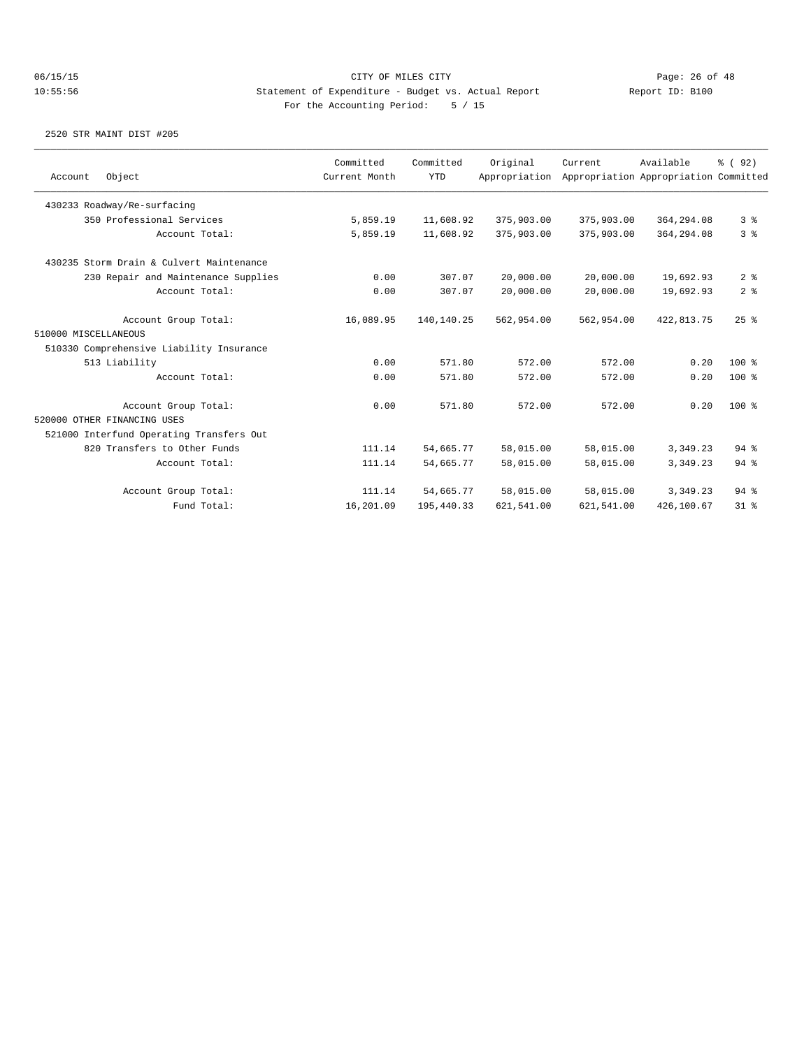|                             |                                          | Committed     | Committed  | Original      | Current    | Available                             | % (92)         |
|-----------------------------|------------------------------------------|---------------|------------|---------------|------------|---------------------------------------|----------------|
| Account                     | Object                                   | Current Month | <b>YTD</b> | Appropriation |            | Appropriation Appropriation Committed |                |
|                             | 430233 Roadway/Re-surfacing              |               |            |               |            |                                       |                |
|                             | 350 Professional Services                | 5,859.19      | 11,608.92  | 375,903.00    | 375,903.00 | 364,294.08                            | 3 <sup>8</sup> |
|                             | Account Total:                           | 5,859.19      | 11,608.92  | 375,903.00    | 375,903.00 | 364,294.08                            | 3%             |
|                             | 430235 Storm Drain & Culvert Maintenance |               |            |               |            |                                       |                |
|                             | 230 Repair and Maintenance Supplies      | 0.00          | 307.07     | 20,000.00     | 20,000.00  | 19,692.93                             | 2 <sup>8</sup> |
|                             | Account Total:                           | 0.00          | 307.07     | 20,000.00     | 20,000.00  | 19,692.93                             | 2 <sup>8</sup> |
|                             | Account Group Total:                     | 16,089.95     | 140,140.25 | 562,954.00    | 562,954.00 | 422,813.75                            | $25$ $%$       |
| 510000 MISCELLANEOUS        |                                          |               |            |               |            |                                       |                |
|                             | 510330 Comprehensive Liability Insurance |               |            |               |            |                                       |                |
|                             | 513 Liability                            | 0.00          | 571.80     | 572.00        | 572.00     | 0.20                                  | $100*$         |
|                             | Account Total:                           | 0.00          | 571.80     | 572.00        | 572.00     | 0.20                                  | $100*$         |
|                             | Account Group Total:                     | 0.00          | 571.80     | 572.00        | 572.00     | 0.20                                  | $100*$         |
| 520000 OTHER FINANCING USES |                                          |               |            |               |            |                                       |                |
|                             | 521000 Interfund Operating Transfers Out |               |            |               |            |                                       |                |
|                             | 820 Transfers to Other Funds             | 111.14        | 54,665.77  | 58,015.00     | 58,015.00  | 3,349.23                              | $94$ $%$       |
|                             | Account Total:                           | 111.14        | 54,665.77  | 58,015.00     | 58,015.00  | 3, 349, 23                            | $94$ $%$       |
|                             | Account Group Total:                     | 111.14        | 54,665.77  | 58,015.00     | 58,015.00  | 3,349.23                              | 94%            |
|                             | Fund Total:                              | 16,201.09     | 195,440.33 | 621,541.00    | 621,541.00 | 426,100.67                            | $31$ %         |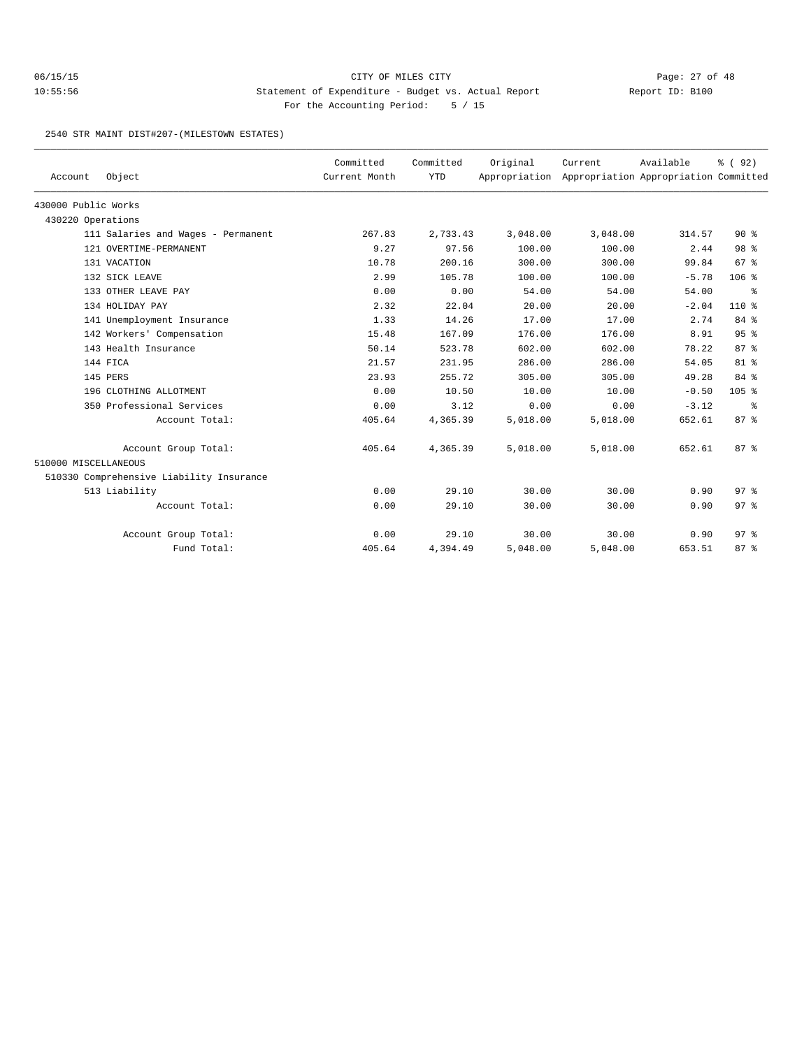2540 STR MAINT DIST#207-(MILESTOWN ESTATES)

| Account              | Object                                   | Committed<br>Current Month | Committed<br><b>YTD</b> | Original | Current<br>Appropriation Appropriation Appropriation Committed | Available | % (92)          |
|----------------------|------------------------------------------|----------------------------|-------------------------|----------|----------------------------------------------------------------|-----------|-----------------|
|                      |                                          |                            |                         |          |                                                                |           |                 |
| 430000 Public Works  |                                          |                            |                         |          |                                                                |           |                 |
| 430220 Operations    |                                          |                            |                         |          |                                                                |           |                 |
|                      | 111 Salaries and Wages - Permanent       | 267.83                     | 2,733.43                | 3,048.00 | 3,048.00                                                       | 314.57    | $90*$           |
|                      | 121 OVERTIME-PERMANENT                   | 9.27                       | 97.56                   | 100.00   | 100.00                                                         | 2.44      | 98 %            |
|                      | 131 VACATION                             | 10.78                      | 200.16                  | 300.00   | 300.00                                                         | 99.84     | 67 <sup>8</sup> |
|                      | 132 SICK LEAVE                           | 2.99                       | 105.78                  | 100.00   | 100.00                                                         | $-5.78$   | 106%            |
|                      | 133 OTHER LEAVE PAY                      | 0.00                       | 0.00                    | 54.00    | 54.00                                                          | 54.00     | နွ              |
|                      | 134 HOLIDAY PAY                          | 2.32                       | 22.04                   | 20.00    | 20.00                                                          | $-2.04$   | $110*$          |
|                      | 141 Unemployment Insurance               | 1.33                       | 14.26                   | 17.00    | 17.00                                                          | 2.74      | 84 %            |
|                      | 142 Workers' Compensation                | 15.48                      | 167.09                  | 176.00   | 176.00                                                         | 8.91      | 95%             |
|                      | 143 Health Insurance                     | 50.14                      | 523.78                  | 602.00   | 602.00                                                         | 78.22     | 87%             |
|                      | 144 FICA                                 | 21.57                      | 231.95                  | 286.00   | 286.00                                                         | 54.05     | $81$ %          |
|                      | 145 PERS                                 | 23.93                      | 255.72                  | 305.00   | 305.00                                                         | 49.28     | 84 %            |
|                      | 196 CLOTHING ALLOTMENT                   | 0.00                       | 10.50                   | 10.00    | 10.00                                                          | $-0.50$   | $105$ %         |
|                      | 350 Professional Services                | 0.00                       | 3.12                    | 0.00     | 0.00                                                           | $-3.12$   | ႜ               |
|                      | Account Total:                           | 405.64                     | 4,365.39                | 5,018.00 | 5,018.00                                                       | 652.61    | 87%             |
|                      | Account Group Total:                     | 405.64                     | 4,365.39                | 5,018.00 | 5,018.00                                                       | 652.61    | 87 <sup>8</sup> |
| 510000 MISCELLANEOUS |                                          |                            |                         |          |                                                                |           |                 |
|                      | 510330 Comprehensive Liability Insurance |                            |                         |          |                                                                |           |                 |
|                      | 513 Liability                            | 0.00                       | 29.10                   | 30.00    | 30.00                                                          | 0.90      | 97 <sup>8</sup> |
|                      | Account Total:                           | 0.00                       | 29.10                   | 30.00    | 30.00                                                          | 0.90      | 97%             |
|                      | Account Group Total:                     | 0.00                       | 29.10                   | 30.00    | 30.00                                                          | 0.90      | 97 <sub>8</sub> |
|                      | Fund Total:                              | 405.64                     | 4,394.49                | 5,048.00 | 5,048.00                                                       | 653.51    | 87%             |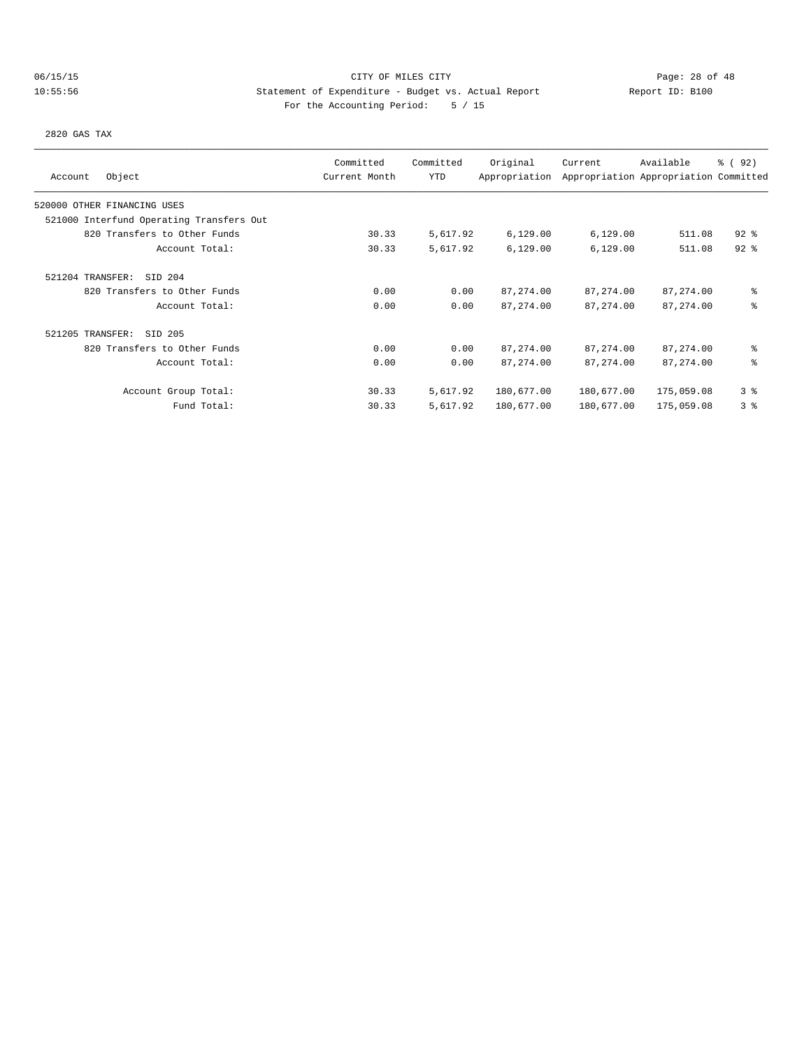# 06/15/15 CITY OF MILES CITY Page: 28 of 48 10:55:56 Statement of Expenditure - Budget vs. Actual Report Changer Report ID: B100 For the Accounting Period: 5 / 15

2820 GAS TAX

| Object<br>Account                        | Committed<br>Current Month | Committed<br>YTD | Original<br>Appropriation | Current    | Available<br>Appropriation Appropriation Committed | 8 (92)         |
|------------------------------------------|----------------------------|------------------|---------------------------|------------|----------------------------------------------------|----------------|
| 520000 OTHER FINANCING USES              |                            |                  |                           |            |                                                    |                |
| 521000 Interfund Operating Transfers Out |                            |                  |                           |            |                                                    |                |
| 820 Transfers to Other Funds             | 30.33                      | 5,617.92         | 6,129.00                  | 6,129.00   | 511.08                                             | $92$ $%$       |
| Account Total:                           | 30.33                      | 5,617.92         | 6,129.00                  | 6,129.00   | 511.08                                             | $92$ $%$       |
| SID 204<br>521204 TRANSFER:              |                            |                  |                           |            |                                                    |                |
| 820 Transfers to Other Funds             | 0.00                       | 0.00             | 87, 274.00                | 87, 274.00 | 87,274.00                                          | နွ             |
| Account Total:                           | 0.00                       | 0.00             | 87, 274.00                | 87, 274.00 | 87,274.00                                          | နွ             |
| 521205 TRANSFER:<br>SID 205              |                            |                  |                           |            |                                                    |                |
| 820 Transfers to Other Funds             | 0.00                       | 0.00             | 87, 274.00                | 87,274.00  | 87,274.00                                          | နွ             |
| Account Total:                           | 0.00                       | 0.00             | 87, 274.00                | 87, 274.00 | 87, 274.00                                         | နွ             |
| Account Group Total:                     | 30.33                      | 5,617.92         | 180,677.00                | 180,677.00 | 175,059.08                                         | 3 <sup>8</sup> |
| Fund Total:                              | 30.33                      | 5,617.92         | 180,677.00                | 180,677.00 | 175,059.08                                         | 3 <sup>8</sup> |
|                                          |                            |                  |                           |            |                                                    |                |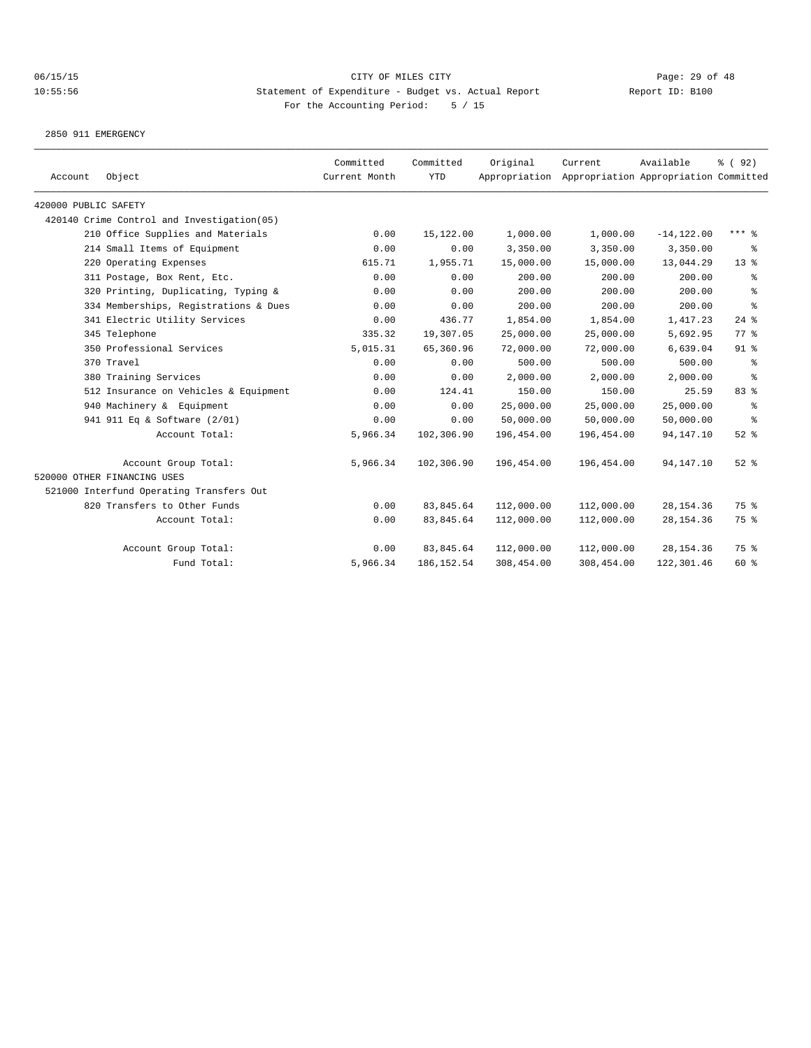2850 911 EMERGENCY

| Account              | Object                                     | Committed<br>Current Month | Committed<br><b>YTD</b> | Original   | Current<br>Appropriation Appropriation Appropriation Committed | Available     | % (92)          |
|----------------------|--------------------------------------------|----------------------------|-------------------------|------------|----------------------------------------------------------------|---------------|-----------------|
| 420000 PUBLIC SAFETY |                                            |                            |                         |            |                                                                |               |                 |
|                      | 420140 Crime Control and Investigation(05) |                            |                         |            |                                                                |               |                 |
|                      | 210 Office Supplies and Materials          | 0.00                       | 15,122.00               | 1,000.00   | 1,000.00                                                       | $-14, 122.00$ | *** 응           |
|                      | 214 Small Items of Equipment               | 0.00                       | 0.00                    | 3,350.00   | 3,350.00                                                       | 3,350.00      | ႜ               |
|                      | 220 Operating Expenses                     | 615.71                     | 1,955.71                | 15,000.00  | 15,000.00                                                      | 13,044.29     | 13 <sup>°</sup> |
|                      | 311 Postage, Box Rent, Etc.                | 0.00                       | 0.00                    | 200.00     | 200.00                                                         | 200.00        | ႜ               |
|                      | 320 Printing, Duplicating, Typing &        | 0.00                       | 0.00                    | 200.00     | 200.00                                                         | 200.00        | ి               |
|                      | 334 Memberships, Registrations & Dues      | 0.00                       | 0.00                    | 200.00     | 200.00                                                         | 200.00        | ి               |
|                      | 341 Electric Utility Services              | 0.00                       | 436.77                  | 1,854.00   | 1,854.00                                                       | 1,417.23      | $24$ $%$        |
|                      | 345 Telephone                              | 335.32                     | 19,307.05               | 25,000.00  | 25,000.00                                                      | 5,692.95      | 77.8            |
|                      | 350 Professional Services                  | 5,015.31                   | 65,360.96               | 72,000.00  | 72,000.00                                                      | 6,639.04      | $91$ %          |
|                      | 370 Travel                                 | 0.00                       | 0.00                    | 500.00     | 500.00                                                         | 500.00        | ႜ               |
|                      | 380 Training Services                      | 0.00                       | 0.00                    | 2,000.00   | 2,000.00                                                       | 2,000.00      | နွ              |
|                      | 512 Insurance on Vehicles & Equipment      | 0.00                       | 124.41                  | 150.00     | 150.00                                                         | 25.59         | 83 %            |
|                      | 940 Machinery & Equipment                  | 0.00                       | 0.00                    | 25,000.00  | 25,000.00                                                      | 25,000.00     | $\epsilon$      |
|                      | 941 911 Eq & Software (2/01)               | 0.00                       | 0.00                    | 50,000.00  | 50,000.00                                                      | 50,000.00     | နွ              |
|                      | Account Total:                             | 5,966.34                   | 102,306.90              | 196,454.00 | 196,454.00                                                     | 94, 147. 10   | $52$ $%$        |
|                      | Account Group Total:                       | 5,966.34                   | 102,306.90              | 196,454.00 | 196,454.00                                                     | 94, 147. 10   | $52$ $%$        |
|                      | 520000 OTHER FINANCING USES                |                            |                         |            |                                                                |               |                 |
|                      | 521000 Interfund Operating Transfers Out   |                            |                         |            |                                                                |               |                 |
|                      | 820 Transfers to Other Funds               | 0.00                       | 83, 845.64              | 112,000.00 | 112,000.00                                                     | 28, 154.36    | 75 %            |
|                      | Account Total:                             | 0.00                       | 83,845.64               | 112,000.00 | 112,000.00                                                     | 28, 154.36    | 75 %            |
|                      | Account Group Total:                       | 0.00                       | 83,845.64               | 112,000.00 | 112,000.00                                                     | 28, 154.36    | 75 %            |
|                      | Fund Total:                                | 5,966.34                   | 186, 152.54             | 308,454.00 | 308,454.00                                                     | 122,301.46    | 60 %            |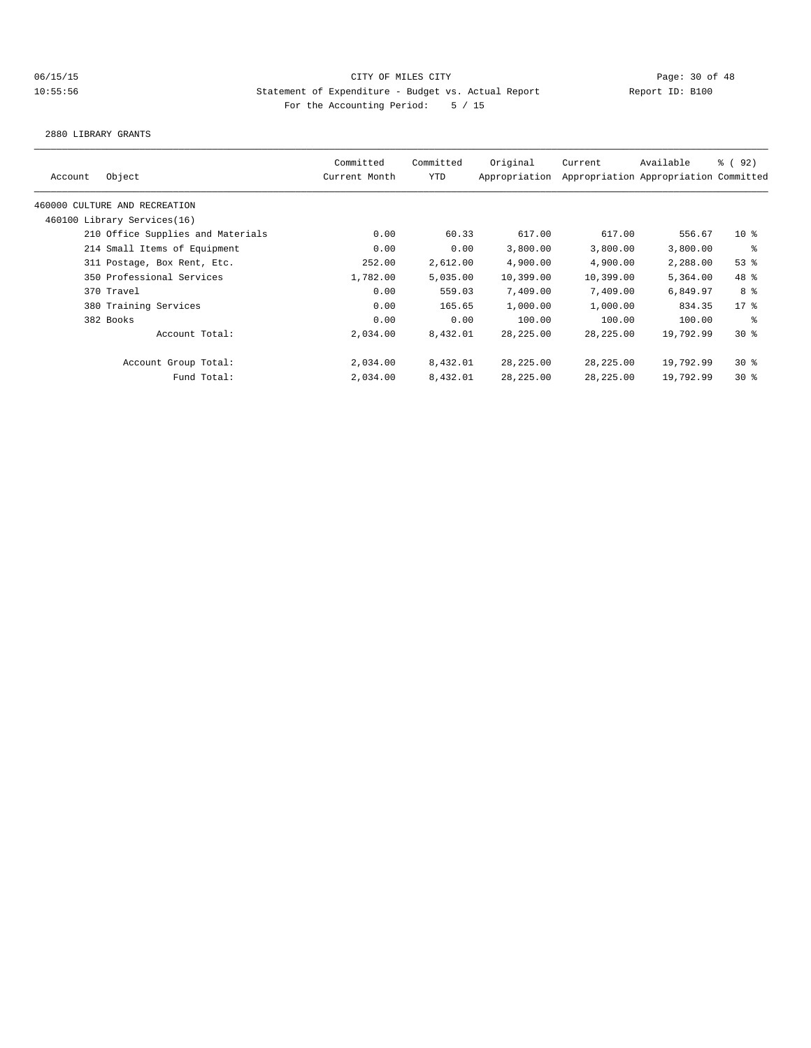2880 LIBRARY GRANTS

|         |                                   | Committed     | Committed | Original      | Current    | Available                             | % (92)   |
|---------|-----------------------------------|---------------|-----------|---------------|------------|---------------------------------------|----------|
| Account | Object                            | Current Month | YTD       | Appropriation |            | Appropriation Appropriation Committed |          |
|         | 460000 CULTURE AND RECREATION     |               |           |               |            |                                       |          |
|         | 460100 Library Services(16)       |               |           |               |            |                                       |          |
|         | 210 Office Supplies and Materials | 0.00          | 60.33     | 617.00        | 617.00     | 556.67                                | $10*$    |
|         | 214 Small Items of Equipment      | 0.00          | 0.00      | 3,800.00      | 3,800.00   | 3,800.00                              | နွ       |
|         | 311 Postage, Box Rent, Etc.       | 252.00        | 2,612.00  | 4,900.00      | 4,900.00   | 2,288.00                              | $53$ $%$ |
|         | 350 Professional Services         | 1,782.00      | 5,035.00  | 10,399.00     | 10,399.00  | 5,364.00                              | 48 %     |
|         | 370 Travel                        | 0.00          | 559.03    | 7,409.00      | 7,409.00   | 6,849.97                              | 8 %      |
|         | 380 Training Services             | 0.00          | 165.65    | 1,000.00      | 1,000.00   | 834.35                                | $17*$    |
|         | 382 Books                         | 0.00          | 0.00      | 100.00        | 100.00     | 100.00                                | နွ       |
|         | Account Total:                    | 2,034.00      | 8,432.01  | 28, 225.00    | 28, 225.00 | 19,792.99                             | $30*$    |
|         | Account Group Total:              | 2,034.00      | 8,432.01  | 28,225.00     | 28,225.00  | 19,792.99                             | $30*$    |
|         | Fund Total:                       | 2,034.00      | 8,432.01  | 28,225.00     | 28,225.00  | 19,792.99                             | $30*$    |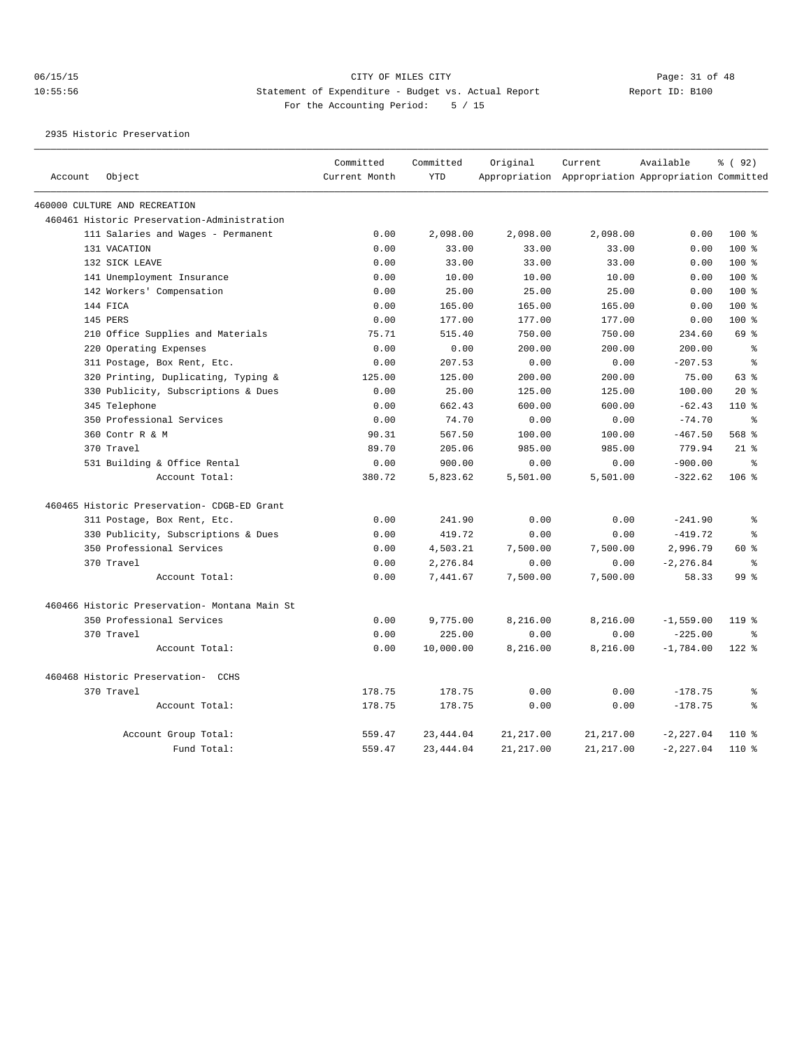2935 Historic Preservation

|         |                                               | Committed     | Committed  | Original   | Current                                             | Available    | % ( 92)         |
|---------|-----------------------------------------------|---------------|------------|------------|-----------------------------------------------------|--------------|-----------------|
| Account | Object                                        | Current Month | <b>YTD</b> |            | Appropriation Appropriation Appropriation Committed |              |                 |
|         | 460000 CULTURE AND RECREATION                 |               |            |            |                                                     |              |                 |
|         | 460461 Historic Preservation-Administration   |               |            |            |                                                     |              |                 |
|         | 111 Salaries and Wages - Permanent            | 0.00          | 2,098.00   | 2,098.00   | 2,098.00                                            | 0.00         | $100*$          |
|         | 131 VACATION                                  | 0.00          | 33.00      | 33.00      | 33.00                                               | 0.00         | $100$ %         |
|         | 132 SICK LEAVE                                | 0.00          | 33.00      | 33.00      | 33.00                                               | 0.00         | 100 %           |
|         | 141 Unemployment Insurance                    | 0.00          | 10.00      | 10.00      | 10.00                                               | 0.00         | $100*$          |
|         | 142 Workers' Compensation                     | 0.00          | 25.00      | 25.00      | 25.00                                               | 0.00         | $100*$          |
|         | 144 FICA                                      | 0.00          | 165.00     | 165.00     | 165.00                                              | 0.00         | $100*$          |
|         | 145 PERS                                      | 0.00          | 177.00     | 177.00     | 177.00                                              | 0.00         | 100 %           |
|         | 210 Office Supplies and Materials             | 75.71         | 515.40     | 750.00     | 750.00                                              | 234.60       | 69 %            |
|         | 220 Operating Expenses                        | 0.00          | 0.00       | 200.00     | 200.00                                              | 200.00       | နွ              |
|         | 311 Postage, Box Rent, Etc.                   | 0.00          | 207.53     | 0.00       | 0.00                                                | $-207.53$    | န္              |
|         | 320 Printing, Duplicating, Typing &           | 125.00        | 125.00     | 200.00     | 200.00                                              | 75.00        | 63%             |
|         | 330 Publicity, Subscriptions & Dues           | 0.00          | 25.00      | 125.00     | 125.00                                              | 100.00       | $20*$           |
|         | 345 Telephone                                 | 0.00          | 662.43     | 600.00     | 600.00                                              | $-62.43$     | $110*$          |
|         | 350 Professional Services                     | 0.00          | 74.70      | 0.00       | 0.00                                                | $-74.70$     | ి               |
|         | 360 Contr R & M                               | 90.31         | 567.50     | 100.00     | 100.00                                              | $-467.50$    | $568$ $%$       |
|         | 370 Travel                                    | 89.70         | 205.06     | 985.00     | 985.00                                              | 779.94       | $21$ %          |
|         | 531 Building & Office Rental                  | 0.00          | 900.00     | 0.00       | 0.00                                                | $-900.00$    | $\approx$       |
|         | Account Total:                                | 380.72        | 5,823.62   | 5,501.00   | 5,501.00                                            | $-322.62$    | $106$ %         |
|         | 460465 Historic Preservation- CDGB-ED Grant   |               |            |            |                                                     |              |                 |
|         | 311 Postage, Box Rent, Etc.                   | 0.00          | 241.90     | 0.00       | 0.00                                                | $-241.90$    | $\,$ 8          |
|         | 330 Publicity, Subscriptions & Dues           | 0.00          | 419.72     | 0.00       | 0.00                                                | $-419.72$    | $\approx$       |
|         | 350 Professional Services                     | 0.00          | 4,503.21   | 7,500.00   | 7,500.00                                            | 2,996.79     | 60 %            |
|         | 370 Travel                                    | 0.00          | 2,276.84   | 0.00       | 0.00                                                | $-2, 276.84$ | ႜ               |
|         | Account Total:                                | 0.00          | 7,441.67   | 7,500.00   | 7,500.00                                            | 58.33        | 99 <sup>°</sup> |
|         | 460466 Historic Preservation- Montana Main St |               |            |            |                                                     |              |                 |
|         | 350 Professional Services                     | 0.00          | 9,775.00   | 8,216.00   | 8,216.00                                            | $-1,559.00$  | 119 %           |
|         | 370 Travel                                    | 0.00          | 225.00     | 0.00       | 0.00                                                | $-225.00$    | ႜ               |
|         | Account Total:                                | 0.00          | 10,000.00  | 8,216.00   | 8,216.00                                            | $-1,784.00$  | $122$ %         |
|         | 460468 Historic Preservation- CCHS            |               |            |            |                                                     |              |                 |
|         | 370 Travel                                    | 178.75        | 178.75     | 0.00       | 0.00                                                | $-178.75$    | 昙               |
|         | Account Total:                                | 178.75        | 178.75     | 0.00       | 0.00                                                | $-178.75$    | ⊱               |
|         | Account Group Total:                          | 559.47        | 23, 444.04 | 21, 217.00 | 21, 217.00                                          | $-2, 227.04$ | 110 %           |
|         | Fund Total:                                   | 559.47        | 23, 444.04 | 21, 217.00 | 21, 217, 00                                         | $-2, 227.04$ | $110*$          |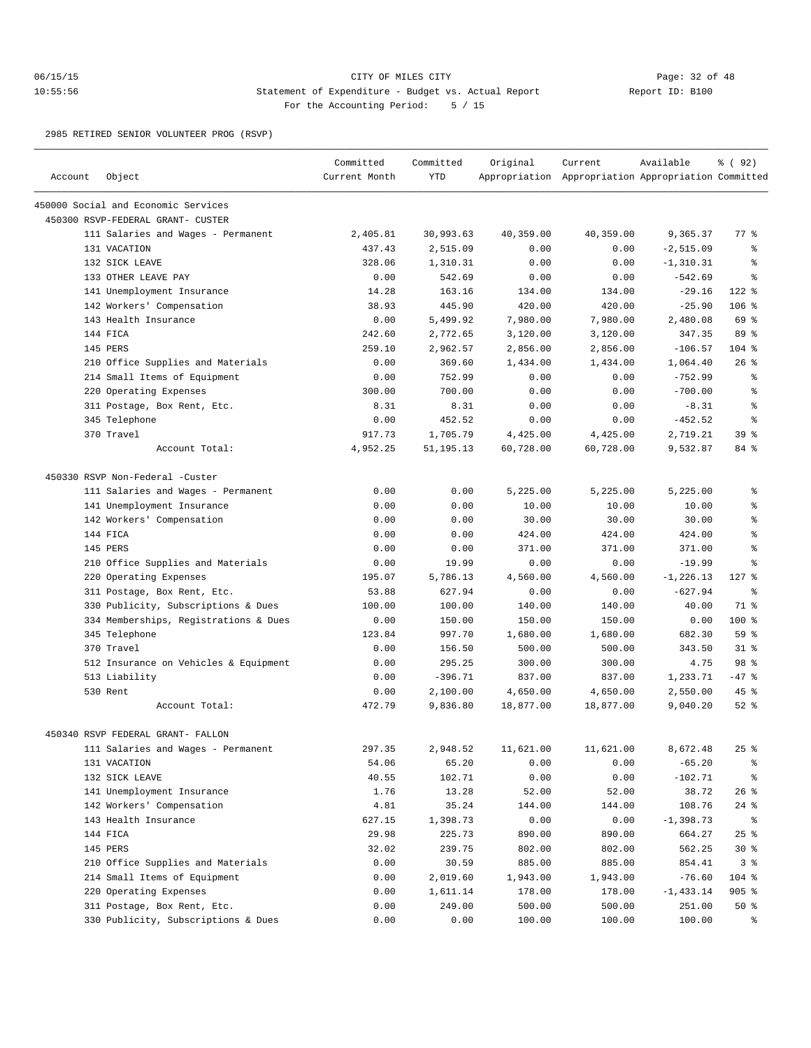# 06/15/15 CITY OF MILES CITY Page: 32 of 48 10:55:56 Statement of Expenditure - Budget vs. Actual Report Changery Report ID: B100 For the Accounting Period: 5 / 15

2985 RETIRED SENIOR VOLUNTEER PROG (RSVP)

| Account | Object                                | Committed<br>Current Month | Committed<br><b>YTD</b> | Original  | Current<br>Appropriation Appropriation Appropriation Committed | Available    | % ( 92)            |
|---------|---------------------------------------|----------------------------|-------------------------|-----------|----------------------------------------------------------------|--------------|--------------------|
|         | 450000 Social and Economic Services   |                            |                         |           |                                                                |              |                    |
|         | 450300 RSVP-FEDERAL GRANT- CUSTER     |                            |                         |           |                                                                |              |                    |
|         | 111 Salaries and Wages - Permanent    | 2,405.81                   | 30,993.63               | 40,359.00 | 40,359.00                                                      | 9,365.37     | 77.8               |
|         | 131 VACATION                          | 437.43                     | 2,515.09                | 0.00      | 0.00                                                           | $-2, 515.09$ | ႜ                  |
|         | 132 SICK LEAVE                        | 328.06                     | 1,310.31                | 0.00      | 0.00                                                           | $-1, 310.31$ | ి                  |
|         | 133 OTHER LEAVE PAY                   | 0.00                       | 542.69                  | 0.00      | 0.00                                                           | $-542.69$    | ి                  |
|         | 141 Unemployment Insurance            | 14.28                      | 163.16                  | 134.00    | 134.00                                                         | $-29.16$     | $122$ %            |
|         | 142 Workers' Compensation             | 38.93                      | 445.90                  | 420.00    | 420.00                                                         | $-25.90$     | $106$ %            |
|         | 143 Health Insurance                  | 0.00                       | 5,499.92                | 7,980.00  | 7,980.00                                                       | 2,480.08     | 69 %               |
|         | 144 FICA                              | 242.60                     | 2,772.65                | 3,120.00  | 3,120.00                                                       | 347.35       | 89 %               |
|         | 145 PERS                              | 259.10                     | 2,962.57                | 2,856.00  | 2,856.00                                                       | $-106.57$    | $104$ %            |
|         | 210 Office Supplies and Materials     | 0.00                       | 369.60                  | 1,434.00  | 1,434.00                                                       | 1,064.40     | $26$ $\frac{6}{3}$ |
|         | 214 Small Items of Equipment          | 0.00                       | 752.99                  | 0.00      | 0.00                                                           | $-752.99$    | ి                  |
|         | 220 Operating Expenses                | 300.00                     | 700.00                  | 0.00      | 0.00                                                           | $-700.00$    | န္                 |
|         | 311 Postage, Box Rent, Etc.           | 8.31                       | 8.31                    | 0.00      | 0.00                                                           | $-8.31$      | နွ                 |
|         | 345 Telephone                         | 0.00                       | 452.52                  | 0.00      | 0.00                                                           | $-452.52$    | ి                  |
|         | 370 Travel                            | 917.73                     | 1,705.79                | 4,425.00  | 4,425.00                                                       | 2,719.21     | 39 <sup>8</sup>    |
|         | Account Total:                        | 4,952.25                   | 51, 195. 13             | 60,728.00 | 60,728.00                                                      | 9,532.87     | 84 %               |
|         | 450330 RSVP Non-Federal -Custer       |                            |                         |           |                                                                |              |                    |
|         | 111 Salaries and Wages - Permanent    | 0.00                       | 0.00                    | 5,225.00  | 5,225.00                                                       | 5,225.00     | နွ                 |
|         | 141 Unemployment Insurance            | 0.00                       | 0.00                    | 10.00     | 10.00                                                          | 10.00        | š                  |
|         | 142 Workers' Compensation             | 0.00                       | 0.00                    | 30.00     | 30.00                                                          | 30.00        | ి                  |
|         | 144 FICA                              | 0.00                       | 0.00                    | 424.00    | 424.00                                                         | 424.00       | š                  |
|         | 145 PERS                              | 0.00                       | 0.00                    | 371.00    | 371.00                                                         | 371.00       | š                  |
|         | 210 Office Supplies and Materials     | 0.00                       | 19.99                   | 0.00      | 0.00                                                           | $-19.99$     | နွ                 |
|         | 220 Operating Expenses                | 195.07                     | 5,786.13                | 4,560.00  | 4,560.00                                                       | $-1, 226.13$ | $127$ %            |
|         | 311 Postage, Box Rent, Etc.           | 53.88                      | 627.94                  | 0.00      | 0.00                                                           | $-627.94$    | နွ                 |
|         | 330 Publicity, Subscriptions & Dues   | 100.00                     | 100.00                  | 140.00    | 140.00                                                         | 40.00        | 71 %               |
|         | 334 Memberships, Registrations & Dues | 0.00                       | 150.00                  | 150.00    | 150.00                                                         | 0.00         | $100$ %            |
|         | 345 Telephone                         | 123.84                     | 997.70                  | 1,680.00  | 1,680.00                                                       | 682.30       | 59 <sup>°</sup>    |
|         | 370 Travel                            | 0.00                       | 156.50                  | 500.00    | 500.00                                                         | 343.50       | $31$ $%$           |
|         | 512 Insurance on Vehicles & Equipment | 0.00                       | 295.25                  | 300.00    | 300.00                                                         | 4.75         | 98 %               |
|         | 513 Liability                         | 0.00                       | $-396.71$               | 837.00    | 837.00                                                         | 1,233.71     | $-47$ %            |
|         | 530 Rent                              | 0.00                       | 2,100.00                | 4,650.00  | 4,650.00                                                       | 2,550.00     | 45 %               |
|         | Account Total:                        | 472.79                     | 9,836.80                | 18,877.00 | 18,877.00                                                      | 9,040.20     | $52$ $%$           |
|         | 450340 RSVP FEDERAL GRANT- FALLON     |                            |                         |           |                                                                |              |                    |
|         | 111 Salaries and Wages - Permanent    | 297.35                     | 2,948.52                | 11,621.00 | 11,621.00                                                      | 8,672.48     | $25$ %             |
|         | 131 VACATION                          | 54.06                      | 65.20                   | 0.00      | 0.00                                                           | $-65.20$     | ್ಠಿ                |
|         | 132 SICK LEAVE                        | 40.55                      | 102.71                  | 0.00      | 0.00                                                           | $-102.71$    | ွေ                 |
|         | 141 Unemployment Insurance            | 1.76                       | 13.28                   | 52.00     | 52.00                                                          | 38.72        | $26$ %             |
|         | 142 Workers' Compensation             | 4.81                       | 35.24                   | 144.00    | 144.00                                                         | 108.76       | $24$ %             |
|         | 143 Health Insurance                  | 627.15                     | 1,398.73                | 0.00      | 0.00                                                           | $-1,398.73$  | နွ                 |
|         | 144 FICA                              | 29.98                      | 225.73                  | 890.00    | 890.00                                                         | 664.27       | 25%                |
|         | 145 PERS                              | 32.02                      | 239.75                  | 802.00    | 802.00                                                         | 562.25       | $30*$              |
|         | 210 Office Supplies and Materials     | 0.00                       | 30.59                   | 885.00    | 885.00                                                         | 854.41       | 3%                 |
|         | 214 Small Items of Equipment          | 0.00                       | 2,019.60                | 1,943.00  | 1,943.00                                                       | $-76.60$     | 104 %              |
|         | 220 Operating Expenses                | 0.00                       | 1,611.14                | 178.00    | 178.00                                                         | $-1, 433.14$ | $905$ %            |
|         | 311 Postage, Box Rent, Etc.           | 0.00                       | 249.00                  | 500.00    | 500.00                                                         | 251.00       | $50*$              |
|         | 330 Publicity, Subscriptions & Dues   | 0.00                       | 0.00                    | 100.00    | 100.00                                                         | 100.00       | ိ                  |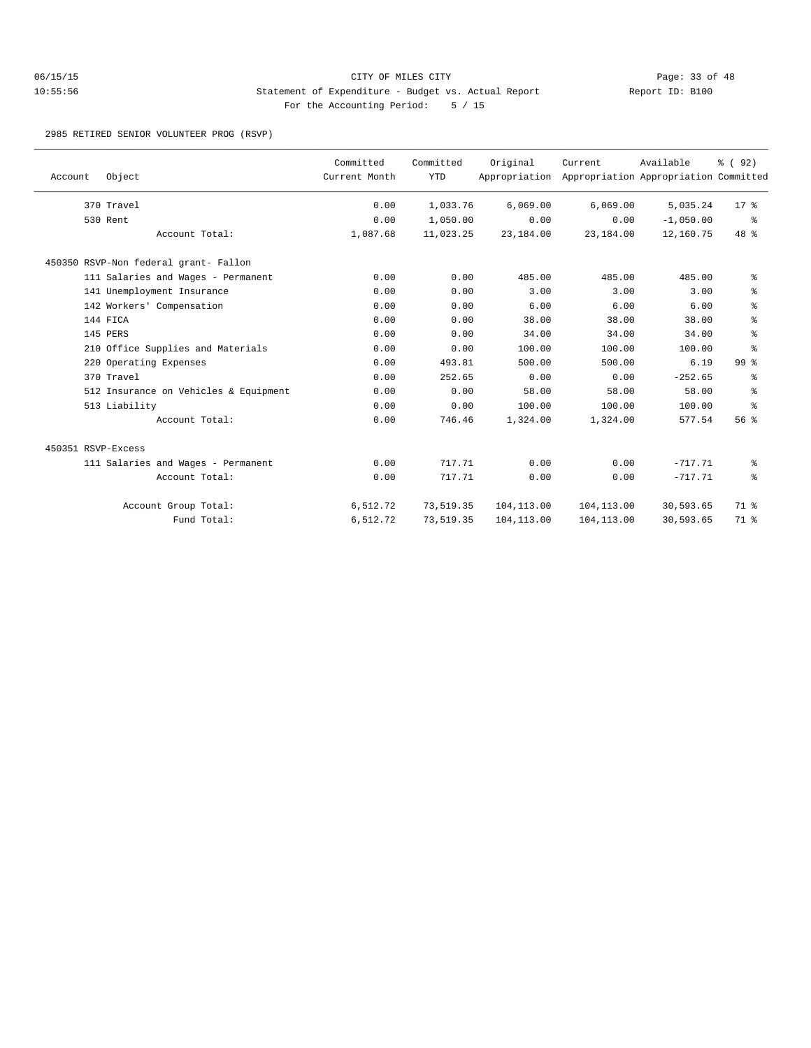# 06/15/15 Page: 33 of 48 10:55:56 Statement of Expenditure - Budget vs. Actual Report Changery Report ID: B100 For the Accounting Period: 5 / 15

2985 RETIRED SENIOR VOLUNTEER PROG (RSVP)

| Account            | Object                                | Committed<br>Current Month | Committed<br><b>YTD</b> | Original<br>Appropriation | Current     | Available<br>Appropriation Appropriation Committed | 8 (92)          |
|--------------------|---------------------------------------|----------------------------|-------------------------|---------------------------|-------------|----------------------------------------------------|-----------------|
|                    | 370 Travel                            | 0.00                       | 1,033.76                | 6,069.00                  | 6.069.00    | 5,035.24                                           | 17 <sub>8</sub> |
|                    | 530 Rent                              | 0.00                       | 1,050.00                | 0.00                      | 0.00        | $-1,050.00$                                        | ွေ              |
|                    | Account Total:                        | 1,087.68                   | 11,023.25               | 23,184.00                 | 23,184.00   | 12,160.75                                          | 48 %            |
|                    | 450350 RSVP-Non federal grant- Fallon |                            |                         |                           |             |                                                    |                 |
|                    | 111 Salaries and Wages - Permanent    | 0.00                       | 0.00                    | 485.00                    | 485.00      | 485.00                                             | နွ              |
|                    | 141 Unemployment Insurance            | 0.00                       | 0.00                    | 3.00                      | 3.00        | 3.00                                               | နွ              |
|                    | 142 Workers' Compensation             | 0.00                       | 0.00                    | 6.00                      | 6.00        | 6.00                                               | နွ              |
|                    | 144 FICA                              | 0.00                       | 0.00                    | 38.00                     | 38.00       | 38.00                                              | န္              |
|                    | 145 PERS                              | 0.00                       | 0.00                    | 34.00                     | 34.00       | 34.00                                              | ి               |
|                    | 210 Office Supplies and Materials     | 0.00                       | 0.00                    | 100.00                    | 100.00      | 100.00                                             | န္              |
|                    | 220 Operating Expenses                | 0.00                       | 493.81                  | 500.00                    | 500.00      | 6.19                                               | $99*$           |
|                    | 370 Travel                            | 0.00                       | 252.65                  | 0.00                      | 0.00        | $-252.65$                                          | နွ              |
|                    | 512 Insurance on Vehicles & Equipment | 0.00                       | 0.00                    | 58.00                     | 58.00       | 58.00                                              | နွ              |
|                    | 513 Liability                         | 0.00                       | 0.00                    | 100.00                    | 100.00      | 100.00                                             | ి               |
|                    | Account Total:                        | 0.00                       | 746.46                  | 1,324.00                  | 1,324.00    | 577.54                                             | 56 <sup>8</sup> |
| 450351 RSVP-Excess |                                       |                            |                         |                           |             |                                                    |                 |
|                    | 111 Salaries and Wages - Permanent    | 0.00                       | 717.71                  | 0.00                      | 0.00        | $-717.71$                                          | နွ              |
|                    | Account Total:                        | 0.00                       | 717.71                  | 0.00                      | 0.00        | $-717.71$                                          | နွ              |
|                    | Account Group Total:                  | 6,512.72                   | 73,519.35               | 104, 113.00               | 104,113.00  | 30,593.65                                          | 71 %            |
|                    | Fund Total:                           | 6,512.72                   | 73,519.35               | 104,113.00                | 104, 113.00 | 30,593.65                                          | 71 %            |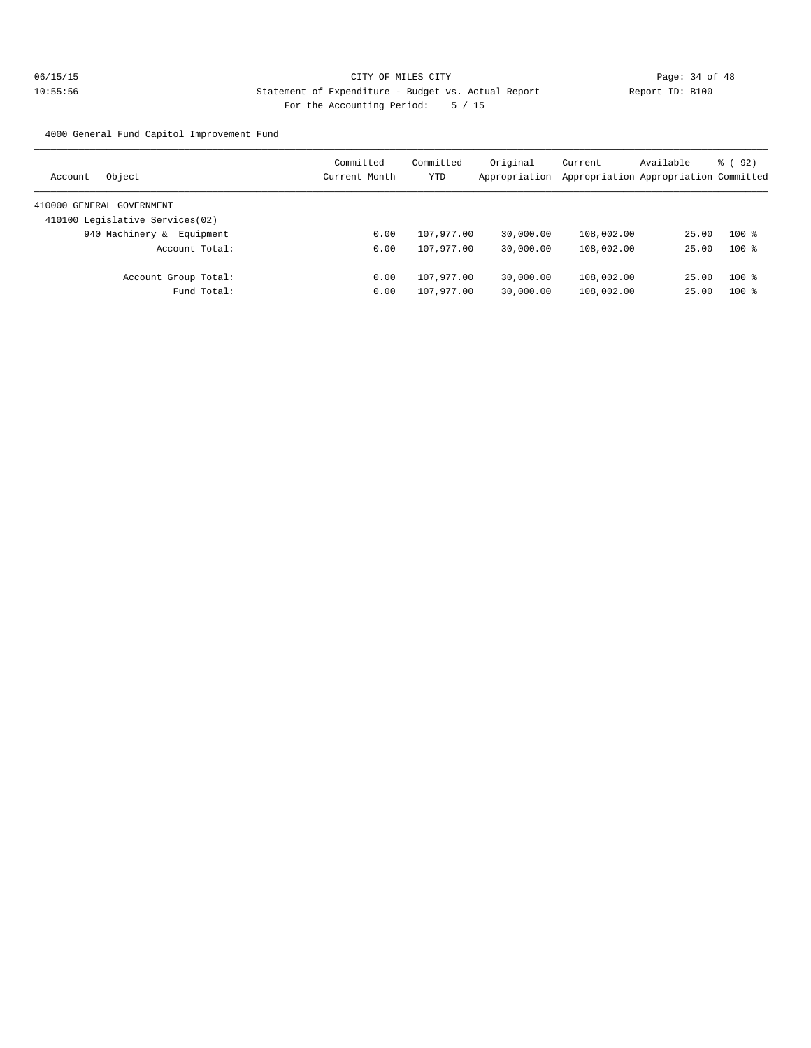4000 General Fund Capitol Improvement Fund

| Object<br>Account               | Committed<br>Current Month | Committed<br>YTD | Original<br>Appropriation | Current    | Available<br>Appropriation Appropriation Committed | $\frac{6}{6}$ (92) |
|---------------------------------|----------------------------|------------------|---------------------------|------------|----------------------------------------------------|--------------------|
|                                 |                            |                  |                           |            |                                                    |                    |
| 410000 GENERAL GOVERNMENT       |                            |                  |                           |            |                                                    |                    |
| 410100 Legislative Services(02) |                            |                  |                           |            |                                                    |                    |
| 940 Machinery &<br>Equipment    | 0.00                       | 107,977.00       | 30,000.00                 | 108,002.00 | 25.00                                              | $100$ %            |
| Account Total:                  | 0.00                       | 107,977.00       | 30,000.00                 | 108,002.00 | 25.00                                              | $100*$             |
| Account Group Total:            | 0.00                       | 107,977.00       | 30,000.00                 | 108,002.00 | 25.00                                              | $100$ %            |
| Fund Total:                     | 0.00                       | 107,977.00       | 30,000.00                 | 108,002.00 | 25.00                                              | $100*$             |
|                                 |                            |                  |                           |            |                                                    |                    |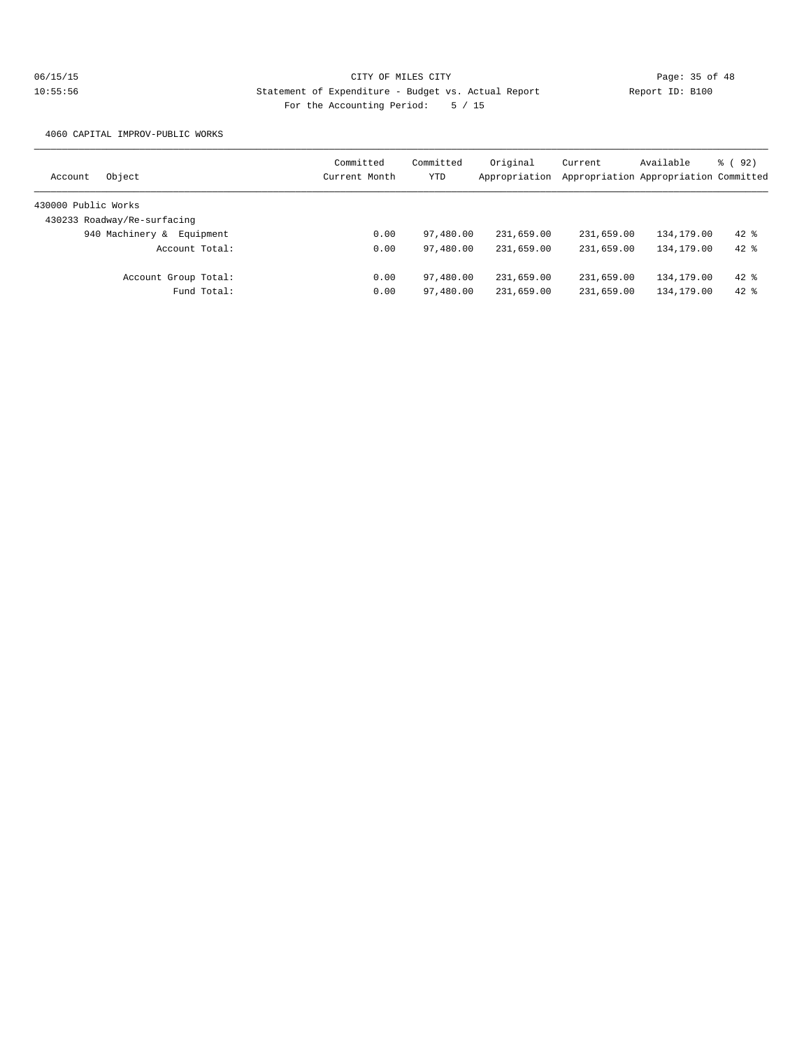4060 CAPITAL IMPROV-PUBLIC WORKS

| Object<br>Account            | Committed<br>Current Month | Committed<br>YTD | Original<br>Appropriation | Current    | Available<br>Appropriation Appropriation Committed | % ( 92 ) |
|------------------------------|----------------------------|------------------|---------------------------|------------|----------------------------------------------------|----------|
|                              |                            |                  |                           |            |                                                    |          |
| 430000 Public Works          |                            |                  |                           |            |                                                    |          |
| 430233 Roadway/Re-surfacing  |                            |                  |                           |            |                                                    |          |
| 940 Machinery &<br>Equipment | 0.00                       | 97,480.00        | 231,659.00                | 231,659.00 | 134,179.00                                         | $42*$    |
| Account Total:               | 0.00                       | 97,480.00        | 231,659.00                | 231,659.00 | 134, 179.00                                        | $42*$    |
| Account Group Total:         | 0.00                       | 97,480.00        | 231,659.00                | 231,659.00 | 134,179.00                                         | $42*$    |
| Fund Total:                  | 0.00                       | 97,480.00        | 231,659.00                | 231,659.00 | 134,179.00                                         | $42$ %   |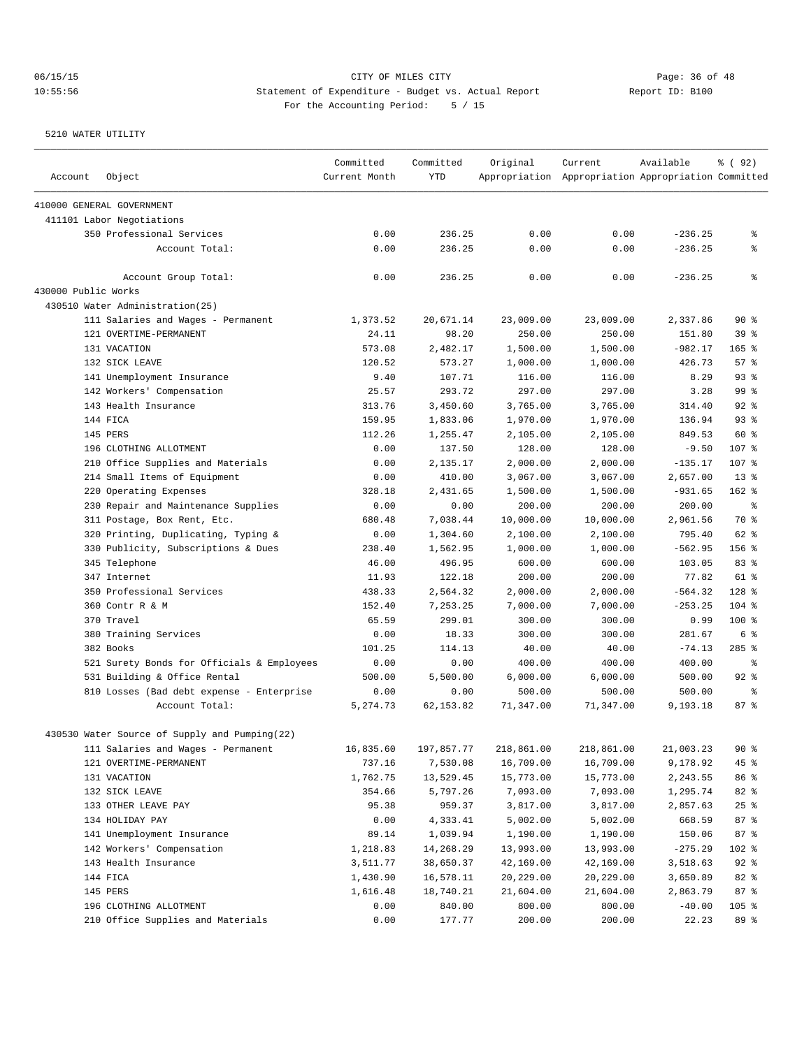| Account             | Object                                        | Committed<br>Current Month | Committed<br><b>YTD</b> | Original   | Current<br>Appropriation Appropriation Appropriation Committed | Available | % ( 92)            |
|---------------------|-----------------------------------------------|----------------------------|-------------------------|------------|----------------------------------------------------------------|-----------|--------------------|
|                     | 410000 GENERAL GOVERNMENT                     |                            |                         |            |                                                                |           |                    |
|                     | 411101 Labor Negotiations                     |                            |                         |            |                                                                |           |                    |
|                     | 350 Professional Services                     | 0.00                       | 236.25                  | 0.00       | 0.00                                                           | $-236.25$ | နွ                 |
|                     | Account Total:                                | 0.00                       | 236.25                  | 0.00       | 0.00                                                           | $-236.25$ | နွ                 |
|                     | Account Group Total:                          | 0.00                       | 236.25                  | 0.00       | 0.00                                                           | $-236.25$ | ి                  |
| 430000 Public Works |                                               |                            |                         |            |                                                                |           |                    |
|                     | 430510 Water Administration(25)               |                            |                         |            |                                                                |           |                    |
|                     | 111 Salaries and Wages - Permanent            | 1,373.52                   | 20,671.14               | 23,009.00  | 23,009.00                                                      | 2,337.86  | 90%                |
|                     | 121 OVERTIME-PERMANENT                        | 24.11                      | 98.20                   | 250.00     | 250.00                                                         | 151.80    | 39 %               |
|                     | 131 VACATION                                  | 573.08                     | 2,482.17                | 1,500.00   | 1,500.00                                                       | $-982.17$ | $165$ %            |
|                     | 132 SICK LEAVE                                | 120.52                     | 573.27                  | 1,000.00   | 1,000.00                                                       | 426.73    | $57$ $\frac{6}{3}$ |
|                     | 141 Unemployment Insurance                    | 9.40                       | 107.71                  | 116.00     | 116.00                                                         | 8.29      | 93%                |
|                     | 142 Workers' Compensation                     | 25.57                      | 293.72                  | 297.00     | 297.00                                                         | 3.28      | 99 %               |
|                     | 143 Health Insurance                          | 313.76                     | 3,450.60                | 3,765.00   | 3,765.00                                                       | 314.40    | 92%                |
|                     | 144 FICA                                      | 159.95                     | 1,833.06                | 1,970.00   | 1,970.00                                                       | 136.94    | 93%                |
|                     | 145 PERS                                      | 112.26                     | 1,255.47                | 2,105.00   | 2,105.00                                                       | 849.53    | 60 %               |
|                     | 196 CLOTHING ALLOTMENT                        | 0.00                       | 137.50                  | 128.00     | 128.00                                                         | $-9.50$   | 107 %              |
|                     | 210 Office Supplies and Materials             | 0.00                       | 2,135.17                | 2,000.00   | 2,000.00                                                       | $-135.17$ | 107 %              |
|                     | 214 Small Items of Equipment                  | 0.00                       | 410.00                  | 3,067.00   | 3,067.00                                                       | 2,657.00  | $13*$              |
|                     | 220 Operating Expenses                        | 328.18                     | 2,431.65                | 1,500.00   | 1,500.00                                                       | $-931.65$ | $162$ %            |
|                     | 230 Repair and Maintenance Supplies           | 0.00                       | 0.00                    | 200.00     | 200.00                                                         | 200.00    | နွ                 |
|                     | 311 Postage, Box Rent, Etc.                   | 680.48                     | 7,038.44                | 10,000.00  | 10,000.00                                                      | 2,961.56  | 70 %               |
|                     | 320 Printing, Duplicating, Typing &           | 0.00                       | 1,304.60                | 2,100.00   | 2,100.00                                                       | 795.40    | 62 %               |
|                     | 330 Publicity, Subscriptions & Dues           | 238.40                     | 1,562.95                | 1,000.00   | 1,000.00                                                       | $-562.95$ | 156 %              |
|                     | 345 Telephone                                 | 46.00                      | 496.95                  | 600.00     | 600.00                                                         | 103.05    | 83%                |
|                     | 347 Internet                                  | 11.93                      | 122.18                  | 200.00     | 200.00                                                         | 77.82     | $61$ %             |
|                     | 350 Professional Services                     | 438.33                     | 2,564.32                | 2,000.00   | 2,000.00                                                       | $-564.32$ | $128$ %            |
|                     | 360 Contr R & M                               | 152.40                     | 7,253.25                | 7,000.00   | 7,000.00                                                       | $-253.25$ | $104$ %            |
|                     | 370 Travel                                    | 65.59                      | 299.01                  | 300.00     | 300.00                                                         | 0.99      | 100 %              |
|                     | 380 Training Services                         | 0.00                       | 18.33                   | 300.00     | 300.00                                                         | 281.67    | 6 %                |
|                     | 382 Books                                     | 101.25                     | 114.13                  | 40.00      | 40.00                                                          | $-74.13$  | $285$ %            |
|                     | 521 Surety Bonds for Officials & Employees    | 0.00                       | 0.00                    | 400.00     | 400.00                                                         | 400.00    | ႜ                  |
|                     | 531 Building & Office Rental                  | 500.00                     | 5,500.00                | 6,000.00   | 6,000.00                                                       | 500.00    | 92%                |
|                     | 810 Losses (Bad debt expense - Enterprise     | 0.00                       | 0.00                    | 500.00     | 500.00                                                         | 500.00    | နွ                 |
|                     | Account Total:                                | 5, 274.73                  | 62, 153.82              | 71,347.00  | 71,347.00                                                      | 9,193.18  | 87%                |
|                     | 430530 Water Source of Supply and Pumping(22) |                            |                         |            |                                                                |           |                    |
|                     | 111 Salaries and Wages - Permanent            | 16,835.60                  | 197,857.77              | 218,861.00 | 218,861.00                                                     | 21,003.23 | 90%                |
|                     | 121 OVERTIME-PERMANENT                        | 737.16                     | 7,530.08                | 16,709.00  | 16,709.00                                                      | 9,178.92  | 45%                |
|                     | 131 VACATION                                  | 1,762.75                   | 13,529.45               | 15,773.00  | 15,773.00                                                      | 2,243.55  | 86 %               |
|                     | 132 SICK LEAVE                                | 354.66                     | 5,797.26                | 7,093.00   | 7,093.00                                                       | 1,295.74  | 82 %               |
|                     | 133 OTHER LEAVE PAY                           | 95.38                      | 959.37                  | 3,817.00   | 3,817.00                                                       | 2,857.63  | $25$ $%$           |
|                     | 134 HOLIDAY PAY                               | 0.00                       | 4,333.41                | 5,002.00   | 5,002.00                                                       | 668.59    | 87 %               |
|                     | 141 Unemployment Insurance                    | 89.14                      | 1,039.94                | 1,190.00   | 1,190.00                                                       | 150.06    | 87 %               |
|                     | 142 Workers' Compensation                     | 1,218.83                   | 14,268.29               | 13,993.00  | 13,993.00                                                      | $-275.29$ | 102 %              |
|                     | 143 Health Insurance                          | 3,511.77                   | 38,650.37               | 42,169.00  | 42,169.00                                                      | 3,518.63  | $92$ $%$           |
|                     | 144 FICA                                      | 1,430.90                   | 16,578.11               | 20,229.00  | 20,229.00                                                      | 3,650.89  | 82 %               |
|                     | 145 PERS                                      | 1,616.48                   | 18,740.21               | 21,604.00  | 21,604.00                                                      | 2,863.79  | 87%                |
|                     | 196 CLOTHING ALLOTMENT                        | 0.00                       | 840.00                  | 800.00     | 800.00                                                         | $-40.00$  | $105$ %            |
|                     | 210 Office Supplies and Materials             | 0.00                       | 177.77                  | 200.00     | 200.00                                                         | 22.23     | 89 %               |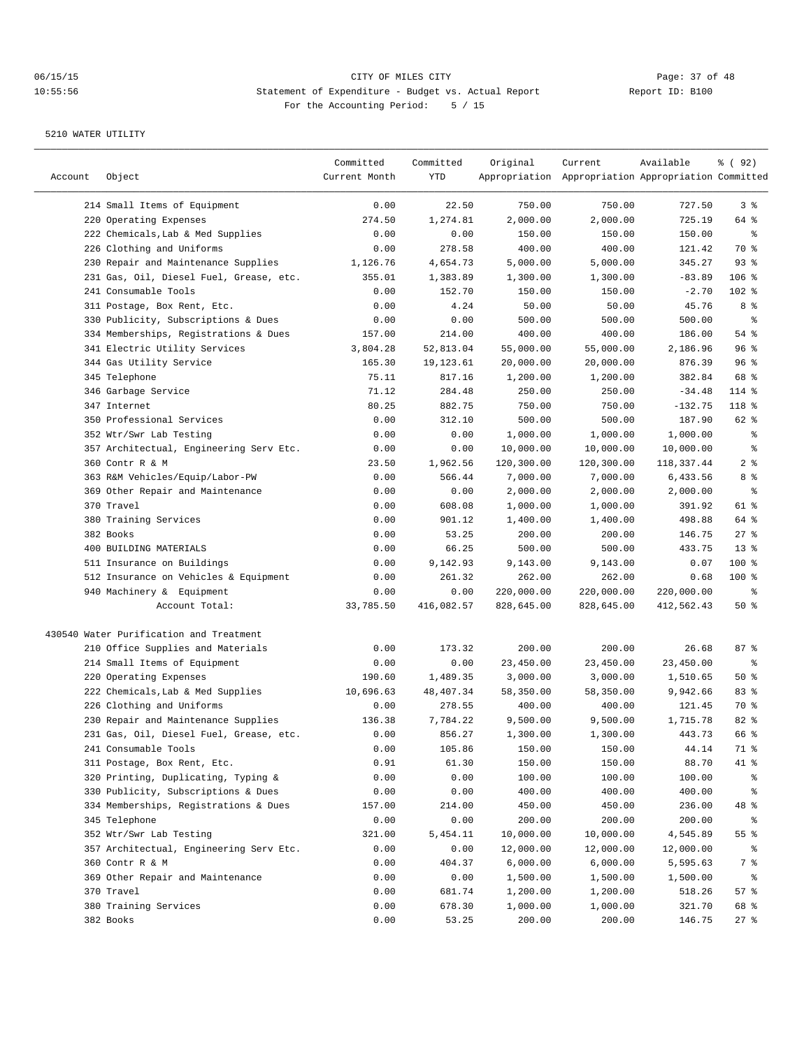| Account | Object                                  | Committed<br>Current Month | Committed<br>YTD | Original   | Current<br>Appropriation Appropriation Appropriation Committed | Available  | १ ( 92)         |
|---------|-----------------------------------------|----------------------------|------------------|------------|----------------------------------------------------------------|------------|-----------------|
|         | 214 Small Items of Equipment            | 0.00                       | 22.50            | 750.00     | 750.00                                                         | 727.50     | 3%              |
|         | 220 Operating Expenses                  | 274.50                     | 1,274.81         | 2,000.00   | 2,000.00                                                       | 725.19     | 64 %            |
|         | 222 Chemicals, Lab & Med Supplies       | 0.00                       | 0.00             | 150.00     | 150.00                                                         | 150.00     | နွ              |
|         | 226 Clothing and Uniforms               | 0.00                       | 278.58           | 400.00     | 400.00                                                         | 121.42     | 70 %            |
|         | 230 Repair and Maintenance Supplies     | 1,126.76                   | 4,654.73         | 5,000.00   | 5,000.00                                                       | 345.27     | 93%             |
|         | 231 Gas, Oil, Diesel Fuel, Grease, etc. | 355.01                     | 1,383.89         | 1,300.00   | 1,300.00                                                       | $-83.89$   | $106$ %         |
|         | 241 Consumable Tools                    | 0.00                       | 152.70           | 150.00     | 150.00                                                         | $-2.70$    | $102$ %         |
|         | 311 Postage, Box Rent, Etc.             | 0.00                       | 4.24             | 50.00      | 50.00                                                          | 45.76      | 8 %             |
|         | 330 Publicity, Subscriptions & Dues     | 0.00                       | 0.00             | 500.00     | 500.00                                                         | 500.00     | နွ              |
|         | 334 Memberships, Registrations & Dues   | 157.00                     | 214.00           | 400.00     | 400.00                                                         | 186.00     | 54 %            |
|         | 341 Electric Utility Services           | 3,804.28                   | 52,813.04        | 55,000.00  | 55,000.00                                                      | 2,186.96   | 96%             |
|         | 344 Gas Utility Service                 | 165.30                     | 19,123.61        | 20,000.00  | 20,000.00                                                      | 876.39     | 96%             |
|         | 345 Telephone                           | 75.11                      | 817.16           | 1,200.00   | 1,200.00                                                       | 382.84     | 68 %            |
|         | 346 Garbage Service                     | 71.12                      | 284.48           | 250.00     | 250.00                                                         | $-34.48$   | 114 %           |
|         | 347 Internet                            | 80.25                      | 882.75           | 750.00     | 750.00                                                         | $-132.75$  | 118 %           |
|         | 350 Professional Services               | 0.00                       | 312.10           | 500.00     | 500.00                                                         | 187.90     | 62 %            |
|         | 352 Wtr/Swr Lab Testing                 | 0.00                       | 0.00             | 1,000.00   | 1,000.00                                                       | 1,000.00   | နွ              |
|         | 357 Architectual, Engineering Serv Etc. | 0.00                       | 0.00             | 10,000.00  | 10,000.00                                                      | 10,000.00  | နွ              |
|         | 360 Contr R & M                         | 23.50                      | 1,962.56         | 120,300.00 | 120,300.00                                                     | 118,337.44 | 2 <sup>8</sup>  |
|         | 363 R&M Vehicles/Equip/Labor-PW         | 0.00                       | 566.44           | 7,000.00   | 7,000.00                                                       | 6,433.56   | 8 %             |
|         | 369 Other Repair and Maintenance        | 0.00                       | 0.00             | 2,000.00   | 2,000.00                                                       | 2,000.00   | ್ಠಿ             |
|         | 370 Travel                              | 0.00                       | 608.08           | 1,000.00   | 1,000.00                                                       | 391.92     | 61 %            |
|         | 380 Training Services                   | 0.00                       | 901.12           | 1,400.00   | 1,400.00                                                       | 498.88     | 64 %            |
|         | 382 Books                               | 0.00                       | 53.25            | 200.00     | 200.00                                                         | 146.75     | $27$ %          |
|         | 400 BUILDING MATERIALS                  | 0.00                       | 66.25            | 500.00     | 500.00                                                         | 433.75     | 13 <sup>8</sup> |
|         | 511 Insurance on Buildings              | 0.00                       | 9,142.93         | 9,143.00   | 9,143.00                                                       | 0.07       | 100 %           |
|         | 512 Insurance on Vehicles & Equipment   | 0.00                       | 261.32           | 262.00     | 262.00                                                         | 0.68       | $100$ %         |
|         | 940 Machinery & Equipment               | 0.00                       | 0.00             | 220,000.00 | 220,000.00                                                     | 220,000.00 | ႜ               |
|         | Account Total:                          | 33,785.50                  | 416,082.57       | 828,645.00 | 828,645.00                                                     | 412,562.43 | 50%             |
|         |                                         |                            |                  |            |                                                                |            |                 |
|         | 430540 Water Purification and Treatment |                            |                  |            |                                                                |            |                 |
|         | 210 Office Supplies and Materials       | 0.00                       | 173.32           | 200.00     | 200.00                                                         | 26.68      | 87%             |
|         | 214 Small Items of Equipment            | 0.00                       | 0.00             | 23,450.00  | 23,450.00                                                      | 23,450.00  | နွ              |
|         | 220 Operating Expenses                  | 190.60                     | 1,489.35         | 3,000.00   | 3,000.00                                                       | 1,510.65   | 50%             |
|         | 222 Chemicals, Lab & Med Supplies       | 10,696.63                  | 48, 407.34       | 58,350.00  | 58,350.00                                                      | 9,942.66   | 83%             |
|         | 226 Clothing and Uniforms               | 0.00                       | 278.55           | 400.00     | 400.00                                                         | 121.45     | 70 %            |
|         | 230 Repair and Maintenance Supplies     | 136.38                     | 7,784.22         | 9,500.00   | 9,500.00                                                       | 1,715.78   | 82 %            |
|         | 231 Gas, Oil, Diesel Fuel, Grease, etc. | 0.00                       | 856.27           | 1,300.00   | 1,300.00                                                       | 443.73     | 66 %            |
|         | 241 Consumable Tools                    | 0.00                       | 105.86           | 150.00     | 150.00                                                         | 44.14      | 71 %            |
|         | 311 Postage, Box Rent, Etc.             | 0.91                       | 61.30            | 150.00     | 150.00                                                         | 88.70      | 41 %            |
|         | 320 Printing, Duplicating, Typing &     | 0.00                       | 0.00             | 100.00     | 100.00                                                         | 100.00     | ွေ              |
|         | 330 Publicity, Subscriptions & Dues     | 0.00                       | 0.00             | 400.00     | 400.00                                                         | 400.00     | ွေ              |
|         | 334 Memberships, Registrations & Dues   | 157.00                     | 214.00           | 450.00     | 450.00                                                         | 236.00     | 48 %            |
|         | 345 Telephone                           | 0.00                       | 0.00             | 200.00     | 200.00                                                         | 200.00     | ွေ              |
|         | 352 Wtr/Swr Lab Testing                 | 321.00                     | 5,454.11         | 10,000.00  | 10,000.00                                                      | 4,545.89   | $55$ $%$        |
|         | 357 Architectual, Engineering Serv Etc. | 0.00                       | 0.00             | 12,000.00  | 12,000.00                                                      | 12,000.00  | ွေ              |
|         | 360 Contr R & M                         | 0.00                       | 404.37           | 6,000.00   | 6,000.00                                                       | 5,595.63   | 7 %             |
|         | 369 Other Repair and Maintenance        | 0.00                       | 0.00             | 1,500.00   | 1,500.00                                                       | 1,500.00   | ွေ              |
|         | 370 Travel                              | 0.00                       | 681.74           | 1,200.00   | 1,200.00                                                       | 518.26     | 57%             |
|         | 380 Training Services                   | 0.00                       | 678.30           | 1,000.00   | 1,000.00                                                       | 321.70     | 68 %            |
|         | 382 Books                               | 0.00                       | 53.25            | 200.00     | 200.00                                                         | 146.75     | $27$ %          |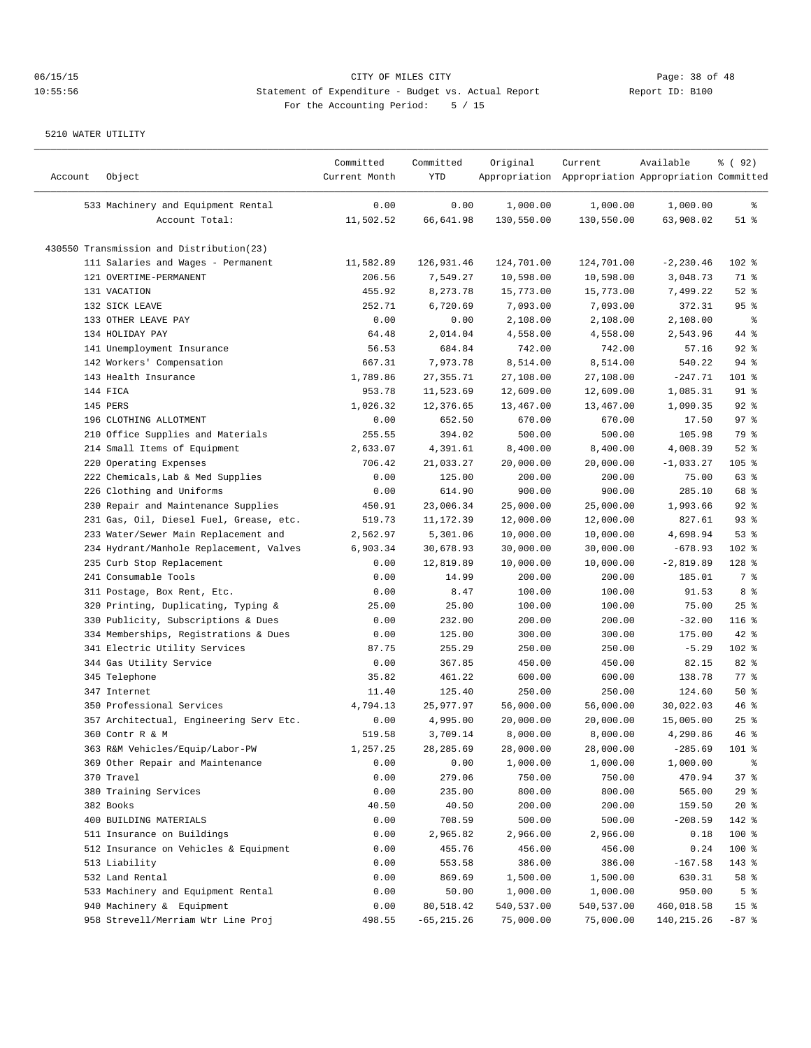| Account | Object                                   | Committed<br>Current Month | Committed<br>YTD | Original   | Current<br>Appropriation Appropriation Appropriation Committed | Available    | % (92)          |
|---------|------------------------------------------|----------------------------|------------------|------------|----------------------------------------------------------------|--------------|-----------------|
|         | 533 Machinery and Equipment Rental       | 0.00                       | 0.00             | 1,000.00   | 1,000.00                                                       | 1,000.00     | ိင              |
|         | Account Total:                           | 11,502.52                  | 66,641.98        | 130,550.00 | 130,550.00                                                     | 63,908.02    | $51$ %          |
|         |                                          |                            |                  |            |                                                                |              |                 |
|         | 430550 Transmission and Distribution(23) |                            |                  |            |                                                                |              |                 |
|         | 111 Salaries and Wages - Permanent       | 11,582.89                  | 126,931.46       | 124,701.00 | 124,701.00                                                     | $-2, 230.46$ | 102 %           |
|         | 121 OVERTIME-PERMANENT                   | 206.56                     | 7,549.27         | 10,598.00  | 10,598.00                                                      | 3,048.73     | 71 %            |
|         | 131 VACATION                             | 455.92                     | 8,273.78         | 15,773.00  | 15,773.00                                                      | 7,499.22     | $52$ $%$        |
|         | 132 SICK LEAVE                           | 252.71                     | 6,720.69         | 7,093.00   | 7,093.00                                                       | 372.31       | 95%             |
|         | 133 OTHER LEAVE PAY                      | 0.00                       | 0.00             | 2,108.00   | 2,108.00                                                       | 2,108.00     | နွ              |
|         | 134 HOLIDAY PAY                          | 64.48                      | 2,014.04         | 4,558.00   | 4,558.00                                                       | 2,543.96     | 44 %            |
|         | 141 Unemployment Insurance               | 56.53                      | 684.84           | 742.00     | 742.00                                                         | 57.16        | $92$ $%$        |
|         | 142 Workers' Compensation                | 667.31                     | 7,973.78         | 8,514.00   | 8,514.00                                                       | 540.22       | $94$ %          |
|         | 143 Health Insurance                     | 1,789.86                   | 27, 355.71       | 27,108.00  | 27,108.00                                                      | $-247.71$    | 101 %           |
|         | 144 FICA                                 | 953.78                     | 11,523.69        | 12,609.00  | 12,609.00                                                      | 1,085.31     | 91 %            |
|         | 145 PERS                                 | 1,026.32                   | 12,376.65        | 13,467.00  | 13,467.00                                                      | 1,090.35     | $92$ $%$        |
|         | 196 CLOTHING ALLOTMENT                   | 0.00                       | 652.50           | 670.00     | 670.00                                                         | 17.50        | 97%             |
|         | 210 Office Supplies and Materials        | 255.55                     | 394.02           | 500.00     | 500.00                                                         | 105.98       | 79 %            |
|         | 214 Small Items of Equipment             | 2,633.07                   | 4,391.61         | 8,400.00   | 8,400.00                                                       | 4,008.39     | $52$ $%$        |
|         | 220 Operating Expenses                   | 706.42                     | 21,033.27        | 20,000.00  | 20,000.00                                                      | $-1,033.27$  | 105 %           |
|         | 222 Chemicals, Lab & Med Supplies        | 0.00                       | 125.00           | 200.00     | 200.00                                                         | 75.00        | 63 %            |
|         | 226 Clothing and Uniforms                | 0.00                       | 614.90           | 900.00     | 900.00                                                         | 285.10       | 68 %            |
|         | 230 Repair and Maintenance Supplies      | 450.91                     | 23,006.34        | 25,000.00  | 25,000.00                                                      | 1,993.66     | $92$ $%$        |
|         | 231 Gas, Oil, Diesel Fuel, Grease, etc.  | 519.73                     | 11,172.39        | 12,000.00  | 12,000.00                                                      | 827.61       | 93%             |
|         | 233 Water/Sewer Main Replacement and     | 2,562.97                   | 5,301.06         | 10,000.00  | 10,000.00                                                      | 4,698.94     | 53%             |
|         | 234 Hydrant/Manhole Replacement, Valves  | 6,903.34                   | 30,678.93        | 30,000.00  | 30,000.00                                                      | $-678.93$    | 102 %           |
|         | 235 Curb Stop Replacement                | 0.00                       | 12,819.89        | 10,000.00  | 10,000.00                                                      | $-2,819.89$  | $128$ %         |
|         | 241 Consumable Tools                     | 0.00                       | 14.99            | 200.00     | 200.00                                                         | 185.01       | 7 %             |
|         | 311 Postage, Box Rent, Etc.              | 0.00                       | 8.47             | 100.00     | 100.00                                                         | 91.53        | 8 %             |
|         | 320 Printing, Duplicating, Typing &      | 25.00                      | 25.00            | 100.00     | 100.00                                                         | 75.00        | 25%             |
| 330     | Publicity, Subscriptions & Dues          | 0.00                       | 232.00           | 200.00     | 200.00                                                         | $-32.00$     | $116$ %         |
|         | 334 Memberships, Registrations & Dues    | 0.00                       | 125.00           | 300.00     | 300.00                                                         | 175.00       | $42$ %          |
|         | 341 Electric Utility Services            | 87.75                      | 255.29           | 250.00     | 250.00                                                         | $-5.29$      | 102 %           |
|         | 344 Gas Utility Service                  | 0.00                       | 367.85           | 450.00     | 450.00                                                         | 82.15        | 82 %            |
|         | 345 Telephone                            | 35.82                      | 461.22           | 600.00     | 600.00                                                         | 138.78       | 77 %            |
|         | 347 Internet                             | 11.40                      | 125.40           | 250.00     | 250.00                                                         | 124.60       | 50%             |
|         | 350 Professional Services                | 4,794.13                   | 25,977.97        | 56,000.00  | 56,000.00                                                      | 30,022.03    | 46%             |
|         | 357 Architectual, Engineering Serv Etc.  | 0.00                       | 4,995.00         | 20,000.00  | 20,000.00                                                      | 15,005.00    | 25%             |
|         | 360 Contr R & M                          | 519.58                     | 3,709.14         | 8,000.00   | 8,000.00                                                       | 4,290.86     | 46%             |
|         | 363 R&M Vehicles/Equip/Labor-PW          | 1,257.25                   | 28,285.69        | 28,000.00  | 28,000.00                                                      | $-285.69$    | 101 %           |
|         | 369 Other Repair and Maintenance         | 0.00                       | 0.00             | 1,000.00   | 1,000.00                                                       | 1,000.00     | ိင              |
|         | 370 Travel                               | 0.00                       | 279.06           | 750.00     | 750.00                                                         | 470.94       | 37%             |
|         | 380 Training Services                    | 0.00                       | 235.00           | 800.00     | 800.00                                                         | 565.00       | 29%             |
|         | 382 Books                                | 40.50                      | 40.50            | 200.00     | 200.00                                                         | 159.50       | 20%             |
|         | 400 BUILDING MATERIALS                   | 0.00                       | 708.59           | 500.00     | 500.00                                                         | $-208.59$    | 142 %           |
|         | 511 Insurance on Buildings               | 0.00                       | 2,965.82         | 2,966.00   | 2,966.00                                                       | 0.18         | 100 %           |
|         | 512 Insurance on Vehicles & Equipment    | 0.00                       | 455.76           | 456.00     | 456.00                                                         | 0.24         | 100 %           |
|         | 513 Liability                            | 0.00                       | 553.58           | 386.00     | 386.00                                                         | $-167.58$    | 143 %           |
|         | 532 Land Rental                          | 0.00                       | 869.69           | 1,500.00   | 1,500.00                                                       | 630.31       | 58 %            |
|         | 533 Machinery and Equipment Rental       | 0.00                       | 50.00            | 1,000.00   | 1,000.00                                                       | 950.00       | 5 <sup>°</sup>  |
|         | 940 Machinery & Equipment                | 0.00                       | 80,518.42        | 540,537.00 | 540,537.00                                                     | 460,018.58   | 15 <sup>°</sup> |
|         | 958 Strevell/Merriam Wtr Line Proj       | 498.55                     | $-65, 215.26$    | 75,000.00  | 75,000.00                                                      | 140, 215. 26 | $-87$ %         |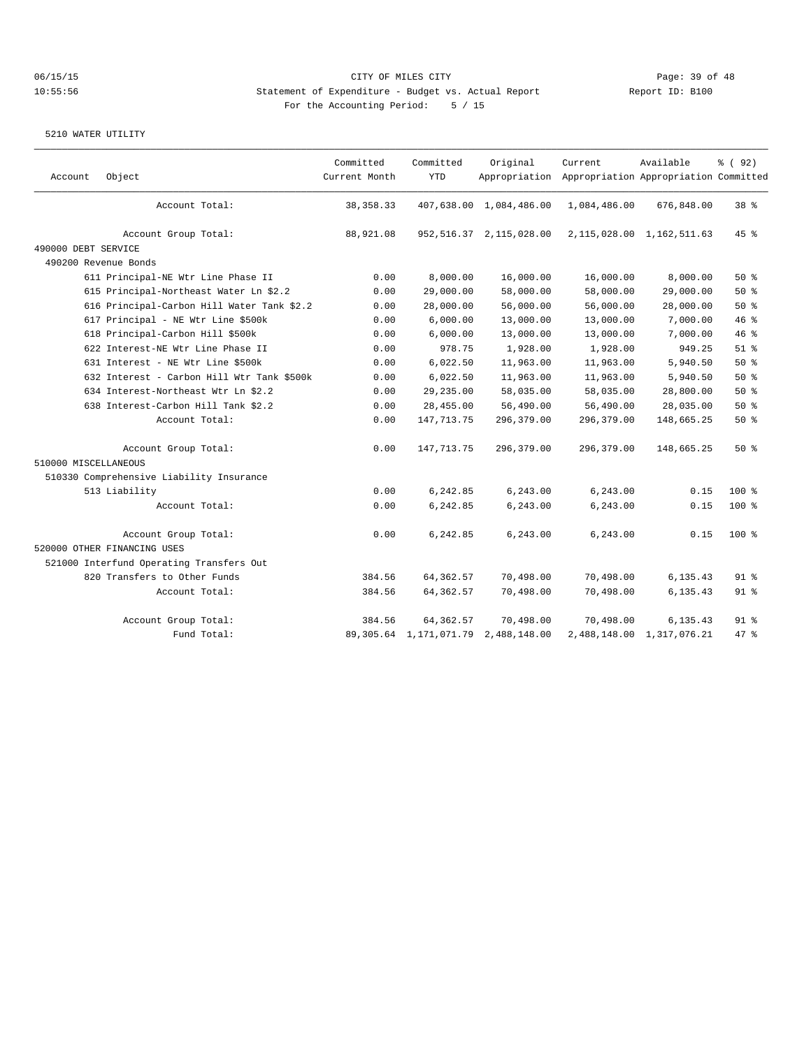| Account              | Object                                     | Committed<br>Current Month | Committed<br><b>YTD</b>   | Original                   | Current<br>Appropriation Appropriation Appropriation Committed | Available                     | % (92)   |
|----------------------|--------------------------------------------|----------------------------|---------------------------|----------------------------|----------------------------------------------------------------|-------------------------------|----------|
|                      | Account Total:                             | 38, 358. 33                |                           | 407,638.00 1,084,486.00    | 1,084,486.00                                                   | 676,848.00                    | 38 %     |
|                      | Account Group Total:                       | 88,921.08                  |                           | 952, 516.37 2, 115, 028.00 |                                                                | 2, 115, 028.00 1, 162, 511.63 | 45%      |
| 490000 DEBT SERVICE  |                                            |                            |                           |                            |                                                                |                               |          |
|                      | 490200 Revenue Bonds                       |                            |                           |                            |                                                                |                               |          |
|                      | 611 Principal-NE Wtr Line Phase II         | 0.00                       | 8,000.00                  | 16,000.00                  | 16,000.00                                                      | 8,000.00                      | $50*$    |
|                      | 615 Principal-Northeast Water Ln \$2.2     | 0.00                       | 29,000.00                 | 58,000.00                  | 58,000.00                                                      | 29,000.00                     | 50%      |
|                      | 616 Principal-Carbon Hill Water Tank \$2.2 | 0.00                       | 28,000.00                 | 56,000.00                  | 56,000.00                                                      | 28,000.00                     | 50%      |
|                      | 617 Principal - NE Wtr Line \$500k         | 0.00                       | 6,000.00                  | 13,000.00                  | 13,000.00                                                      | 7,000.00                      | 46%      |
|                      | 618 Principal-Carbon Hill \$500k           | 0.00                       | 6,000.00                  | 13,000.00                  | 13,000.00                                                      | 7,000.00                      | 46 %     |
|                      | 622 Interest-NE Wtr Line Phase II          | 0.00                       | 978.75                    | 1,928.00                   | 1,928.00                                                       | 949.25                        | $51$ $%$ |
|                      | 631 Interest - NE Wtr Line \$500k          | 0.00                       | 6,022.50                  | 11,963.00                  | 11,963.00                                                      | 5,940.50                      | 50%      |
|                      | 632 Interest - Carbon Hill Wtr Tank \$500k | 0.00                       | 6,022.50                  | 11,963.00                  | 11,963.00                                                      | 5,940.50                      | 50%      |
|                      | 634 Interest-Northeast Wtr Ln \$2.2        | 0.00                       | 29, 235.00                | 58,035.00                  | 58,035.00                                                      | 28,800.00                     | 50%      |
|                      | 638 Interest-Carbon Hill Tank \$2.2        | 0.00                       | 28,455.00                 | 56,490.00                  | 56,490.00                                                      | 28,035.00                     | 50%      |
|                      | Account Total:                             | 0.00                       | 147, 713. 75              | 296,379.00                 | 296,379.00                                                     | 148,665.25                    | 50%      |
|                      | Account Group Total:                       | 0.00                       | 147,713.75                | 296,379.00                 | 296,379.00                                                     | 148,665.25                    | 50%      |
| 510000 MISCELLANEOUS |                                            |                            |                           |                            |                                                                |                               |          |
|                      | 510330 Comprehensive Liability Insurance   |                            |                           |                            |                                                                |                               |          |
|                      | 513 Liability                              | 0.00                       | 6,242.85                  | 6,243.00                   | 6,243.00                                                       | 0.15                          | $100*$   |
|                      | Account Total:                             | 0.00                       | 6,242.85                  | 6, 243.00                  | 6,243.00                                                       | 0.15                          | 100 %    |
|                      | Account Group Total:                       | 0.00                       | 6,242.85                  | 6,243.00                   | 6,243.00                                                       | 0.15                          | $100$ %  |
|                      | 520000 OTHER FINANCING USES                |                            |                           |                            |                                                                |                               |          |
|                      | 521000 Interfund Operating Transfers Out   |                            |                           |                            |                                                                |                               |          |
|                      | 820 Transfers to Other Funds               | 384.56                     | 64, 362.57                | 70,498.00                  | 70,498.00                                                      | 6, 135.43                     | $91$ %   |
|                      | Account Total:                             | 384.56                     | 64, 362.57                | 70,498.00                  | 70,498.00                                                      | 6, 135.43                     | $91$ %   |
|                      | Account Group Total:                       | 384.56                     | 64, 362.57                | 70,498.00                  | 70,498.00                                                      | 6,135.43                      | $91$ %   |
|                      | Fund Total:                                |                            | 89, 305.64 1, 171, 071.79 | 2,488,148.00               |                                                                | 2,488,148.00 1,317,076.21     | 47.8     |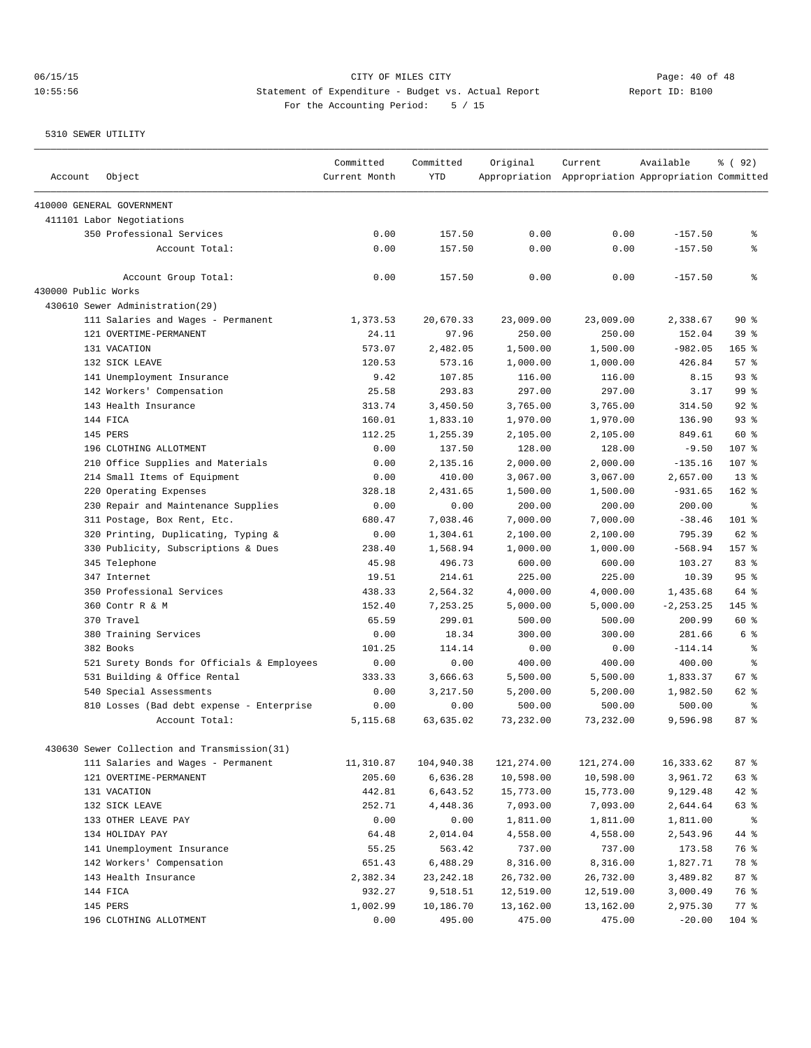| Account             | Object                                                      | Committed<br>Current Month | Committed<br><b>YTD</b> | Original             | Current<br>Appropriation Appropriation Appropriation Committed | Available             | % ( 92)         |
|---------------------|-------------------------------------------------------------|----------------------------|-------------------------|----------------------|----------------------------------------------------------------|-----------------------|-----------------|
|                     | 410000 GENERAL GOVERNMENT                                   |                            |                         |                      |                                                                |                       |                 |
|                     | 411101 Labor Negotiations                                   |                            |                         |                      |                                                                |                       |                 |
|                     | 350 Professional Services                                   | 0.00                       | 157.50                  | 0.00                 | 0.00                                                           | $-157.50$             | နွ              |
|                     | Account Total:                                              | 0.00                       | 157.50                  | 0.00                 | 0.00                                                           | $-157.50$             | နွ              |
|                     | Account Group Total:                                        | 0.00                       | 157.50                  | 0.00                 | 0.00                                                           | $-157.50$             | နွ              |
| 430000 Public Works |                                                             |                            |                         |                      |                                                                |                       |                 |
|                     | 430610 Sewer Administration(29)                             |                            |                         |                      |                                                                |                       |                 |
|                     | 111 Salaries and Wages - Permanent                          | 1,373.53                   | 20,670.33               | 23,009.00            | 23,009.00                                                      | 2,338.67              | 90%             |
|                     | 121 OVERTIME-PERMANENT                                      | 24.11                      | 97.96                   | 250.00               | 250.00                                                         | 152.04                | 39 %            |
|                     | 131 VACATION                                                | 573.07                     | 2,482.05                | 1,500.00             | 1,500.00                                                       | $-982.05$             | $165$ %         |
|                     | 132 SICK LEAVE                                              | 120.53                     | 573.16                  | 1,000.00             | 1,000.00                                                       | 426.84                | 57 <sup>8</sup> |
|                     | 141 Unemployment Insurance                                  | 9.42                       | 107.85                  | 116.00               | 116.00                                                         | 8.15                  | 93%             |
|                     | 142 Workers' Compensation                                   | 25.58                      | 293.83                  | 297.00               | 297.00                                                         | 3.17                  | 99 %            |
|                     | 143 Health Insurance                                        | 313.74                     | 3,450.50                | 3,765.00             | 3,765.00                                                       | 314.50                | 92%             |
|                     | 144 FICA                                                    | 160.01                     | 1,833.10                | 1,970.00             | 1,970.00                                                       | 136.90                | 93%             |
|                     | 145 PERS                                                    | 112.25                     | 1,255.39                | 2,105.00             | 2,105.00                                                       | 849.61                | 60 %            |
|                     | 196 CLOTHING ALLOTMENT<br>210 Office Supplies and Materials | 0.00                       | 137.50                  | 128.00               | 128.00                                                         | $-9.50$               | 107 %<br>107 %  |
|                     | 214 Small Items of Equipment                                | 0.00<br>0.00               | 2,135.16<br>410.00      | 2,000.00             | 2,000.00                                                       | $-135.16$             | 13 <sup>8</sup> |
|                     | 220 Operating Expenses                                      | 328.18                     | 2,431.65                | 3,067.00<br>1,500.00 | 3,067.00<br>1,500.00                                           | 2,657.00<br>$-931.65$ | $162$ %         |
|                     | 230 Repair and Maintenance Supplies                         | 0.00                       | 0.00                    | 200.00               | 200.00                                                         | 200.00                | နွ              |
|                     | 311 Postage, Box Rent, Etc.                                 | 680.47                     | 7,038.46                | 7,000.00             | 7,000.00                                                       | $-38.46$              | $101$ %         |
|                     | 320 Printing, Duplicating, Typing &                         | 0.00                       | 1,304.61                | 2,100.00             | 2,100.00                                                       | 795.39                | 62 %            |
|                     | 330 Publicity, Subscriptions & Dues                         | 238.40                     | 1,568.94                | 1,000.00             | 1,000.00                                                       | $-568.94$             | $157$ $%$       |
|                     | 345 Telephone                                               | 45.98                      | 496.73                  | 600.00               | 600.00                                                         | 103.27                | 83 <sup>8</sup> |
|                     | 347 Internet                                                | 19.51                      | 214.61                  | 225.00               | 225.00                                                         | 10.39                 | 95%             |
|                     | 350 Professional Services                                   | 438.33                     | 2,564.32                | 4,000.00             | 4,000.00                                                       | 1,435.68              | 64 %            |
|                     | 360 Contr R & M                                             | 152.40                     | 7,253.25                | 5,000.00             | 5,000.00                                                       | $-2, 253.25$          | 145 %           |
|                     | 370 Travel                                                  | 65.59                      | 299.01                  | 500.00               | 500.00                                                         | 200.99                | 60 %            |
|                     | 380 Training Services                                       | 0.00                       | 18.34                   | 300.00               | 300.00                                                         | 281.66                | 6 %             |
|                     | 382 Books                                                   | 101.25                     | 114.14                  | 0.00                 | 0.00                                                           | $-114.14$             | နွ              |
|                     | 521 Surety Bonds for Officials & Employees                  | 0.00                       | 0.00                    | 400.00               | 400.00                                                         | 400.00                | ÷               |
|                     | 531 Building & Office Rental                                | 333.33                     | 3,666.63                | 5,500.00             | 5,500.00                                                       | 1,833.37              | 67%             |
|                     | 540 Special Assessments                                     | 0.00                       | 3,217.50                | 5,200.00             | 5,200.00                                                       | 1,982.50              | 62 %            |
|                     | 810 Losses (Bad debt expense - Enterprise                   | 0.00                       | 0.00                    | 500.00               | 500.00                                                         | 500.00                | နွ              |
|                     | Account Total:                                              | 5,115.68                   | 63,635.02               | 73,232.00            | 73,232.00                                                      | 9,596.98              | 87%             |
|                     | 430630 Sewer Collection and Transmission(31)                |                            |                         |                      |                                                                |                       |                 |
|                     | 111 Salaries and Wages - Permanent                          | 11,310.87                  | 104,940.38              | 121,274.00           | 121,274.00                                                     | 16,333.62             | 87%             |
|                     | 121 OVERTIME-PERMANENT                                      | 205.60                     | 6,636.28                | 10,598.00            | 10,598.00                                                      | 3,961.72              | 63 %            |
|                     | 131 VACATION                                                | 442.81                     | 6,643.52                | 15,773.00            | 15,773.00                                                      | 9,129.48              | $42$ %          |
|                     | 132 SICK LEAVE                                              | 252.71                     | 4,448.36                | 7,093.00             | 7,093.00                                                       | 2,644.64              | 63 %            |
|                     | 133 OTHER LEAVE PAY                                         | 0.00                       | 0.00                    | 1,811.00             | 1,811.00                                                       | 1,811.00              | နွ              |
|                     | 134 HOLIDAY PAY                                             | 64.48                      | 2,014.04                | 4,558.00             | 4,558.00                                                       | 2,543.96              | 44 %            |
|                     | 141 Unemployment Insurance                                  | 55.25                      | 563.42                  | 737.00               | 737.00                                                         | 173.58                | 76 %            |
|                     | 142 Workers' Compensation                                   | 651.43                     | 6,488.29                | 8,316.00             | 8,316.00                                                       | 1,827.71              | 78 %            |
|                     | 143 Health Insurance                                        | 2,382.34                   | 23, 242. 18             | 26,732.00            | 26,732.00                                                      | 3,489.82              | 87%             |
|                     | 144 FICA                                                    | 932.27                     | 9,518.51                | 12,519.00            | 12,519.00                                                      | 3,000.49              | 76 %            |
|                     | 145 PERS                                                    | 1,002.99                   | 10,186.70               | 13,162.00            | 13,162.00                                                      | 2,975.30              | $77$ $%$        |
|                     | 196 CLOTHING ALLOTMENT                                      | 0.00                       | 495.00                  | 475.00               | 475.00                                                         | $-20.00$              | $104$ %         |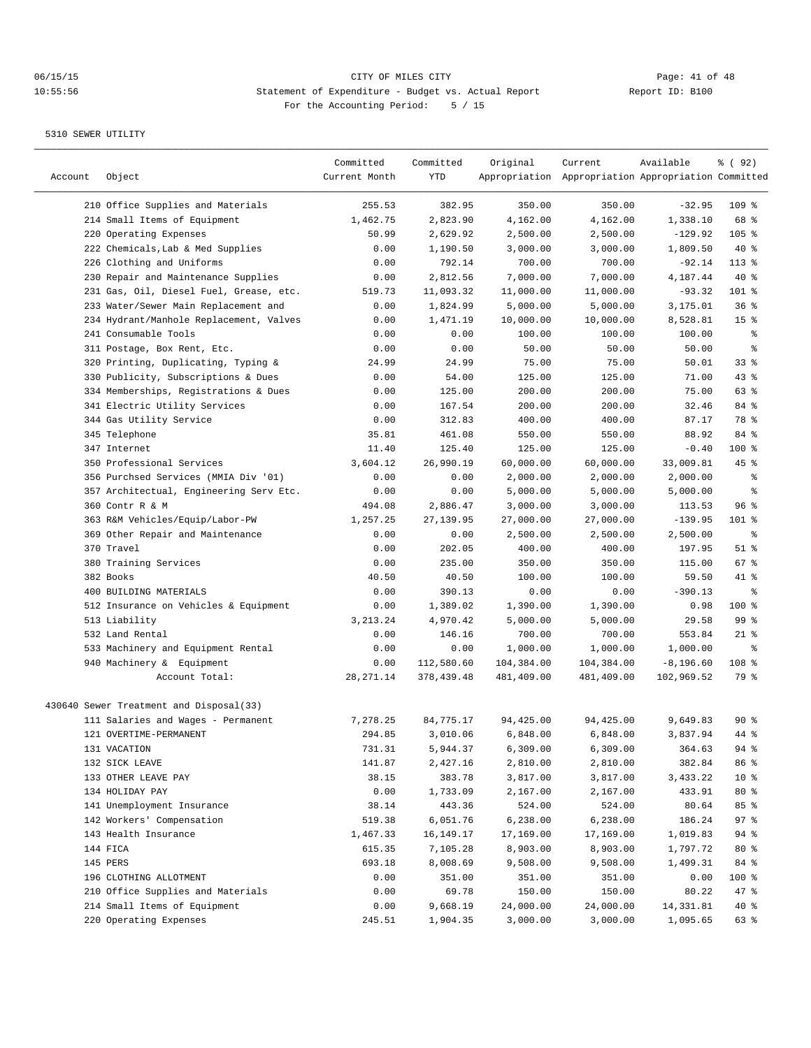| Account | Object                                  | Committed<br>Current Month | Committed<br>YTD | Original   | Current<br>Appropriation Appropriation Appropriation Committed | Available    | १ ( 92)         |
|---------|-----------------------------------------|----------------------------|------------------|------------|----------------------------------------------------------------|--------------|-----------------|
|         | 210 Office Supplies and Materials       | 255.53                     | 382.95           | 350.00     | 350.00                                                         | $-32.95$     | $109$ %         |
|         | 214 Small Items of Equipment            | 1,462.75                   | 2,823.90         | 4,162.00   | 4,162.00                                                       | 1,338.10     | 68 %            |
|         | 220 Operating Expenses                  | 50.99                      | 2,629.92         | 2,500.00   | 2,500.00                                                       | $-129.92$    | 105 %           |
|         | 222 Chemicals, Lab & Med Supplies       | 0.00                       | 1,190.50         | 3,000.00   | 3,000.00                                                       | 1,809.50     | $40*$           |
|         | 226 Clothing and Uniforms               | 0.00                       | 792.14           | 700.00     | 700.00                                                         | $-92.14$     | $113*$          |
|         | 230 Repair and Maintenance Supplies     | 0.00                       | 2,812.56         | 7,000.00   | 7,000.00                                                       | 4,187.44     | 40 %            |
|         | 231 Gas, Oil, Diesel Fuel, Grease, etc. | 519.73                     | 11,093.32        | 11,000.00  | 11,000.00                                                      | $-93.32$     | 101 %           |
|         | 233 Water/Sewer Main Replacement and    | 0.00                       | 1,824.99         | 5,000.00   | 5,000.00                                                       | 3,175.01     | 36%             |
|         | 234 Hydrant/Manhole Replacement, Valves | 0.00                       | 1,471.19         | 10,000.00  | 10,000.00                                                      | 8,528.81     | 15 <sup>8</sup> |
|         | 241 Consumable Tools                    | 0.00                       | 0.00             | 100.00     | 100.00                                                         | 100.00       | နွ              |
|         | 311 Postage, Box Rent, Etc.             | 0.00                       | 0.00             | 50.00      | 50.00                                                          | 50.00        | နွ              |
|         | 320 Printing, Duplicating, Typing &     | 24.99                      | 24.99            | 75.00      | 75.00                                                          | 50.01        | $33$ $%$        |
|         | 330 Publicity, Subscriptions & Dues     | 0.00                       | 54.00            | 125.00     | 125.00                                                         | 71.00        | $43$ %          |
|         | 334 Memberships, Registrations & Dues   | 0.00                       | 125.00           | 200.00     | 200.00                                                         | 75.00        | 63 %            |
|         | 341 Electric Utility Services           | 0.00                       | 167.54           | 200.00     | 200.00                                                         | 32.46        | 84 %            |
|         | 344 Gas Utility Service                 | 0.00                       | 312.83           | 400.00     | 400.00                                                         | 87.17        | 78 %            |
|         | 345 Telephone                           | 35.81                      | 461.08           | 550.00     | 550.00                                                         | 88.92        | 84 %            |
|         | 347 Internet                            | 11.40                      | 125.40           | 125.00     | 125.00                                                         | $-0.40$      | 100 %           |
|         | 350 Professional Services               | 3,604.12                   | 26,990.19        | 60,000.00  | 60,000.00                                                      | 33,009.81    | 45 %            |
|         | 356 Purchsed Services (MMIA Div '01)    | 0.00                       | 0.00             | 2,000.00   | 2,000.00                                                       | 2,000.00     | နွ              |
|         | 357 Architectual, Engineering Serv Etc. | 0.00                       | 0.00             | 5,000.00   | 5,000.00                                                       | 5,000.00     | နွ              |
|         | 360 Contr R & M                         | 494.08                     | 2,886.47         | 3,000.00   | 3,000.00                                                       | 113.53       | 96 <sup>°</sup> |
|         | 363 R&M Vehicles/Equip/Labor-PW         | 1,257.25                   | 27, 139.95       | 27,000.00  | 27,000.00                                                      | $-139.95$    | 101 %           |
|         | 369 Other Repair and Maintenance        | 0.00                       | 0.00             | 2,500.00   | 2,500.00                                                       | 2,500.00     | နွ              |
|         | 370 Travel                              | 0.00                       | 202.05           | 400.00     | 400.00                                                         | 197.95       | $51$ %          |
|         | 380 Training Services                   | 0.00                       | 235.00           | 350.00     | 350.00                                                         | 115.00       | $67$ %          |
|         | 382 Books                               | 40.50                      | 40.50            | 100.00     | 100.00                                                         | 59.50        | 41 %            |
|         | 400 BUILDING MATERIALS                  | 0.00                       | 390.13           | 0.00       | 0.00                                                           | $-390.13$    | ႜ               |
|         | 512 Insurance on Vehicles & Equipment   | 0.00                       | 1,389.02         | 1,390.00   | 1,390.00                                                       | 0.98         | 100 %           |
|         | 513 Liability                           | 3, 213. 24                 | 4,970.42         | 5,000.00   | 5,000.00                                                       | 29.58        | 99%             |
|         | 532 Land Rental                         | 0.00                       | 146.16           | 700.00     | 700.00                                                         | 553.84       | $21$ %          |
|         | 533 Machinery and Equipment Rental      | 0.00                       | 0.00             | 1,000.00   | 1,000.00                                                       | 1,000.00     | ి               |
|         | 940 Machinery & Equipment               | 0.00                       | 112,580.60       | 104,384.00 | 104,384.00                                                     | $-8, 196.60$ | 108 %           |
|         | Account Total:                          | 28, 271.14                 | 378,439.48       | 481,409.00 | 481,409.00                                                     | 102,969.52   | 79 %            |
|         | 430640 Sewer Treatment and Disposal(33) |                            |                  |            |                                                                |              |                 |
|         | 111 Salaries and Wages - Permanent      | 7,278.25                   | 84,775.17        | 94,425.00  | 94,425.00                                                      | 9,649.83     | 90%             |
|         | 121 OVERTIME-PERMANENT                  | 294.85                     | 3,010.06         | 6,848.00   | 6,848.00                                                       | 3,837.94     | 44 %            |
|         | 131 VACATION                            | 731.31                     | 5,944.37         | 6,309.00   | 6,309.00                                                       | 364.63       | 94 %            |
|         | 132 SICK LEAVE                          | 141.87                     | 2,427.16         | 2,810.00   | 2,810.00                                                       | 382.84       | 86%             |
|         | 133 OTHER LEAVE PAY                     | 38.15                      | 383.78           | 3,817.00   | 3,817.00                                                       | 3,433.22     | $10*$           |
|         | 134 HOLIDAY PAY                         | 0.00                       | 1,733.09         | 2,167.00   | 2,167.00                                                       | 433.91       | $80*$           |
|         | 141 Unemployment Insurance              | 38.14                      | 443.36           | 524.00     | 524.00                                                         | 80.64        | 85 %            |
|         | 142 Workers' Compensation               | 519.38                     | 6,051.76         | 6,238.00   | 6,238.00                                                       | 186.24       | 97%             |
|         | 143 Health Insurance                    | 1,467.33                   | 16,149.17        | 17,169.00  | 17,169.00                                                      | 1,019.83     | 94 %            |
|         | 144 FICA                                | 615.35                     | 7,105.28         | 8,903.00   | 8,903.00                                                       | 1,797.72     | 80 %            |
|         | 145 PERS                                | 693.18                     | 8,008.69         | 9,508.00   | 9,508.00                                                       | 1,499.31     | 84 %            |
|         | 196 CLOTHING ALLOTMENT                  | 0.00                       | 351.00           | 351.00     | 351.00                                                         | 0.00         | 100 %           |
|         | 210 Office Supplies and Materials       | 0.00                       | 69.78            | 150.00     | 150.00                                                         | 80.22        | 47 %            |
|         | 214 Small Items of Equipment            | 0.00                       | 9,668.19         | 24,000.00  | 24,000.00                                                      | 14,331.81    | $40*$           |
|         | 220 Operating Expenses                  | 245.51                     | 1,904.35         | 3,000.00   | 3,000.00                                                       | 1,095.65     | 63 %            |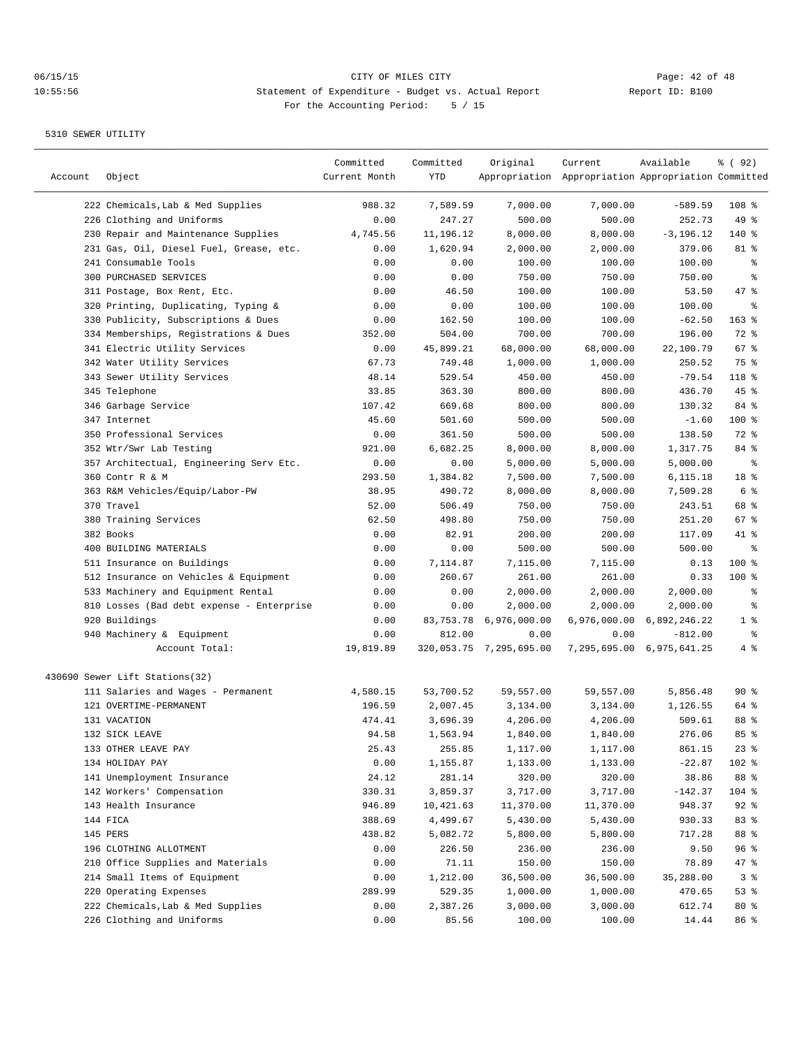| Account | Object                                    | Committed<br>Current Month | Committed<br>YTD | Original                | Current<br>Appropriation Appropriation Appropriation Committed | Available                 | १ ( 92)        |
|---------|-------------------------------------------|----------------------------|------------------|-------------------------|----------------------------------------------------------------|---------------------------|----------------|
|         | 222 Chemicals, Lab & Med Supplies         | 988.32                     | 7,589.59         | 7,000.00                | 7,000.00                                                       | $-589.59$                 | $108$ %        |
|         | 226 Clothing and Uniforms                 | 0.00                       | 247.27           | 500.00                  | 500.00                                                         | 252.73                    | 49 %           |
|         | 230 Repair and Maintenance Supplies       | 4,745.56                   | 11,196.12        | 8,000.00                | 8,000.00                                                       | $-3, 196.12$              | 140 %          |
|         | 231 Gas, Oil, Diesel Fuel, Grease, etc.   | 0.00                       | 1,620.94         | 2,000.00                | 2,000.00                                                       | 379.06                    | 81 %           |
|         | 241 Consumable Tools                      | 0.00                       | 0.00             | 100.00                  | 100.00                                                         | 100.00                    | ್ಠಿ            |
|         | 300 PURCHASED SERVICES                    | 0.00                       | 0.00             | 750.00                  | 750.00                                                         | 750.00                    | န္             |
|         | 311 Postage, Box Rent, Etc.               | 0.00                       | 46.50            | 100.00                  | 100.00                                                         | 53.50                     | 47 %           |
|         | 320 Printing, Duplicating, Typing &       | 0.00                       | 0.00             | 100.00                  | 100.00                                                         | 100.00                    | ႜ              |
|         | 330 Publicity, Subscriptions & Dues       | 0.00                       | 162.50           | 100.00                  | 100.00                                                         | $-62.50$                  | 163 %          |
|         | 334 Memberships, Registrations & Dues     | 352.00                     | 504.00           | 700.00                  | 700.00                                                         | 196.00                    | 72 %           |
|         | 341 Electric Utility Services             | 0.00                       | 45,899.21        | 68,000.00               | 68,000.00                                                      | 22,100.79                 | 67%            |
|         | 342 Water Utility Services                | 67.73                      | 749.48           | 1,000.00                | 1,000.00                                                       | 250.52                    | 75 %           |
|         | 343 Sewer Utility Services                | 48.14                      | 529.54           | 450.00                  | 450.00                                                         | $-79.54$                  | 118 %          |
|         | 345 Telephone                             | 33.85                      | 363.30           | 800.00                  | 800.00                                                         | 436.70                    | 45%            |
|         | 346 Garbage Service                       | 107.42                     | 669.68           | 800.00                  | 800.00                                                         | 130.32                    | 84 %           |
|         | 347 Internet                              | 45.60                      | 501.60           | 500.00                  | 500.00                                                         | $-1.60$                   | 100 %          |
|         | 350 Professional Services                 | 0.00                       | 361.50           | 500.00                  | 500.00                                                         | 138.50                    | 72 %           |
|         | 352 Wtr/Swr Lab Testing                   | 921.00                     | 6,682.25         | 8,000.00                | 8,000.00                                                       | 1,317.75                  | 84 %           |
|         | 357 Architectual, Engineering Serv Etc.   | 0.00                       | 0.00             | 5,000.00                | 5,000.00                                                       | 5,000.00                  | နွ             |
|         | 360 Contr R & M                           | 293.50                     | 1,384.82         | 7,500.00                | 7,500.00                                                       | 6,115.18                  | 18 %           |
|         | 363 R&M Vehicles/Equip/Labor-PW           | 38.95                      | 490.72           | 8,000.00                | 8,000.00                                                       | 7,509.28                  | 6 %            |
|         | 370 Travel                                | 52.00                      | 506.49           | 750.00                  | 750.00                                                         | 243.51                    | 68 %           |
|         | 380 Training Services                     | 62.50                      | 498.80           | 750.00                  | 750.00                                                         | 251.20                    | 67%            |
|         | 382 Books                                 | 0.00                       | 82.91            | 200.00                  | 200.00                                                         | 117.09                    | 41 %           |
|         | 400 BUILDING MATERIALS                    | 0.00                       | 0.00             | 500.00                  | 500.00                                                         | 500.00                    | ి              |
|         | 511 Insurance on Buildings                | 0.00                       | 7,114.87         | 7,115.00                | 7,115.00                                                       | 0.13                      | 100 %          |
|         | 512 Insurance on Vehicles & Equipment     | 0.00                       | 260.67           | 261.00                  | 261.00                                                         | 0.33                      | $100$ %        |
|         | 533 Machinery and Equipment Rental        | 0.00                       | 0.00             | 2,000.00                | 2,000.00                                                       | 2,000.00                  | ႜ              |
|         | 810 Losses (Bad debt expense - Enterprise | 0.00                       | 0.00             | 2,000.00                | 2,000.00                                                       | 2,000.00                  | နွ             |
|         | 920 Buildings                             | 0.00                       | 83,753.78        | 6,976,000.00            |                                                                | 6,976,000.00 6,892,246.22 | 1 <sup>°</sup> |
|         | 940 Machinery & Equipment                 | 0.00                       | 812.00           | 0.00                    | 0.00                                                           | $-812.00$                 | ್ಠಿ            |
|         | Account Total:                            | 19,819.89                  |                  | 320,053.75 7,295,695.00 |                                                                | 7,295,695.00 6,975,641.25 | 4%             |
|         | 430690 Sewer Lift Stations(32)            |                            |                  |                         |                                                                |                           |                |
|         | 111 Salaries and Wages - Permanent        | 4,580.15                   | 53,700.52        | 59,557.00               | 59,557.00                                                      | 5,856.48                  | 90%            |
|         | 121 OVERTIME-PERMANENT                    | 196.59                     | 2,007.45         | 3,134.00                | 3,134.00                                                       | 1,126.55                  | 64 %           |
|         | 131 VACATION                              | 474.41                     | 3,696.39         | 4,206.00                | 4,206.00                                                       | 509.61                    | 88 %           |
|         | 132 SICK LEAVE                            | 94.58                      | 1,563.94         | 1,840.00                | 1,840.00                                                       | 276.06                    | 85%            |
|         | 133 OTHER LEAVE PAY                       | 25.43                      | 255.85           | 1,117.00                | 1,117.00                                                       | 861.15                    | 23%            |
|         | 134 HOLIDAY PAY                           | 0.00                       | 1,155.87         | 1,133.00                | 1,133.00                                                       | $-22.87$                  | 102 %          |
|         | 141 Unemployment Insurance                | 24.12                      | 281.14           | 320.00                  | 320.00                                                         | 38.86                     | 88 %           |
|         | 142 Workers' Compensation                 | 330.31                     | 3,859.37         | 3,717.00                | 3,717.00                                                       | $-142.37$                 | $104$ %        |
|         | 143 Health Insurance                      | 946.89                     | 10,421.63        | 11,370.00               | 11,370.00                                                      | 948.37                    | $92$ $%$       |
|         | 144 FICA                                  | 388.69                     | 4,499.67         | 5,430.00                | 5,430.00                                                       | 930.33                    | 83 %           |
|         | 145 PERS                                  | 438.82                     | 5,082.72         | 5,800.00                | 5,800.00                                                       | 717.28                    | 88 %           |
|         | 196 CLOTHING ALLOTMENT                    | 0.00                       | 226.50           | 236.00                  | 236.00                                                         | 9.50                      | 96 %           |
|         | 210 Office Supplies and Materials         | 0.00                       | 71.11            | 150.00                  | 150.00                                                         | 78.89                     | 47 %           |
|         | 214 Small Items of Equipment              | 0.00                       | 1,212.00         | 36,500.00               | 36,500.00                                                      | 35,288.00                 | 3%             |
|         | 220 Operating Expenses                    | 289.99                     | 529.35           | 1,000.00                | 1,000.00                                                       | 470.65                    | 53%            |
|         | 222 Chemicals, Lab & Med Supplies         | 0.00                       | 2,387.26         | 3,000.00                | 3,000.00                                                       | 612.74                    | 80 %           |
|         | 226 Clothing and Uniforms                 | 0.00                       | 85.56            | 100.00                  | 100.00                                                         | 14.44                     | 86 %           |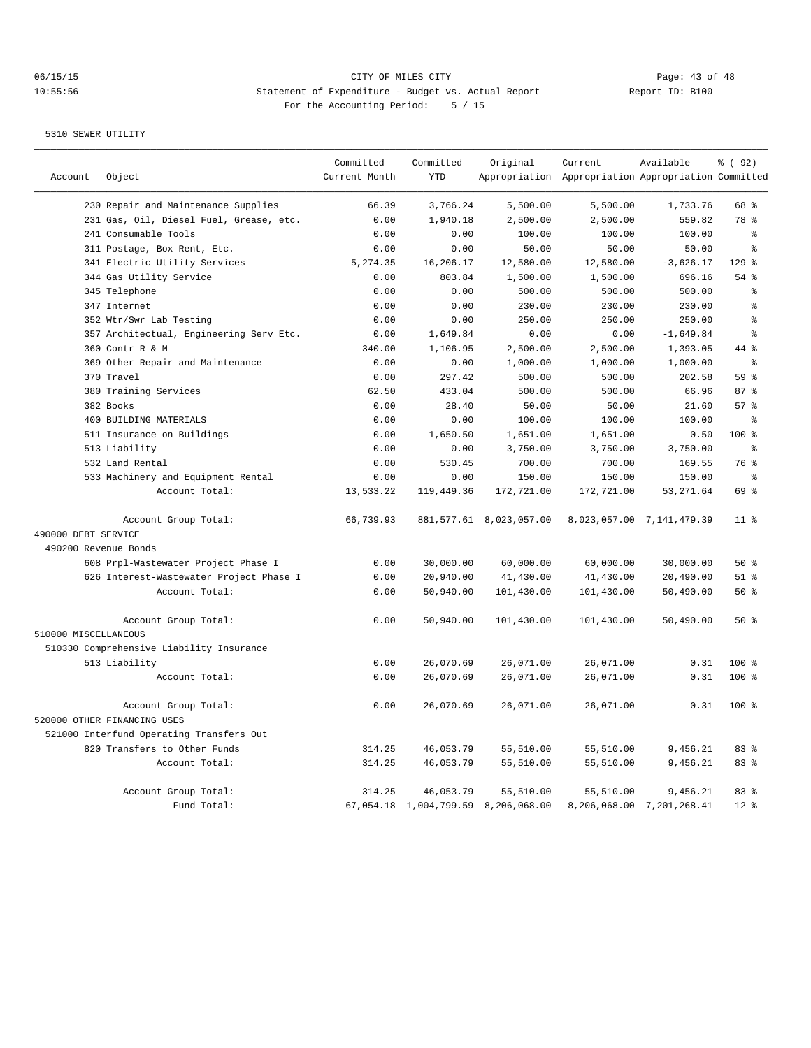|                      |                                          | Committed     | Committed  | Original                            | Current                                             | Available                 | % ( 92)         |
|----------------------|------------------------------------------|---------------|------------|-------------------------------------|-----------------------------------------------------|---------------------------|-----------------|
| Account              | Object                                   | Current Month | <b>YTD</b> |                                     | Appropriation Appropriation Appropriation Committed |                           |                 |
|                      | 230 Repair and Maintenance Supplies      | 66.39         | 3,766.24   | 5,500.00                            | 5,500.00                                            | 1,733.76                  | 68 %            |
|                      | 231 Gas, Oil, Diesel Fuel, Grease, etc.  | 0.00          | 1,940.18   | 2,500.00                            | 2,500.00                                            | 559.82                    | 78 %            |
|                      | 241 Consumable Tools                     | 0.00          | 0.00       | 100.00                              | 100.00                                              | 100.00                    | ి               |
|                      | 311 Postage, Box Rent, Etc.              | 0.00          | 0.00       | 50.00                               | 50.00                                               | 50.00                     | $\epsilon$      |
|                      | 341 Electric Utility Services            | 5,274.35      | 16,206.17  | 12,580.00                           | 12,580.00                                           | $-3,626.17$               | $129$ %         |
|                      | 344 Gas Utility Service                  | 0.00          | 803.84     | 1,500.00                            | 1,500.00                                            | 696.16                    | 54%             |
|                      | 345 Telephone                            | 0.00          | 0.00       | 500.00                              | 500.00                                              | 500.00                    | နွ              |
|                      | 347 Internet                             | 0.00          | 0.00       | 230.00                              | 230.00                                              | 230.00                    | နွ              |
|                      | 352 Wtr/Swr Lab Testing                  | 0.00          | 0.00       | 250.00                              | 250.00                                              | 250.00                    | ి               |
|                      | 357 Architectual, Engineering Serv Etc.  | 0.00          | 1,649.84   | 0.00                                | 0.00                                                | $-1,649.84$               | $\epsilon$      |
|                      | 360 Contr R & M                          | 340.00        | 1,106.95   | 2,500.00                            | 2,500.00                                            | 1,393.05                  | 44 %            |
|                      | 369 Other Repair and Maintenance         | 0.00          | 0.00       | 1,000.00                            | 1,000.00                                            | 1,000.00                  | $\approx$       |
|                      | 370 Travel                               | 0.00          | 297.42     | 500.00                              | 500.00                                              | 202.58                    | 59 %            |
|                      | 380 Training Services                    | 62.50         | 433.04     | 500.00                              | 500.00                                              | 66.96                     | 87%             |
|                      | 382 Books                                | 0.00          | 28.40      | 50.00                               | 50.00                                               | 21.60                     | 57%             |
|                      | 400 BUILDING MATERIALS                   | 0.00          | 0.00       | 100.00                              | 100.00                                              | 100.00                    | $\epsilon$      |
|                      | 511 Insurance on Buildings               | 0.00          | 1,650.50   | 1,651.00                            | 1,651.00                                            | 0.50                      | 100 %           |
|                      | 513 Liability                            | 0.00          | 0.00       | 3,750.00                            | 3,750.00                                            | 3,750.00                  | ႜ               |
|                      | 532 Land Rental                          | 0.00          | 530.45     | 700.00                              | 700.00                                              | 169.55                    | 76 %            |
|                      | 533 Machinery and Equipment Rental       | 0.00          | 0.00       | 150.00                              | 150.00                                              | 150.00                    | ి               |
|                      | Account Total:                           | 13,533.22     | 119,449.36 | 172,721.00                          | 172,721.00                                          | 53, 271.64                | 69 %            |
|                      | Account Group Total:                     | 66,739.93     |            | 881,577.61 8,023,057.00             |                                                     | 8,023,057.00 7,141,479.39 | 11 <sup>8</sup> |
| 490000 DEBT SERVICE  |                                          |               |            |                                     |                                                     |                           |                 |
| 490200 Revenue Bonds |                                          |               |            |                                     |                                                     |                           |                 |
|                      | 608 Prpl-Wastewater Project Phase I      | 0.00          | 30,000.00  | 60,000.00                           | 60,000.00                                           | 30,000.00                 | 50%             |
|                      | 626 Interest-Wastewater Project Phase I  | 0.00          | 20,940.00  | 41,430.00                           | 41,430.00                                           | 20,490.00                 | $51$ %          |
|                      | Account Total:                           | 0.00          | 50,940.00  | 101,430.00                          | 101,430.00                                          | 50,490.00                 | 50%             |
|                      | Account Group Total:                     | 0.00          | 50,940.00  | 101,430.00                          | 101,430.00                                          | 50,490.00                 | 50%             |
| 510000 MISCELLANEOUS |                                          |               |            |                                     |                                                     |                           |                 |
|                      | 510330 Comprehensive Liability Insurance |               |            |                                     |                                                     |                           |                 |
|                      | 513 Liability                            | 0.00          | 26,070.69  | 26,071.00                           | 26,071.00                                           | 0.31                      | $100*$          |
|                      | Account Total:                           | 0.00          | 26,070.69  | 26,071.00                           | 26,071.00                                           | 0.31                      | $100*$          |
|                      | Account Group Total:                     | 0.00          | 26,070.69  | 26,071.00                           | 26,071.00                                           | 0.31                      | 100 %           |
|                      | 520000 OTHER FINANCING USES              |               |            |                                     |                                                     |                           |                 |
|                      | 521000 Interfund Operating Transfers Out |               |            |                                     |                                                     |                           |                 |
|                      | 820 Transfers to Other Funds             | 314.25        | 46,053.79  | 55,510.00                           | 55,510.00                                           | 9,456.21                  | 83 %            |
|                      | Account Total:                           | 314.25        | 46,053.79  | 55,510.00                           | 55,510.00                                           | 9,456.21                  | 83 %            |
|                      | Account Group Total:                     | 314.25        | 46,053.79  | 55,510.00                           | 55,510.00                                           | 9,456.21                  | 83 %            |
|                      | Fund Total:                              |               |            | 67,054.18 1,004,799.59 8,206,068.00 |                                                     | 8,206,068.00 7,201,268.41 | $12*$           |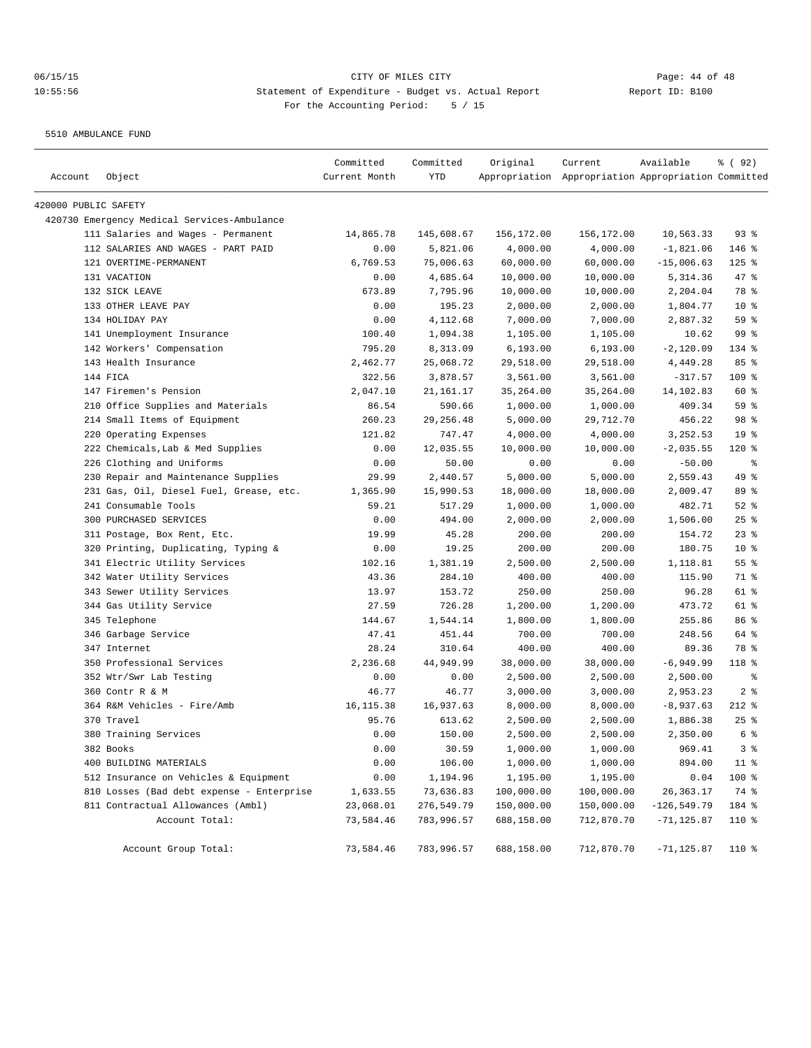5510 AMBULANCE FUND

| Account              | Object                                      | Committed<br>Current Month | Committed<br>YTD | Original   | Current<br>Appropriation Appropriation Appropriation Committed | Available      | १ ( 92)         |
|----------------------|---------------------------------------------|----------------------------|------------------|------------|----------------------------------------------------------------|----------------|-----------------|
|                      |                                             |                            |                  |            |                                                                |                |                 |
| 420000 PUBLIC SAFETY |                                             |                            |                  |            |                                                                |                |                 |
|                      | 420730 Emergency Medical Services-Ambulance |                            |                  |            |                                                                |                |                 |
|                      | 111 Salaries and Wages - Permanent          | 14,865.78                  | 145,608.67       | 156,172.00 | 156,172.00                                                     | 10,563.33      | 93%             |
|                      | 112 SALARIES AND WAGES - PART PAID          | 0.00                       | 5,821.06         | 4,000.00   | 4,000.00                                                       | $-1,821.06$    | 146 %           |
|                      | 121 OVERTIME-PERMANENT                      | 6,769.53                   | 75,006.63        | 60,000.00  | 60,000.00                                                      | $-15,006.63$   | $125$ %         |
|                      | 131 VACATION                                | 0.00                       | 4,685.64         | 10,000.00  | 10,000.00                                                      | 5,314.36       | 47 %            |
|                      | 132 SICK LEAVE                              | 673.89                     | 7,795.96         | 10,000.00  | 10,000.00                                                      | 2,204.04       | 78 %            |
|                      | 133 OTHER LEAVE PAY                         | 0.00                       | 195.23           | 2,000.00   | 2,000.00                                                       | 1,804.77       | $10*$           |
|                      | 134 HOLIDAY PAY                             | 0.00                       | 4,112.68         | 7,000.00   | 7,000.00                                                       | 2,887.32       | 59 %            |
|                      | 141 Unemployment Insurance                  | 100.40                     | 1,094.38         | 1,105.00   | 1,105.00                                                       | 10.62          | 99 <sup>°</sup> |
|                      | 142 Workers' Compensation                   | 795.20                     | 8,313.09         | 6, 193.00  | 6, 193.00                                                      | $-2,120.09$    | 134 %           |
|                      | 143 Health Insurance                        | 2,462.77                   | 25,068.72        | 29,518.00  | 29,518.00                                                      | 4,449.28       | 85 %            |
|                      | 144 FICA                                    | 322.56                     | 3,878.57         | 3,561.00   | 3,561.00                                                       | $-317.57$      | 109 %           |
|                      | 147 Firemen's Pension                       | 2,047.10                   | 21,161.17        | 35,264.00  | 35,264.00                                                      | 14,102.83      | 60 %            |
|                      | 210 Office Supplies and Materials           | 86.54                      | 590.66           | 1,000.00   | 1,000.00                                                       | 409.34         | 59 %            |
|                      | 214 Small Items of Equipment                | 260.23                     | 29, 256.48       | 5,000.00   | 29,712.70                                                      | 456.22         | 98 %            |
|                      | 220 Operating Expenses                      | 121.82                     | 747.47           | 4,000.00   | 4,000.00                                                       | 3,252.53       | 19 <sup>°</sup> |
|                      | 222 Chemicals, Lab & Med Supplies           | 0.00                       | 12,035.55        | 10,000.00  | 10,000.00                                                      | $-2,035.55$    | 120 %           |
|                      | 226 Clothing and Uniforms                   | 0.00                       | 50.00            | 0.00       | 0.00                                                           | $-50.00$       | နွ              |
|                      | 230 Repair and Maintenance Supplies         | 29.99                      | 2,440.57         | 5,000.00   | 5,000.00                                                       | 2,559.43       | 49 %            |
|                      | 231 Gas, Oil, Diesel Fuel, Grease, etc.     | 1,365.90                   | 15,990.53        | 18,000.00  | 18,000.00                                                      | 2,009.47       | 89 %            |
|                      | 241 Consumable Tools                        | 59.21                      | 517.29           | 1,000.00   | 1,000.00                                                       | 482.71         | $52$ $%$        |
|                      | 300 PURCHASED SERVICES                      | 0.00                       | 494.00           | 2,000.00   | 2,000.00                                                       | 1,506.00       | $25$ %          |
|                      | 311 Postage, Box Rent, Etc.                 | 19.99                      | 45.28            | 200.00     | 200.00                                                         | 154.72         | $23$ $%$        |
|                      | 320 Printing, Duplicating, Typing &         | 0.00                       | 19.25            | 200.00     | 200.00                                                         | 180.75         | 10 <sup>8</sup> |
|                      | 341 Electric Utility Services               | 102.16                     | 1,381.19         | 2,500.00   | 2,500.00                                                       | 1,118.81       | 55%             |
|                      | 342 Water Utility Services                  | 43.36                      | 284.10           | 400.00     | 400.00                                                         | 115.90         | 71 %            |
|                      | 343 Sewer Utility Services                  | 13.97                      | 153.72           | 250.00     | 250.00                                                         | 96.28          | 61 %            |
|                      | 344 Gas Utility Service                     | 27.59                      | 726.28           | 1,200.00   | 1,200.00                                                       | 473.72         | 61 %            |
|                      | 345 Telephone                               | 144.67                     | 1,544.14         | 1,800.00   | 1,800.00                                                       | 255.86         | 86 %            |
|                      | 346 Garbage Service                         | 47.41                      | 451.44           | 700.00     | 700.00                                                         | 248.56         | 64 %            |
|                      | 347 Internet                                | 28.24                      | 310.64           | 400.00     | 400.00                                                         | 89.36          | 78 %            |
|                      | 350 Professional Services                   | 2,236.68                   | 44,949.99        | 38,000.00  | 38,000.00                                                      | $-6,949.99$    | 118 %           |
|                      | 352 Wtr/Swr Lab Testing                     | 0.00                       | 0.00             | 2,500.00   | 2,500.00                                                       | 2,500.00       | နွ              |
|                      | 360 Contr R & M                             | 46.77                      | 46.77            | 3,000.00   | 3,000.00                                                       | 2,953.23       | 2 <sup>8</sup>  |
|                      | 364 R&M Vehicles - Fire/Amb                 | 16, 115.38                 | 16,937.63        | 8,000.00   | 8,000.00                                                       | $-8,937.63$    | $212$ %         |
|                      | 370 Travel                                  | 95.76                      | 613.62           | 2,500.00   | 2,500.00                                                       | 1,886.38       | 25%             |
|                      | 380 Training Services                       | 0.00                       | 150.00           | 2,500.00   | 2,500.00                                                       | 2,350.00       | 6 %             |
|                      | 382 Books                                   | 0.00                       | 30.59            | 1,000.00   | 1,000.00                                                       | 969.41         | 3 <sup>8</sup>  |
|                      | 400 BUILDING MATERIALS                      | 0.00                       | 106.00           | 1,000.00   | 1,000.00                                                       | 894.00         | 11 <sub>8</sub> |
|                      | 512 Insurance on Vehicles & Equipment       | 0.00                       | 1,194.96         | 1,195.00   | 1,195.00                                                       | 0.04           | 100 %           |
|                      | 810 Losses (Bad debt expense - Enterprise   | 1,633.55                   | 73,636.83        | 100,000.00 | 100,000.00                                                     | 26, 363. 17    | 74 %            |
|                      | 811 Contractual Allowances (Ambl)           | 23,068.01                  | 276,549.79       | 150,000.00 | 150,000.00                                                     | $-126, 549.79$ | 184 %           |
|                      | Account Total:                              | 73,584.46                  | 783,996.57       | 688,158.00 | 712,870.70                                                     | $-71, 125.87$  | 110 %           |
|                      | Account Group Total:                        | 73,584.46                  | 783,996.57       | 688,158.00 | 712,870.70                                                     | $-71, 125.87$  | 110 %           |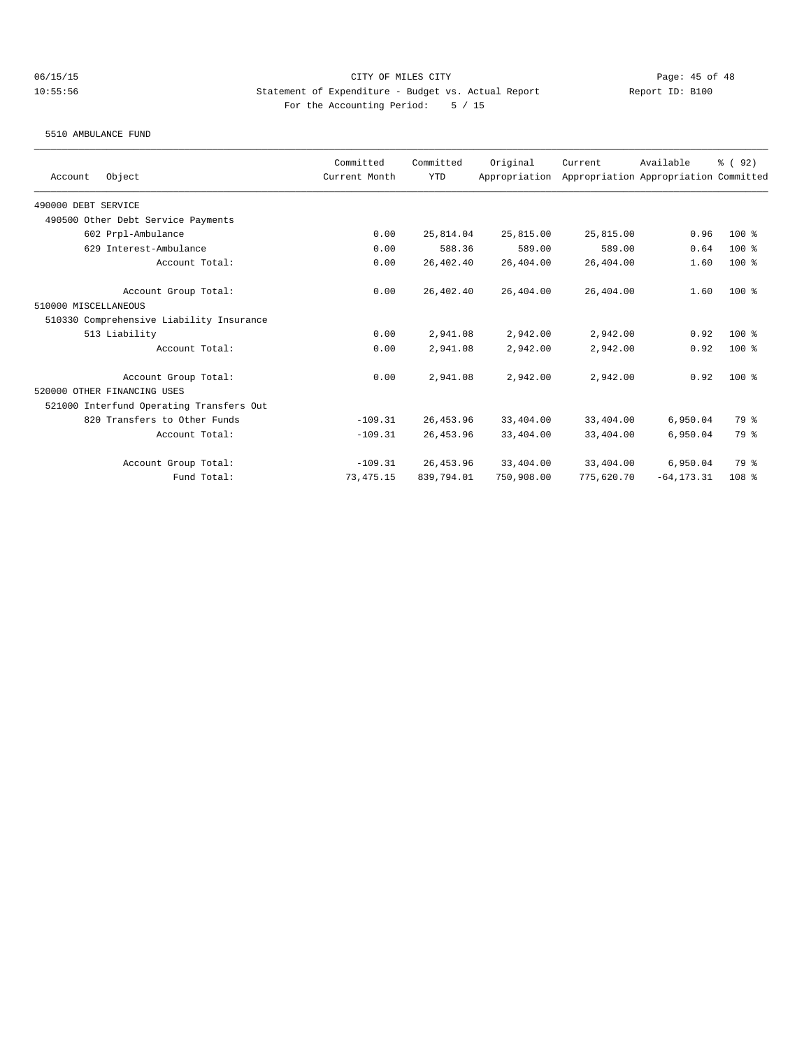5510 AMBULANCE FUND

| Object<br>Account                        | Committed<br>Current Month | Committed<br><b>YTD</b> | Original<br>Appropriation | Current    | Available<br>Appropriation Appropriation Committed | % (92)           |
|------------------------------------------|----------------------------|-------------------------|---------------------------|------------|----------------------------------------------------|------------------|
| 490000 DEBT SERVICE                      |                            |                         |                           |            |                                                    |                  |
| 490500 Other Debt Service Payments       |                            |                         |                           |            |                                                    |                  |
| 602 Prpl-Ambulance                       | 0.00                       | 25,814.04               | 25,815.00                 | 25,815.00  | 0.96                                               | $100$ %          |
| 629 Interest-Ambulance                   | 0.00                       | 588.36                  | 589.00                    | 589.00     | 0.64                                               | $100$ %          |
| Account Total:                           | 0.00                       | 26,402.40               | 26,404.00                 | 26,404.00  | 1.60                                               | $100$ %          |
| Account Group Total:                     | 0.00                       | 26,402.40               | 26,404.00                 | 26,404.00  | 1.60                                               | $100$ %          |
| 510000 MISCELLANEOUS                     |                            |                         |                           |            |                                                    |                  |
| 510330 Comprehensive Liability Insurance |                            |                         |                           |            |                                                    |                  |
| 513 Liability                            | 0.00                       | 2,941.08                | 2,942.00                  | 2,942.00   | 0.92                                               | $100$ %          |
| Account Total:                           | 0.00                       | 2,941.08                | 2,942.00                  | 2,942.00   | 0.92                                               | $100$ %          |
| Account Group Total:                     | 0.00                       | 2,941.08                | 2,942.00                  | 2,942.00   | 0.92                                               | $100$ %          |
| 520000 OTHER FINANCING USES              |                            |                         |                           |            |                                                    |                  |
| 521000 Interfund Operating Transfers Out |                            |                         |                           |            |                                                    |                  |
| 820 Transfers to Other Funds             | $-109.31$                  | 26, 453.96              | 33,404.00                 | 33,404.00  | 6,950.04                                           | 79 %             |
| Account Total:                           | $-109.31$                  | 26, 453.96              | 33,404.00                 | 33,404.00  | 6.950.04                                           | 79 %             |
| Account Group Total:                     | $-109.31$                  | 26, 453.96              | 33,404.00                 | 33,404.00  | 6,950.04                                           | 79 %             |
| Fund Total:                              | 73, 475.15                 | 839,794.01              | 750,908.00                | 775,620.70 | $-64, 173.31$                                      | 108 <sup>8</sup> |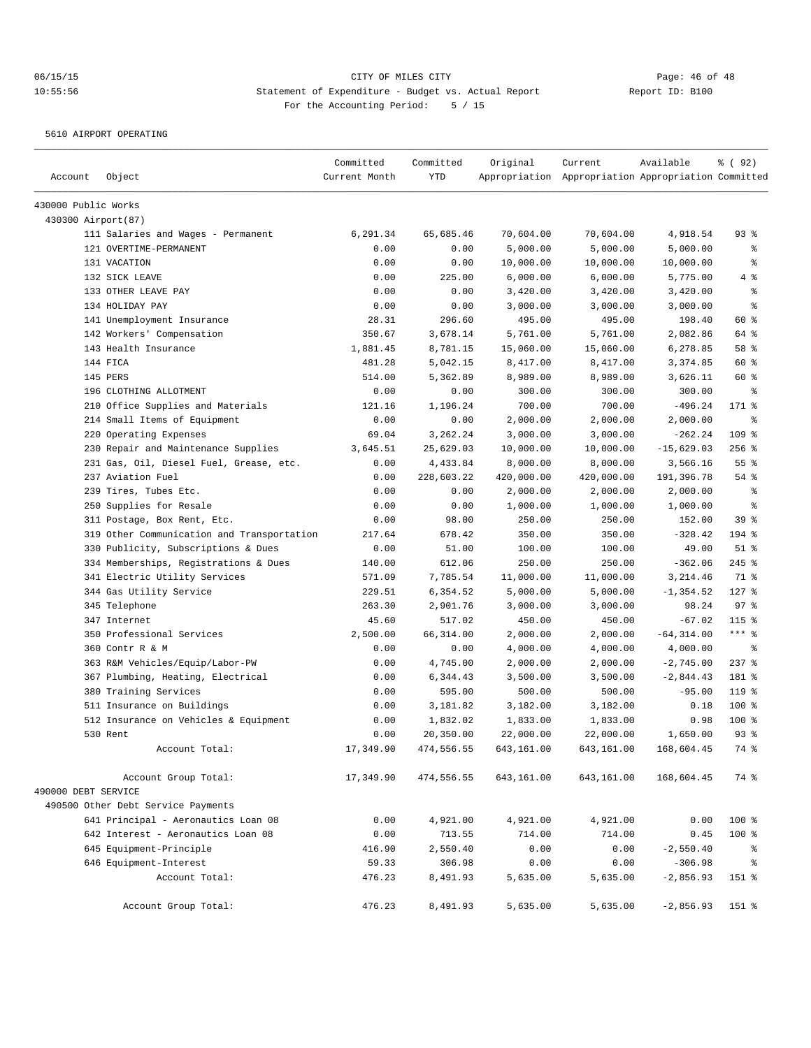5610 AIRPORT OPERATING

|                     |                                                                           | Committed     | Committed  | Original   | Current                                             | Available     | % ( 92 )     |
|---------------------|---------------------------------------------------------------------------|---------------|------------|------------|-----------------------------------------------------|---------------|--------------|
| Account             | Object                                                                    | Current Month | <b>YTD</b> |            | Appropriation Appropriation Appropriation Committed |               |              |
| 430000 Public Works |                                                                           |               |            |            |                                                     |               |              |
| 430300 Airport(87)  |                                                                           |               |            |            |                                                     |               |              |
|                     | 111 Salaries and Wages - Permanent                                        | 6,291.34      | 65,685.46  | 70,604.00  | 70,604.00                                           | 4,918.54      | $93$ $%$     |
|                     | 121 OVERTIME-PERMANENT                                                    | 0.00          | 0.00       | 5,000.00   | 5,000.00                                            | 5,000.00      | နွ           |
|                     | 131 VACATION                                                              | 0.00          | 0.00       | 10,000.00  | 10,000.00                                           | 10,000.00     | ి            |
|                     | 132 SICK LEAVE                                                            | 0.00          | 225.00     | 6,000.00   | 6,000.00                                            | 5,775.00      | 4%           |
|                     | 133 OTHER LEAVE PAY                                                       | 0.00          | 0.00       | 3,420.00   | 3,420.00                                            | 3,420.00      | $\epsilon$   |
|                     | 134 HOLIDAY PAY                                                           | 0.00          | 0.00       | 3,000.00   | 3,000.00                                            | 3,000.00      | ి            |
|                     | 141 Unemployment Insurance                                                | 28.31         | 296.60     | 495.00     | 495.00                                              | 198.40        | 60 %         |
|                     | 142 Workers' Compensation                                                 | 350.67        | 3,678.14   | 5,761.00   | 5,761.00                                            | 2,082.86      | 64 %         |
|                     | 143 Health Insurance                                                      | 1,881.45      | 8,781.15   | 15,060.00  | 15,060.00                                           | 6,278.85      | 58 %         |
|                     | 144 FICA                                                                  | 481.28        | 5,042.15   | 8,417.00   | 8,417.00                                            | 3,374.85      | 60 %         |
|                     | 145 PERS                                                                  | 514.00        | 5,362.89   | 8,989.00   | 8,989.00                                            | 3,626.11      | 60 %         |
|                     | 196 CLOTHING ALLOTMENT                                                    | 0.00          | 0.00       | 300.00     | 300.00                                              | 300.00        | $\epsilon$   |
|                     | 210 Office Supplies and Materials                                         | 121.16        | 1,196.24   | 700.00     | 700.00                                              | $-496.24$     | 171 %        |
|                     | 214 Small Items of Equipment                                              | 0.00          | 0.00       | 2,000.00   | 2,000.00                                            | 2,000.00      | နွ           |
|                     | 220 Operating Expenses                                                    | 69.04         | 3,262.24   | 3,000.00   | 3,000.00                                            | $-262.24$     | 109 %        |
|                     | 230 Repair and Maintenance Supplies                                       | 3,645.51      | 25,629.03  | 10,000.00  | 10,000.00                                           | $-15,629.03$  | $256$ %      |
|                     | 231 Gas, Oil, Diesel Fuel, Grease, etc.                                   | 0.00          | 4,433.84   | 8,000.00   | 8,000.00                                            | 3,566.16      | 55%          |
|                     | 237 Aviation Fuel                                                         | 0.00          | 228,603.22 | 420,000.00 | 420,000.00                                          | 191,396.78    | $54$ %       |
|                     | 239 Tires, Tubes Etc.                                                     | 0.00          | 0.00       | 2,000.00   | 2,000.00                                            | 2,000.00      | န္           |
|                     | 250 Supplies for Resale                                                   | 0.00          | 0.00       | 1,000.00   | 1,000.00                                            | 1,000.00      | နွ           |
|                     | 311 Postage, Box Rent, Etc.                                               | 0.00          | 98.00      | 250.00     | 250.00                                              | 152.00        | 39 %         |
|                     | 319 Other Communication and Transportation                                | 217.64        | 678.42     | 350.00     | 350.00                                              | $-328.42$     | 194 %        |
|                     | 330 Publicity, Subscriptions & Dues                                       | 0.00          | 51.00      | 100.00     | 100.00                                              | 49.00         | $51$ %       |
|                     | 334 Memberships, Registrations & Dues                                     | 140.00        | 612.06     | 250.00     | 250.00                                              | $-362.06$     | $245$ %      |
|                     | 341 Electric Utility Services                                             | 571.09        | 7,785.54   | 11,000.00  | 11,000.00                                           | 3,214.46      | 71 %         |
|                     | 344 Gas Utility Service                                                   | 229.51        | 6,354.52   | 5,000.00   | 5,000.00                                            | $-1, 354.52$  | $127$ %      |
|                     | 345 Telephone                                                             | 263.30        | 2,901.76   | 3,000.00   | 3,000.00                                            | 98.24         | 97%          |
|                     | 347 Internet                                                              | 45.60         | 517.02     | 450.00     | 450.00                                              | $-67.02$      | $115$ %      |
|                     | 350 Professional Services                                                 | 2,500.00      | 66, 314.00 | 2,000.00   | 2,000.00                                            | $-64, 314.00$ | $***$ $_{8}$ |
|                     | 360 Contr R & M                                                           | 0.00          | 0.00       | 4,000.00   | 4,000.00                                            | 4,000.00      | နွ           |
|                     | 363 R&M Vehicles/Equip/Labor-PW                                           | 0.00          | 4,745.00   | 2,000.00   | 2,000.00                                            | $-2,745.00$   | $237$ %      |
|                     | 367 Plumbing, Heating, Electrical                                         | 0.00          | 6,344.43   | 3,500.00   | 3,500.00                                            | $-2,844.43$   | 181 %        |
|                     | 380 Training Services                                                     | 0.00          | 595.00     | 500.00     | 500.00                                              | $-95.00$      | 119.8        |
|                     | 511 Insurance on Buildings                                                | 0.00          | 3,181.82   | 3,182.00   | 3,182.00                                            | 0.18          | 100 %        |
|                     | 512 Insurance on Vehicles & Equipment                                     | 0.00          | 1,832.02   | 1,833.00   | 1,833.00                                            | 0.98          | 100 %        |
|                     | 530 Rent                                                                  | 0.00          | 20,350.00  | 22,000.00  | 22,000.00                                           | 1,650.00      | $93$ $%$     |
|                     | Account Total:                                                            | 17,349.90     | 474,556.55 | 643,161.00 | 643,161.00                                          | 168,604.45    | 74 %         |
|                     |                                                                           |               |            |            |                                                     |               |              |
| 490000 DEBT SERVICE | Account Group Total:                                                      | 17,349.90     | 474,556.55 | 643,161.00 | 643,161.00                                          | 168,604.45    | 74 %         |
|                     |                                                                           |               |            |            |                                                     |               |              |
|                     | 490500 Other Debt Service Payments<br>641 Principal - Aeronautics Loan 08 |               |            |            |                                                     |               |              |
|                     |                                                                           | 0.00          | 4,921.00   | 4,921.00   | 4,921.00                                            | 0.00          | 100 %        |
|                     | 642 Interest - Aeronautics Loan 08                                        | 0.00          | 713.55     | 714.00     | 714.00                                              | 0.45          | 100 %        |
|                     | 645 Equipment-Principle                                                   | 416.90        | 2,550.40   | 0.00       | 0.00                                                | $-2,550.40$   | ៖            |
|                     | 646 Equipment-Interest                                                    | 59.33         | 306.98     | 0.00       | 0.00                                                | $-306.98$     | $\epsilon$   |
|                     | Account Total:                                                            | 476.23        | 8,491.93   | 5,635.00   | 5,635.00                                            | $-2,856.93$   | 151 %        |
|                     | Account Group Total:                                                      | 476.23        | 8,491.93   | 5,635.00   | 5,635.00                                            | $-2,856.93$   | 151 %        |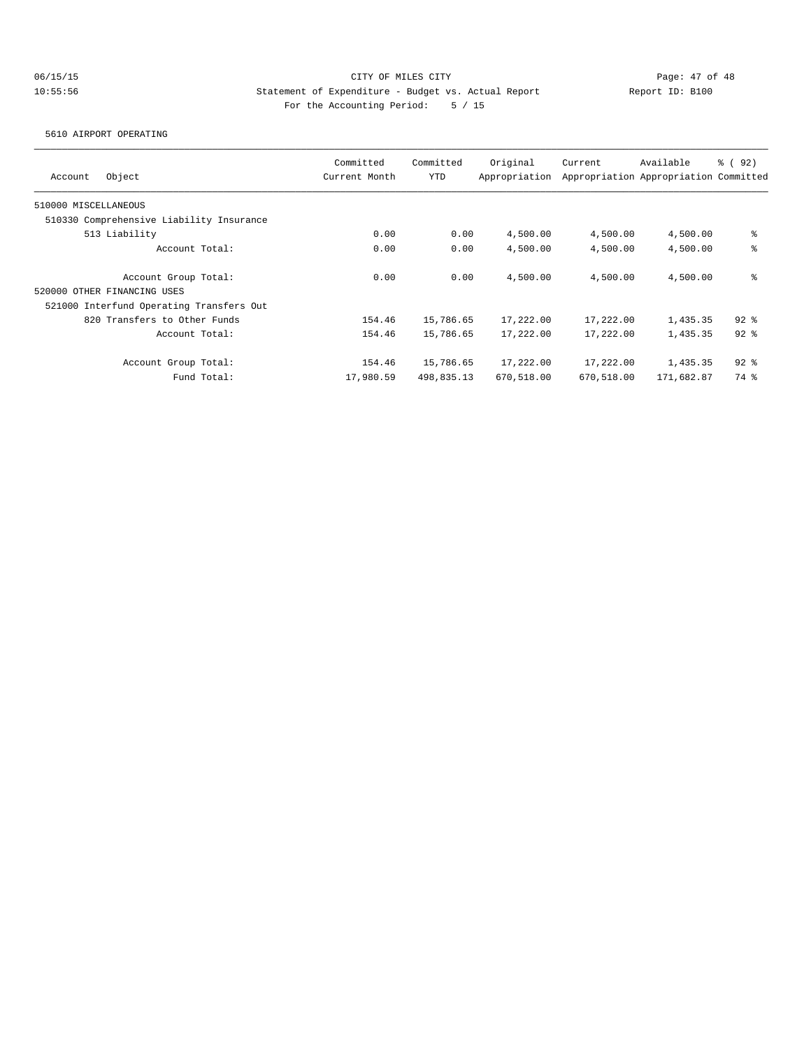5610 AIRPORT OPERATING

| Object<br>Account                        | Committed<br>Current Month | Committed<br><b>YTD</b> | Original<br>Appropriation | Current    | Available<br>Appropriation Appropriation Committed | % (92)   |
|------------------------------------------|----------------------------|-------------------------|---------------------------|------------|----------------------------------------------------|----------|
| 510000 MISCELLANEOUS                     |                            |                         |                           |            |                                                    |          |
| 510330 Comprehensive Liability Insurance |                            |                         |                           |            |                                                    |          |
| 513 Liability                            | 0.00                       | 0.00                    | 4,500.00                  | 4,500.00   | 4,500.00                                           | နွ       |
| Account Total:                           | 0.00                       | 0.00                    | 4,500.00                  | 4,500.00   | 4,500.00                                           | နွ       |
| Account Group Total:                     | 0.00                       | 0.00                    | 4,500.00                  | 4,500.00   | 4,500.00                                           | နွ       |
| 520000 OTHER FINANCING USES              |                            |                         |                           |            |                                                    |          |
| 521000 Interfund Operating Transfers Out |                            |                         |                           |            |                                                    |          |
| 820 Transfers to Other Funds             | 154.46                     | 15,786.65               | 17,222.00                 | 17,222.00  | 1,435.35                                           | $92$ $%$ |
| Account Total:                           | 154.46                     | 15,786.65               | 17,222.00                 | 17,222.00  | 1,435.35                                           | $92$ $%$ |
| Account Group Total:                     | 154.46                     | 15,786.65               | 17,222.00                 | 17,222.00  | 1,435.35                                           | $92$ $%$ |
| Fund Total:                              | 17,980.59                  | 498,835.13              | 670,518.00                | 670,518.00 | 171,682.87                                         | 74 %     |